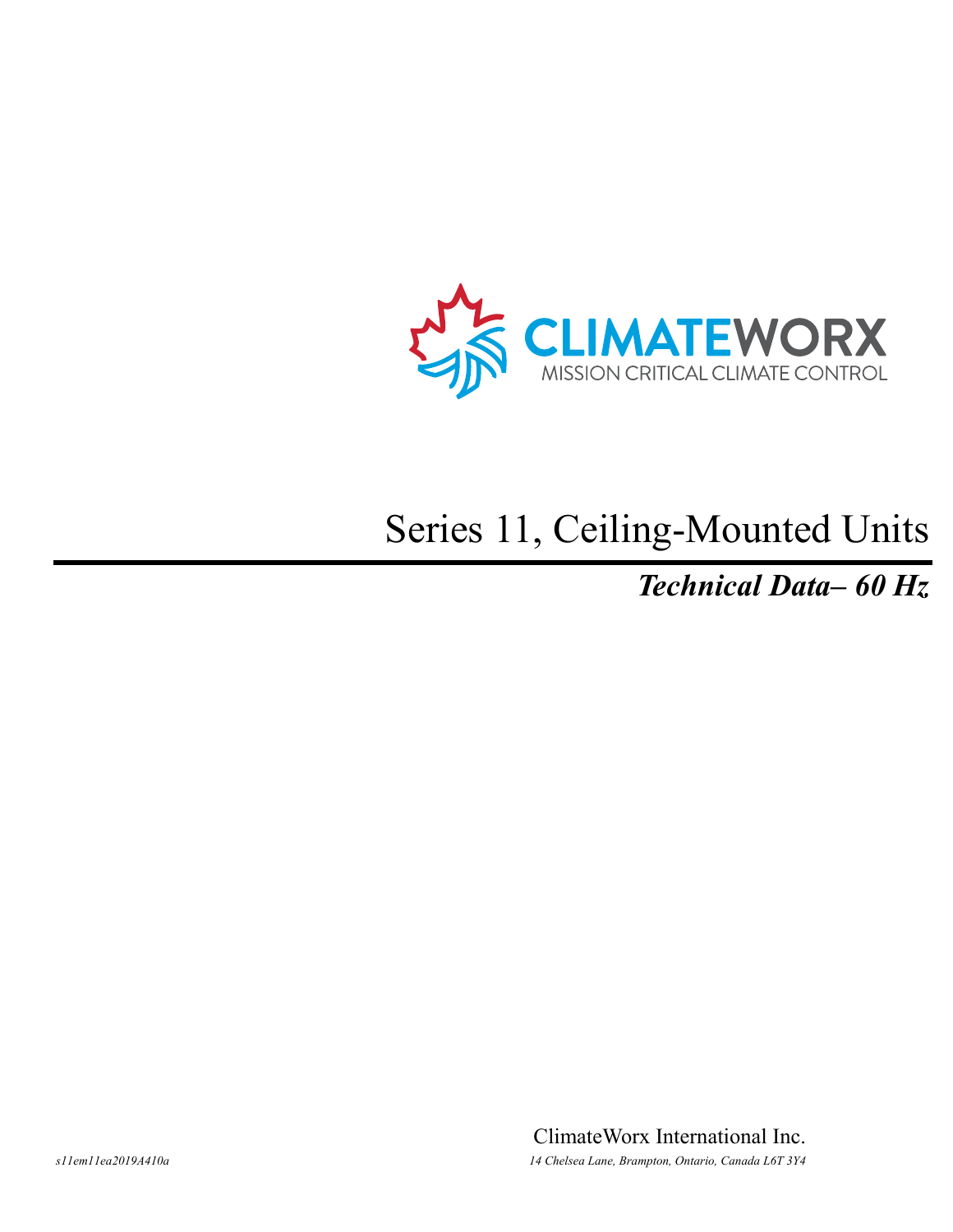

# Series 11, Ceiling-Mounted Units

*Technical Data– 60 Hz*

ClimateWorx International Inc. *s11em11ea2019A410a 14 Chelsea Lane, Brampton, Ontario, Canada L6T 3Y4*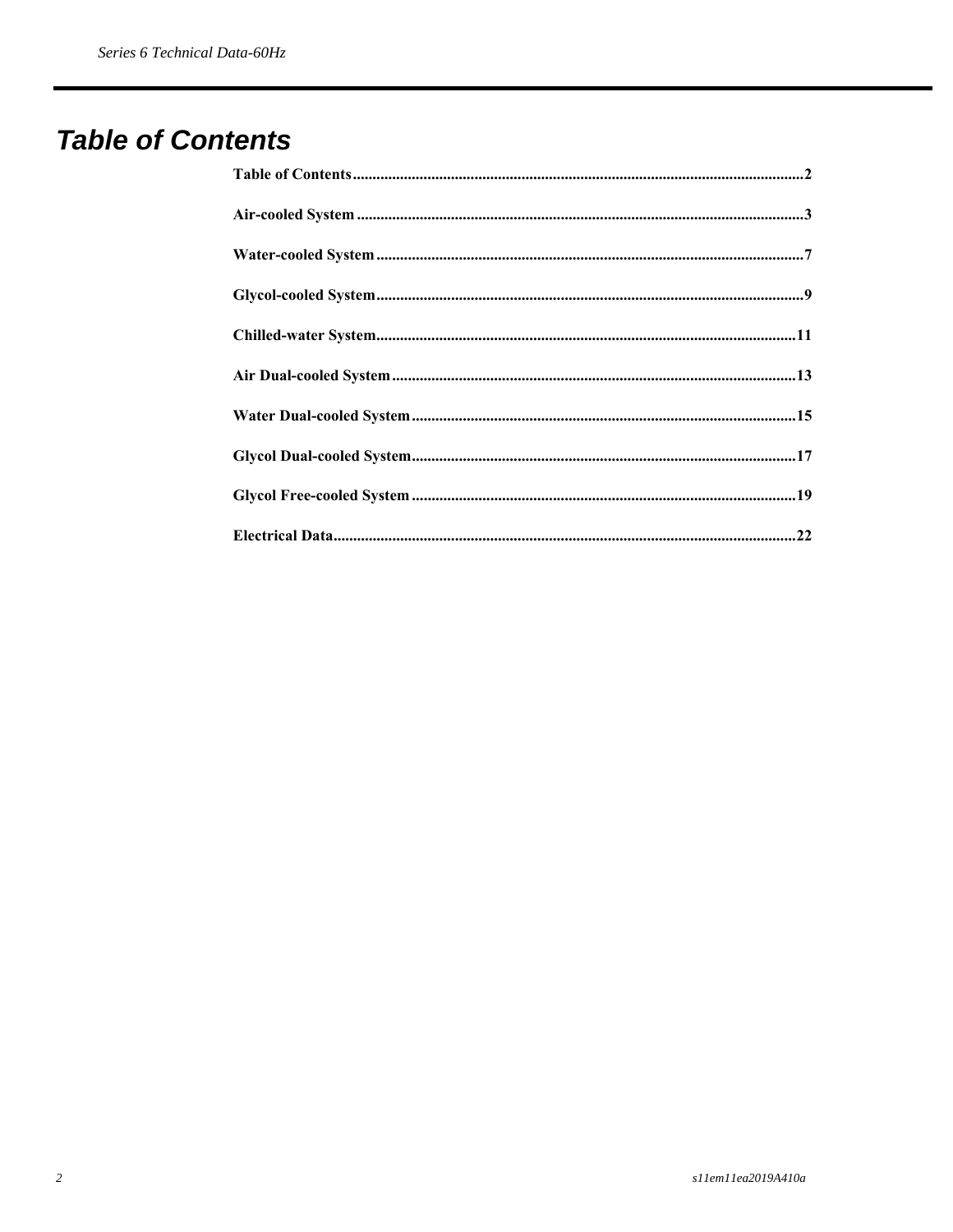### **Table of Contents**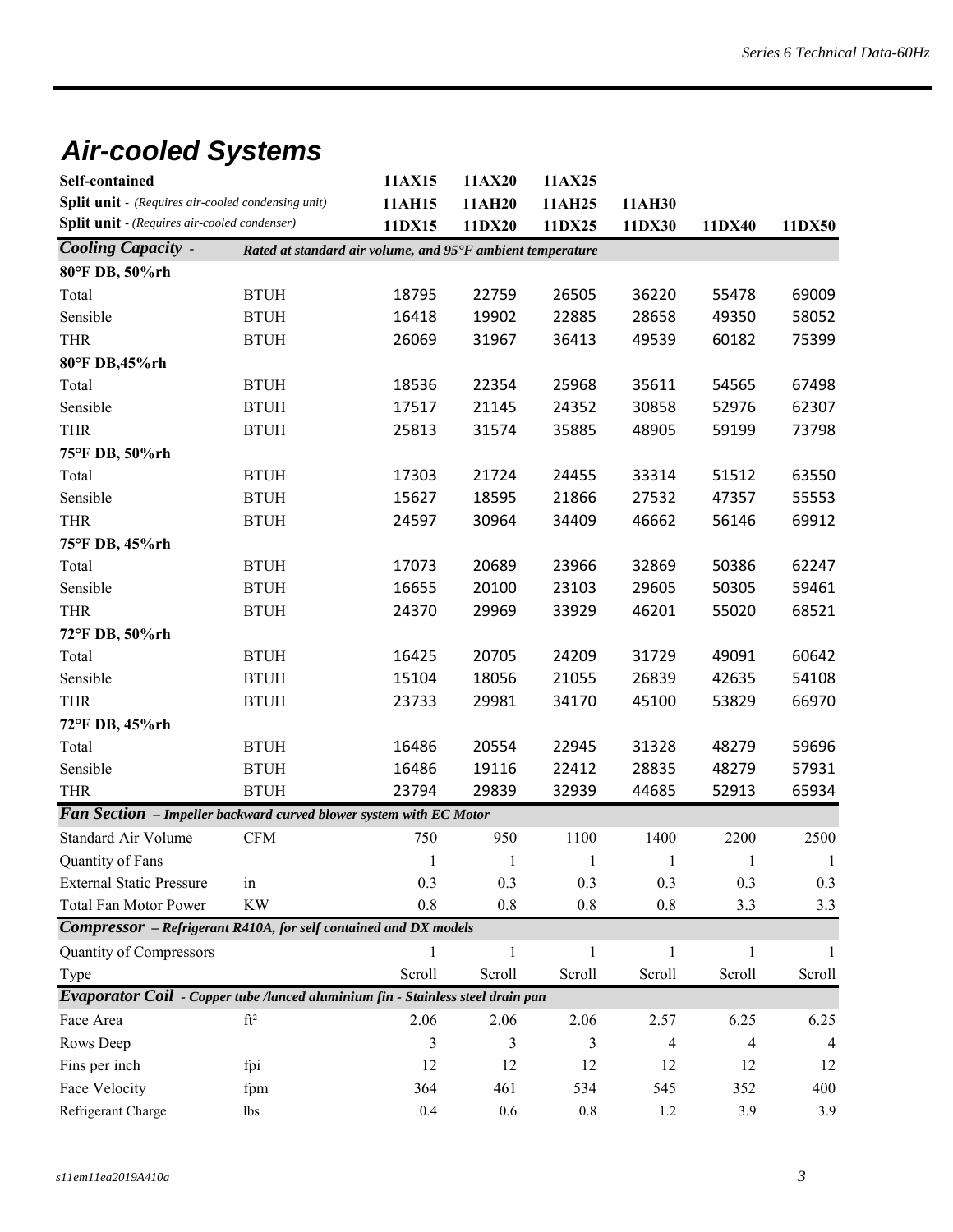# *Air-cooled Systems*

| <b>Self-contained</b>                                                           |                                                            | 11AX15       | 11AX20       | 11AX25           |                |              |              |
|---------------------------------------------------------------------------------|------------------------------------------------------------|--------------|--------------|------------------|----------------|--------------|--------------|
| Split unit - (Requires air-cooled condensing unit)                              |                                                            | 11AH15       | 11AH20       | 11AH25<br>11DX25 | 11AH30         |              | 11DX50       |
| <b>Split unit</b> - (Requires air-cooled condenser)                             |                                                            | 11DX15       | 11DX20       |                  | 11DX30         | 11DX40       |              |
| <b>Cooling Capacity -</b>                                                       | Rated at standard air volume, and 95°F ambient temperature |              |              |                  |                |              |              |
| 80°F DB, 50%rh                                                                  |                                                            |              |              |                  |                |              |              |
| Total                                                                           | <b>BTUH</b>                                                | 18795        | 22759        | 26505            | 36220          | 55478        | 69009        |
| Sensible                                                                        | <b>BTUH</b>                                                | 16418        | 19902        | 22885            | 28658          | 49350        | 58052        |
| <b>THR</b>                                                                      | <b>BTUH</b>                                                | 26069        | 31967        | 36413            | 49539          | 60182        | 75399        |
| 80°F DB,45%rh                                                                   |                                                            |              |              |                  |                |              |              |
| Total                                                                           | <b>BTUH</b>                                                | 18536        | 22354        | 25968            | 35611          | 54565        | 67498        |
| Sensible                                                                        | <b>BTUH</b>                                                | 17517        | 21145        | 24352            | 30858          | 52976        | 62307        |
| <b>THR</b>                                                                      | <b>BTUH</b>                                                | 25813        | 31574        | 35885            | 48905          | 59199        | 73798        |
| 75°F DB, 50%rh                                                                  |                                                            |              |              |                  |                |              |              |
| Total                                                                           | <b>BTUH</b>                                                | 17303        | 21724        | 24455            | 33314          | 51512        | 63550        |
| Sensible                                                                        | <b>BTUH</b>                                                | 15627        | 18595        | 21866            | 27532          | 47357        | 55553        |
| <b>THR</b>                                                                      | <b>BTUH</b>                                                | 24597        | 30964        | 34409            | 46662          | 56146        | 69912        |
| 75°F DB, 45%rh                                                                  |                                                            |              |              |                  |                |              |              |
| Total                                                                           | <b>BTUH</b>                                                | 17073        | 20689        | 23966            | 32869          | 50386        | 62247        |
| Sensible                                                                        | <b>BTUH</b>                                                | 16655        | 20100        | 23103            | 29605          | 50305        | 59461        |
| <b>THR</b>                                                                      | <b>BTUH</b>                                                | 24370        | 29969        | 33929            | 46201          | 55020        | 68521        |
| 72°F DB, 50%rh                                                                  |                                                            |              |              |                  |                |              |              |
| Total                                                                           | <b>BTUH</b>                                                | 16425        | 20705        | 24209            | 31729          | 49091        | 60642        |
| Sensible                                                                        | <b>BTUH</b>                                                | 15104        | 18056        | 21055            | 26839          | 42635        | 54108        |
| <b>THR</b>                                                                      | <b>BTUH</b>                                                | 23733        | 29981        | 34170            | 45100          | 53829        | 66970        |
| 72°F DB, 45%rh                                                                  |                                                            |              |              |                  |                |              |              |
| Total                                                                           | <b>BTUH</b>                                                | 16486        | 20554        | 22945            | 31328          | 48279        | 59696        |
| Sensible                                                                        | <b>BTUH</b>                                                | 16486        | 19116        | 22412            | 28835          | 48279        | 57931        |
| <b>THR</b>                                                                      | <b>BTUH</b>                                                | 23794        | 29839        | 32939            | 44685          | 52913        | 65934        |
| Fan Section - Impeller backward curved blower system with EC Motor              |                                                            |              |              |                  |                |              |              |
| <b>Standard Air Volume</b>                                                      | CFM                                                        | 750          | 950          | 1100             | 1400           | 2200         | 2500         |
| Quantity of Fans                                                                |                                                            | $\mathbf{1}$ | $\mathbf{1}$ | $\mathbf{1}$     | 1              | 1            | $\mathbf{1}$ |
| <b>External Static Pressure</b>                                                 | in                                                         | 0.3          | 0.3          | 0.3              | 0.3            | 0.3          | 0.3          |
| Total Fan Motor Power                                                           | <b>KW</b>                                                  | 0.8          | 0.8          | $0.8\,$          | $0.8\,$        | 3.3          | 3.3          |
| <b>Compressor</b> - Refrigerant R410A, for self contained and DX models         |                                                            |              |              |                  |                |              |              |
| Quantity of Compressors                                                         |                                                            | $\mathbf{1}$ | 1            | $\mathbf{1}$     | $\mathbf{1}$   | $\mathbf{1}$ | -1           |
| Type                                                                            |                                                            | Scroll       | Scroll       | Scroll           | Scroll         | Scroll       | Scroll       |
| Evaporator Coil - Copper tube /lanced aluminium fin - Stainless steel drain pan |                                                            |              |              |                  |                |              |              |
| Face Area                                                                       | $\mathrm{ft}^2$                                            | 2.06         | 2.06         | 2.06             | 2.57           | 6.25         | 6.25         |
| Rows Deep                                                                       |                                                            | 3            | 3            | 3                | $\overline{4}$ | 4            | 4            |
| Fins per inch                                                                   | fpi                                                        | 12           | 12           | 12               | 12             | 12           | 12           |
| Face Velocity                                                                   | fpm                                                        | 364          | 461          | 534              | 545            | 352          | 400          |
| Refrigerant Charge                                                              | lbs                                                        | $0.4\,$      | $0.6\,$      | $0.8\,$          | $1.2\,$        | 3.9          | 3.9          |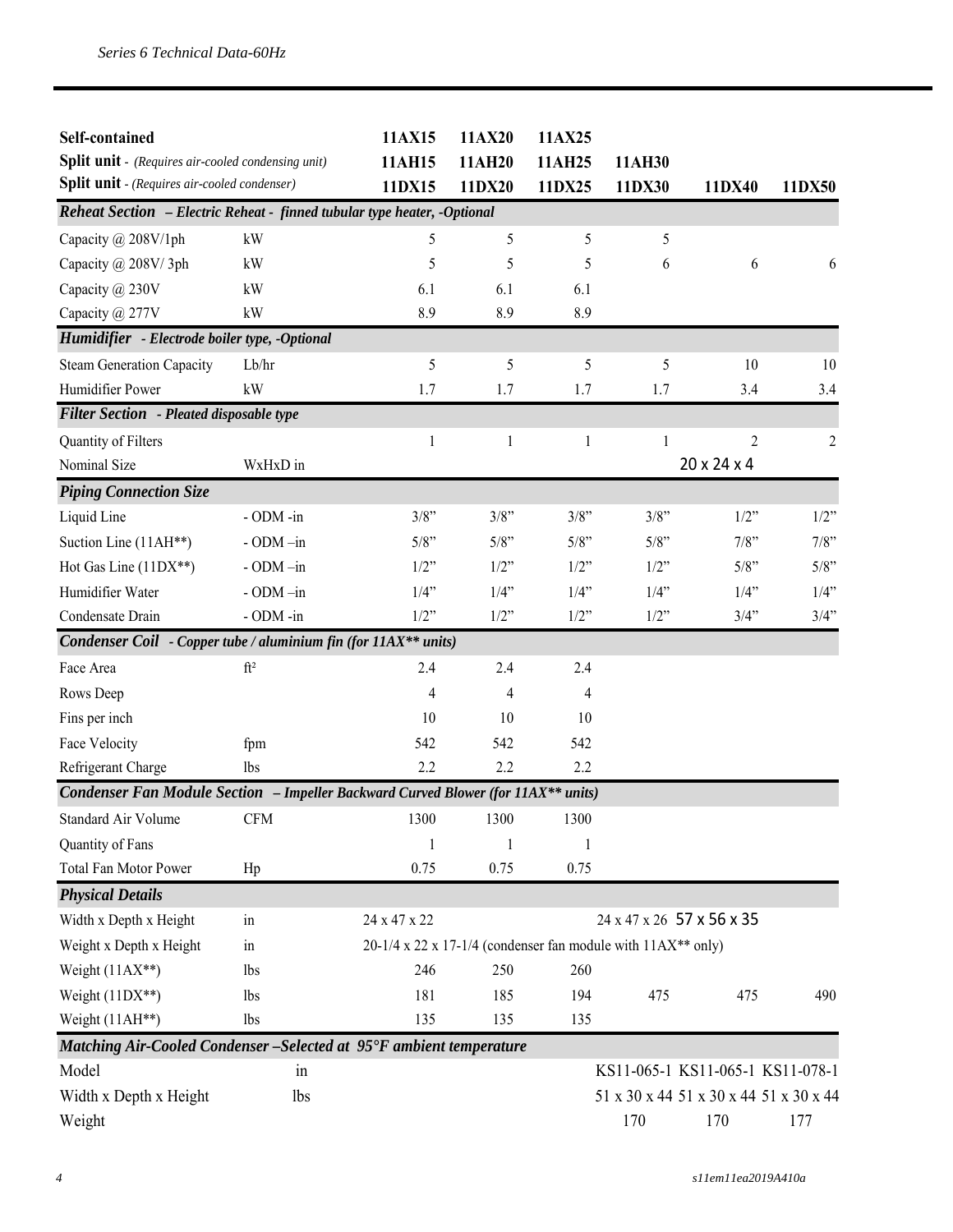| Self-contained<br><b>Split unit</b> - (Requires air-cooled condensing unit)<br>Split unit - (Requires air-cooled condenser) |                 | 11AX15<br>11AH15<br>11DX15                                       | 11AX20<br>11AH20<br>11DX20 | 11AX25<br>11AH25<br>11DX25 | 11AH30<br>11DX30          | 11DX40                                 | 11DX50         |
|-----------------------------------------------------------------------------------------------------------------------------|-----------------|------------------------------------------------------------------|----------------------------|----------------------------|---------------------------|----------------------------------------|----------------|
| Reheat Section - Electric Reheat - finned tubular type heater, -Optional                                                    |                 |                                                                  |                            |                            |                           |                                        |                |
| Capacity @ 208V/1ph                                                                                                         | kW              | 5                                                                | 5                          | 5                          | 5                         |                                        |                |
| Capacity @ 208V/3ph                                                                                                         | kW              | 5                                                                | 5                          | 5                          | 6                         | 6                                      | 6              |
| Capacity @ 230V                                                                                                             | kW              | 6.1                                                              | 6.1                        | 6.1                        |                           |                                        |                |
| Capacity @ 277V                                                                                                             | kW              | 8.9                                                              | 8.9                        | 8.9                        |                           |                                        |                |
| Humidifier - Electrode boiler type, -Optional                                                                               |                 |                                                                  |                            |                            |                           |                                        |                |
| <b>Steam Generation Capacity</b>                                                                                            | Lb/hr           | 5                                                                | 5                          | 5                          | 5                         | 10                                     | 10             |
| Humidifier Power                                                                                                            | kW              | 1.7                                                              | 1.7                        | 1.7                        | 1.7                       | 3.4                                    | 3.4            |
| Filter Section - Pleated disposable type                                                                                    |                 |                                                                  |                            |                            |                           |                                        |                |
| Quantity of Filters                                                                                                         |                 | 1                                                                | 1                          | $\mathbf{1}$               | $\mathbf{1}$              | $\overline{2}$                         | $\overline{2}$ |
| Nominal Size                                                                                                                | WxHxD in        |                                                                  |                            |                            |                           | 20 x 24 x 4                            |                |
| <b>Piping Connection Size</b>                                                                                               |                 |                                                                  |                            |                            |                           |                                        |                |
| Liquid Line                                                                                                                 | - ODM -in       | $3/8$ "                                                          | 3/8"                       | 3/8"                       | 3/8"                      | $1/2$ "                                | 1/2"           |
| Suction Line (11AH**)                                                                                                       | $-$ ODM $-$ in  | 5/8"                                                             | 5/8"                       | 5/8"                       | 5/8"                      | 7/8"                                   | 7/8"           |
| Hot Gas Line (11DX**)                                                                                                       | $-$ ODM $-$ in  | 1/2"                                                             | $1/2$ "                    | 1/2"                       | 1/2"                      | 5/8"                                   | 5/8"           |
| Humidifier Water                                                                                                            | - ODM-in        | 1/4"                                                             | 1/4"                       | 1/4"                       | 1/4"                      | 1/4"                                   | 1/4"           |
| Condensate Drain                                                                                                            | - ODM -in       | 1/2"                                                             | $1/2$ "                    | 1/2"                       | 1/2"                      | 3/4"                                   | 3/4"           |
| Condenser Coil - Copper tube / aluminium fin (for $11AX**$ units)                                                           |                 |                                                                  |                            |                            |                           |                                        |                |
| Face Area                                                                                                                   | $\mathrm{ft}^2$ | 2.4                                                              | 2.4                        | 2.4                        |                           |                                        |                |
| Rows Deep                                                                                                                   |                 | 4                                                                | 4                          | 4                          |                           |                                        |                |
| Fins per inch                                                                                                               |                 | 10                                                               | 10                         | 10                         |                           |                                        |                |
| Face Velocity                                                                                                               | fpm             | 542                                                              | 542                        | 542                        |                           |                                        |                |
| Refrigerant Charge                                                                                                          | lbs             | 2.2                                                              | 2.2                        | 2.2                        |                           |                                        |                |
| <b>Condenser Fan Module Section - Impeller Backward Curved Blower (for 11AX** units)</b>                                    |                 |                                                                  |                            |                            |                           |                                        |                |
| Standard Air Volume                                                                                                         | <b>CFM</b>      | 1300                                                             | 1300                       | 1300                       |                           |                                        |                |
| Quantity of Fans                                                                                                            |                 | $\mathbf{1}$                                                     | 1                          | 1                          |                           |                                        |                |
| <b>Total Fan Motor Power</b>                                                                                                | Hp              | 0.75                                                             | 0.75                       | 0.75                       |                           |                                        |                |
| <b>Physical Details</b>                                                                                                     |                 |                                                                  |                            |                            |                           |                                        |                |
| Width x Depth x Height                                                                                                      | in              | 24 x 47 x 22                                                     |                            |                            | 24 x 47 x 26 57 x 56 x 35 |                                        |                |
| Weight x Depth x Height                                                                                                     | $\sin$          | $20-1/4$ x 22 x 17-1/4 (condenser fan module with $11AX**$ only) |                            |                            |                           |                                        |                |
| Weight $(11AX**)$                                                                                                           | lbs             | 246                                                              | 250                        | 260                        |                           |                                        |                |
| Weight $(11DX**)$                                                                                                           | <i>lbs</i>      | 181                                                              | 185                        | 194                        | 475                       | 475                                    | 490            |
| Weight (11AH**)                                                                                                             | lbs             | 135                                                              | 135                        | 135                        |                           |                                        |                |
| Matching Air-Cooled Condenser - Selected at 95°F ambient temperature                                                        |                 |                                                                  |                            |                            |                           |                                        |                |
| Model                                                                                                                       | in              |                                                                  |                            |                            |                           | KS11-065-1 KS11-065-1 KS11-078-1       |                |
| Width x Depth x Height                                                                                                      | <b>lbs</b>      |                                                                  |                            |                            |                           | 51 x 30 x 44 51 x 30 x 44 51 x 30 x 44 |                |
| Weight                                                                                                                      |                 |                                                                  |                            |                            | 170                       | 170                                    | 177            |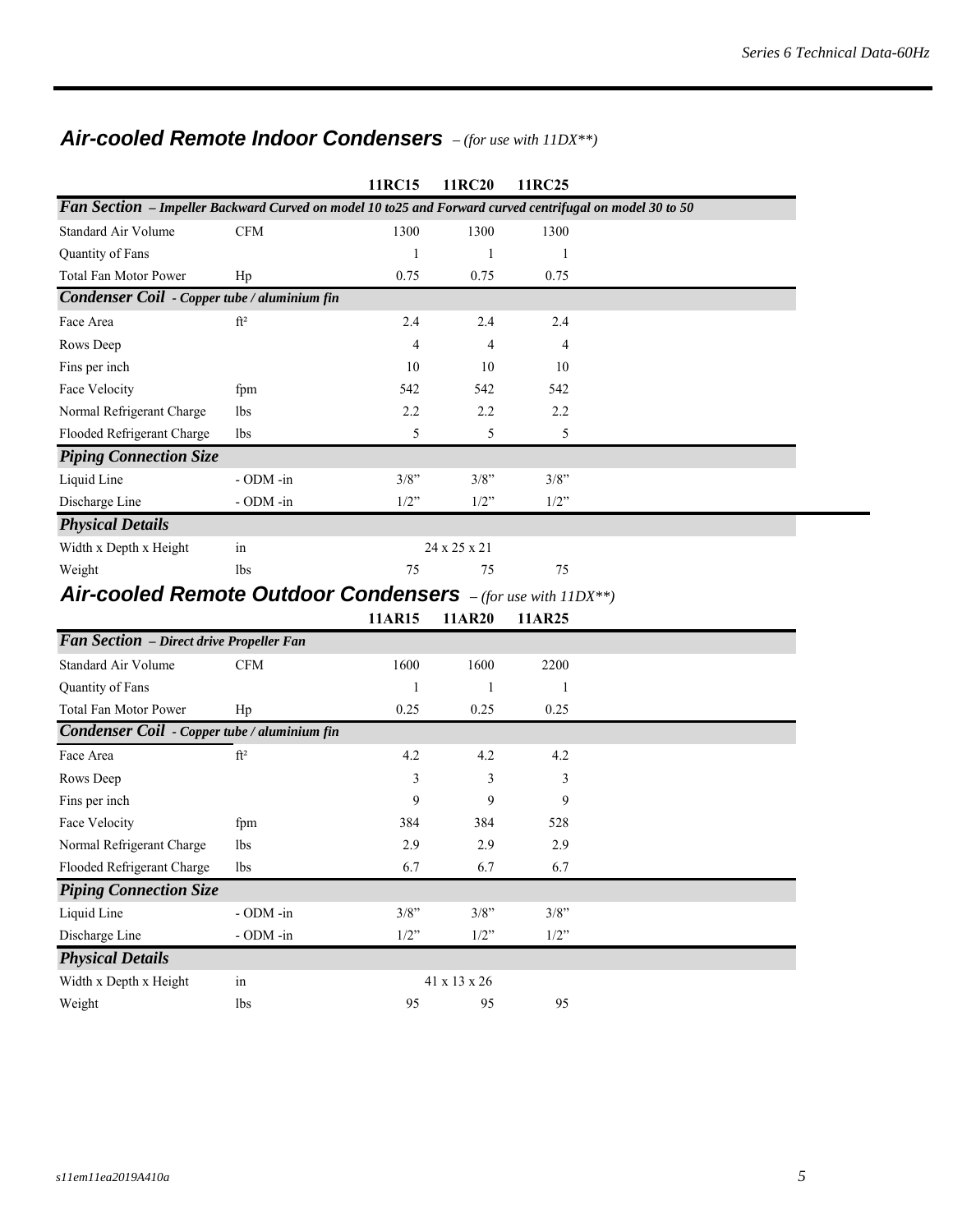#### *Air-cooled Remote Indoor Condensers – (for use with 11DX\*\*)*

|                                                                                                           |                 | 11RC15  | 11RC20       | 11RC25                                                  |  |  |  |  |  |
|-----------------------------------------------------------------------------------------------------------|-----------------|---------|--------------|---------------------------------------------------------|--|--|--|--|--|
| Fan Section - Impeller Backward Curved on model 10 to 25 and Forward curved centrifugal on model 30 to 50 |                 |         |              |                                                         |  |  |  |  |  |
| Standard Air Volume                                                                                       | <b>CFM</b>      | 1300    | 1300         | 1300                                                    |  |  |  |  |  |
| Quantity of Fans                                                                                          |                 |         |              |                                                         |  |  |  |  |  |
| <b>Total Fan Motor Power</b>                                                                              | Hp              | 0.75    | 0.75         | 0.75                                                    |  |  |  |  |  |
| Condenser Coil - Copper tube / aluminium fin                                                              |                 |         |              |                                                         |  |  |  |  |  |
| Face Area                                                                                                 | ft <sup>2</sup> | 2.4     | 2.4          | 2.4                                                     |  |  |  |  |  |
| Rows Deep                                                                                                 |                 | 4       | 4            | 4                                                       |  |  |  |  |  |
| Fins per inch                                                                                             |                 | 10      | 10           | 10                                                      |  |  |  |  |  |
| Face Velocity                                                                                             | fpm             | 542     | 542          | 542                                                     |  |  |  |  |  |
| Normal Refrigerant Charge                                                                                 | lbs             | 2.2     | 2.2          | 2.2                                                     |  |  |  |  |  |
| Flooded Refrigerant Charge                                                                                | lbs             | 5       | 5            | 5                                                       |  |  |  |  |  |
| <b>Piping Connection Size</b>                                                                             |                 |         |              |                                                         |  |  |  |  |  |
| Liquid Line                                                                                               | - ODM -in       | 3/8"    | 3/8"         | $3/8$ "                                                 |  |  |  |  |  |
| Discharge Line                                                                                            | $-$ ODM $-$ in  | $1/2$ " | $1/2$ "      | $1/2$ "                                                 |  |  |  |  |  |
| <b>Physical Details</b>                                                                                   |                 |         |              |                                                         |  |  |  |  |  |
| Width x Depth x Height                                                                                    | in              |         | 24 x 25 x 21 |                                                         |  |  |  |  |  |
| Weight                                                                                                    | lbs             | 75      | 75           | 75                                                      |  |  |  |  |  |
| Air-cooled Remote Outdoor Condensers                                                                      |                 |         |              | $(f_{\alpha k, u\alpha\alpha}u_{\alpha}+h)11\mathbb{N}$ |  |  |  |  |  |

#### *Air-cooled Remote Outdoor Condensers – (for use with 11DX\*\*)*

|                                              |                 | 11AR15  | 11AR20                   | 11AR25  |  |
|----------------------------------------------|-----------------|---------|--------------------------|---------|--|
| Fan Section - Direct drive Propeller Fan     |                 |         |                          |         |  |
| Standard Air Volume                          | <b>CFM</b>      | 1600    | 1600                     | 2200    |  |
| Quantity of Fans                             |                 | 1       | 1                        | 1       |  |
| <b>Total Fan Motor Power</b>                 | Hp              | 0.25    | 0.25                     | 0.25    |  |
| Condenser Coil - Copper tube / aluminium fin |                 |         |                          |         |  |
| Face Area                                    | ft <sup>2</sup> | 4.2     | 4.2                      | 4.2     |  |
| Rows Deep                                    |                 | 3       | 3                        | 3       |  |
| Fins per inch                                |                 | 9       | 9                        | 9       |  |
| Face Velocity                                | fpm             | 384     | 384                      | 528     |  |
| Normal Refrigerant Charge                    | lbs             | 2.9     | 2.9                      | 2.9     |  |
| Flooded Refrigerant Charge                   | lbs             | 6.7     | 6.7                      | 6.7     |  |
| <b>Piping Connection Size</b>                |                 |         |                          |         |  |
| Liquid Line                                  | $-$ ODM $-$ in  | 3/8"    | 3/8"                     | $3/8$ " |  |
| Discharge Line                               | $-$ ODM $-$ in  | $1/2$ " | $1/2$ "                  | 1/2"    |  |
| <b>Physical Details</b>                      |                 |         |                          |         |  |
| Width x Depth x Height                       | in              |         | $41 \times 13 \times 26$ |         |  |
| Weight                                       | lbs             | 95      | 95                       | 95      |  |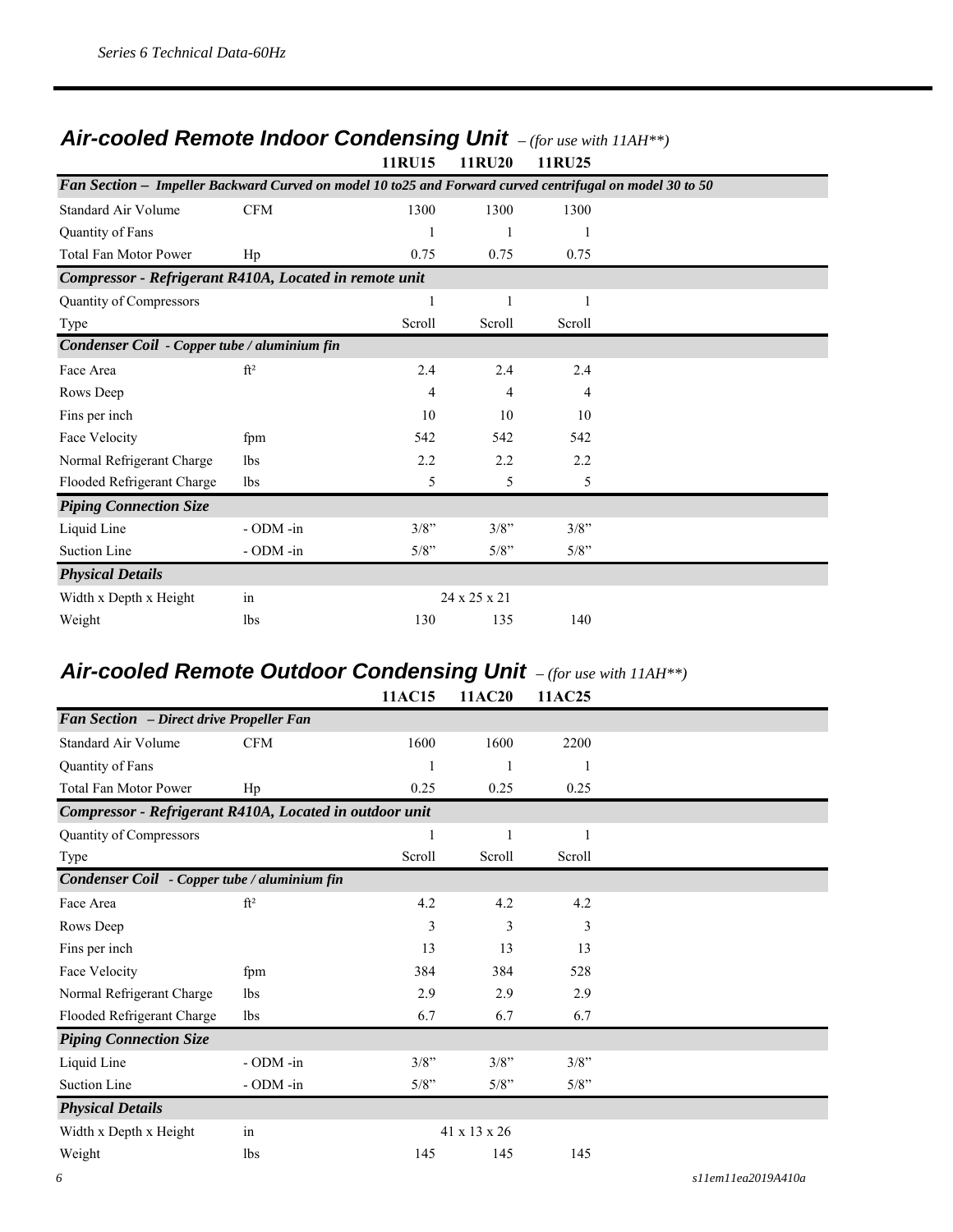#### *Air-cooled Remote Indoor Condensing Unit – (for use with 11AH\*\*)* **11RU15 11RU20 11RU25**

|                                                                                                           |                 | 11NU 19      | 11NVZV       | 11NUZJ |  |
|-----------------------------------------------------------------------------------------------------------|-----------------|--------------|--------------|--------|--|
| Fan Section - Impeller Backward Curved on model 10 to 25 and Forward curved centrifugal on model 30 to 50 |                 |              |              |        |  |
| Standard Air Volume                                                                                       | <b>CFM</b>      | 1300         | 1300         | 1300   |  |
| Quantity of Fans                                                                                          |                 |              |              |        |  |
| Total Fan Motor Power                                                                                     | Hp              | 0.75         | 0.75         | 0.75   |  |
| Compressor - Refrigerant R410A, Located in remote unit                                                    |                 |              |              |        |  |
| Quantity of Compressors                                                                                   |                 | $\mathbf{1}$ |              | 1      |  |
| Type                                                                                                      |                 | Scroll       | Scroll       | Scroll |  |
| Condenser Coil - Copper tube / aluminium fin                                                              |                 |              |              |        |  |
| Face Area                                                                                                 | ft <sup>2</sup> | 2.4          | 2.4          | 2.4    |  |
| Rows Deep                                                                                                 |                 | 4            | 4            | 4      |  |
| Fins per inch                                                                                             |                 | 10           | 10           | 10     |  |
| Face Velocity                                                                                             | fpm             | 542          | 542          | 542    |  |
| Normal Refrigerant Charge                                                                                 | <b>lbs</b>      | 2.2          | 2.2          | 2.2    |  |
| Flooded Refrigerant Charge                                                                                | 1bs             | 5            | 5            | 5      |  |
| <b>Piping Connection Size</b>                                                                             |                 |              |              |        |  |
| Liquid Line                                                                                               | - ODM -in       | $3/8$ "      | 3/8"         | 3/8"   |  |
| <b>Suction Line</b>                                                                                       | - ODM -in       | 5/8"         | 5/8"         | 5/8"   |  |
| <b>Physical Details</b>                                                                                   |                 |              |              |        |  |
| Width x Depth x Height                                                                                    | in              |              | 24 x 25 x 21 |        |  |
| Weight                                                                                                    | lbs             | 130          | 135          | 140    |  |

#### *Air-cooled Remote Outdoor Condensing Unit – (for use with 11AH\*\*)* **11AC15 11AC20 11AC25**

|                                                         |                 | 11/1V.IV | 11/1C40      | 11/1720 |  |
|---------------------------------------------------------|-----------------|----------|--------------|---------|--|
| <b>Fan Section</b> - Direct drive Propeller Fan         |                 |          |              |         |  |
| Standard Air Volume                                     | <b>CFM</b>      | 1600     | 1600         | 2200    |  |
| Quantity of Fans                                        |                 |          | 1            | 1       |  |
| <b>Total Fan Motor Power</b>                            | Hp              | 0.25     | 0.25         | 0.25    |  |
| Compressor - Refrigerant R410A, Located in outdoor unit |                 |          |              |         |  |
| Quantity of Compressors                                 |                 | 1        | 1            | 1       |  |
| Type                                                    |                 | Scroll   | Scroll       | Scroll  |  |
| Condenser Coil - Copper tube / aluminium fin            |                 |          |              |         |  |
| Face Area                                               | ft <sup>2</sup> | 4.2      | 4.2          | 4.2     |  |
| Rows Deep                                               |                 | 3        | 3            | 3       |  |
| Fins per inch                                           |                 | 13       | 13           | 13      |  |
| Face Velocity                                           | fpm             | 384      | 384          | 528     |  |
| Normal Refrigerant Charge                               | 1 <sub>bs</sub> | 2.9      | 2.9          | 2.9     |  |
| Flooded Refrigerant Charge                              | lbs             | 6.7      | 6.7          | 6.7     |  |
| <b>Piping Connection Size</b>                           |                 |          |              |         |  |
| Liquid Line                                             | - ODM -in       | $3/8$ "  | 3/8"         | 3/8"    |  |
| <b>Suction Line</b>                                     | - ODM -in       | 5/8"     | 5/8"         | 5/8"    |  |
| <b>Physical Details</b>                                 |                 |          |              |         |  |
| Width x Depth x Height                                  | in              |          | 41 x 13 x 26 |         |  |
| Weight                                                  | 1 <sub>bs</sub> | 145      | 145          | 145     |  |
|                                                         |                 |          |              |         |  |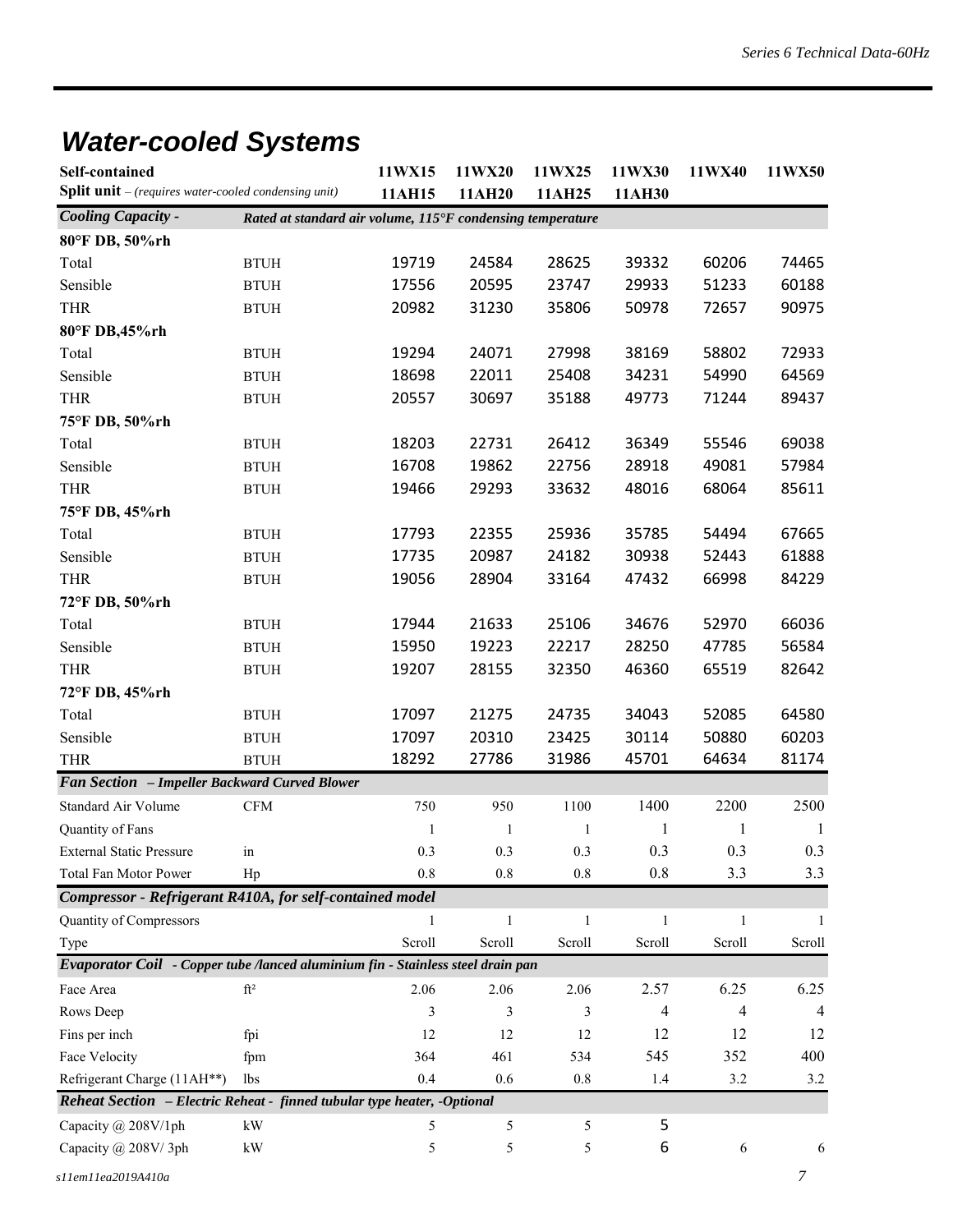# *Water-cooled Systems*

| <b>Split unit</b> - (requires water-cooled condensing unit)<br>11AH15<br>11AH30<br>11AH20<br>11AH25<br><b>Cooling Capacity -</b><br>Rated at standard air volume, 115°F condensing temperature<br>80°F DB, 50%rh<br>19719<br>24584<br>60206<br>Total<br>28625<br>39332<br>74465<br><b>BTUH</b><br>Sensible<br>17556<br>20595<br>23747<br>29933<br>51233<br>60188<br><b>BTUH</b><br><b>THR</b><br>20982<br>31230<br>35806<br>50978<br>72657<br>90975<br><b>BTUH</b><br>80°F DB,45%rh<br>24071<br>58802<br>72933<br>19294<br>27998<br>38169<br>Total<br><b>BTUH</b><br>22011<br>Sensible<br>18698<br>25408<br>34231<br>54990<br>64569<br><b>BTUH</b><br><b>THR</b><br>20557<br>30697<br>35188<br>49773<br>71244<br>89437<br><b>BTUH</b><br>75°F DB, 50%rh<br>18203<br>22731<br>26412<br>36349<br>55546<br>69038<br>Total<br><b>BTUH</b><br>19862<br>22756<br>49081<br>Sensible<br>16708<br>28918<br>57984<br><b>BTUH</b><br><b>THR</b><br>29293<br>48016<br>68064<br>85611<br>19466<br>33632<br><b>BTUH</b><br>75°F DB, 45%rh<br>22355<br>25936<br>67665<br>17793<br>35785<br>54494<br>Total<br><b>BTUH</b><br>Sensible<br>17735<br>20987<br>24182<br>30938<br>52443<br>61888<br><b>BTUH</b><br><b>THR</b><br>19056<br>28904<br>33164<br>47432<br>66998<br>84229<br><b>BTUH</b><br>72°F DB, 50%rh<br>66036<br>17944<br>21633<br>25106<br>34676<br>52970<br>Total<br><b>BTUH</b><br>Sensible<br>15950<br>19223<br>22217<br>28250<br>47785<br>56584<br><b>BTUH</b><br><b>THR</b><br>82642<br>19207<br>28155<br>32350<br>46360<br>65519<br><b>BTUH</b><br>72°F DB, 45%rh<br>17097<br>21275<br>24735<br>34043<br>52085<br>64580<br>Total<br><b>BTUH</b><br>Sensible<br>17097<br>20310<br>23425<br>30114<br>50880<br>60203<br><b>BTUH</b><br><b>THR</b><br>18292<br>27786<br>31986<br>64634<br>81174<br><b>BTUH</b><br>45701<br>Fan Section - Impeller Backward Curved Blower<br>1400<br>2200<br>2500<br>$\mathbf{CFM}$<br>750<br>950<br>1100<br>Standard Air Volume<br>Quantity of Fans<br>1<br>$\mathbf{1}$<br>1<br>1<br>1<br>-1<br>0.3<br>0.3<br>0.3<br><b>External Static Pressure</b><br>0.3<br>0.3<br>0.3<br>in<br>0.8<br>$0.8\,$<br>0.8<br>3.3<br>3.3<br>Total Fan Motor Power<br>Hp<br>$0.8\,$<br>Compressor - Refrigerant R410A, for self-contained model<br>Quantity of Compressors<br>$\mathbf{1}$<br>$\mathbf{1}$<br>$\mathbf{1}$<br>$\mathbf{1}$<br>1<br>1<br>Scroll<br>Scroll<br>Scroll<br>Scroll<br>Scroll<br>Scroll<br>Type<br>Evaporator Coil - Copper tube /lanced aluminium fin - Stainless steel drain pan<br>$\mathrm{ft}^2$<br>6.25<br>6.25<br>2.06<br>2.06<br>2.57<br>Face Area<br>2.06<br>$\overline{4}$<br>4<br>3<br>Rows Deep<br>3<br>3<br>4 | <b>Self-contained</b> | 11WX15 | 11WX20 | 11WX25 | 11WX30 | 11WX40 | 11WX50 |
|-----------------------------------------------------------------------------------------------------------------------------------------------------------------------------------------------------------------------------------------------------------------------------------------------------------------------------------------------------------------------------------------------------------------------------------------------------------------------------------------------------------------------------------------------------------------------------------------------------------------------------------------------------------------------------------------------------------------------------------------------------------------------------------------------------------------------------------------------------------------------------------------------------------------------------------------------------------------------------------------------------------------------------------------------------------------------------------------------------------------------------------------------------------------------------------------------------------------------------------------------------------------------------------------------------------------------------------------------------------------------------------------------------------------------------------------------------------------------------------------------------------------------------------------------------------------------------------------------------------------------------------------------------------------------------------------------------------------------------------------------------------------------------------------------------------------------------------------------------------------------------------------------------------------------------------------------------------------------------------------------------------------------------------------------------------------------------------------------------------------------------------------------------------------------------------------------------------------------------------------------------------------------------------------------------------------------------------------------------------------------------------------------------------------------------------------------------------------------------------------------------------------------------------------------------------------------------------------------------------------------------------------------------------------|-----------------------|--------|--------|--------|--------|--------|--------|
|                                                                                                                                                                                                                                                                                                                                                                                                                                                                                                                                                                                                                                                                                                                                                                                                                                                                                                                                                                                                                                                                                                                                                                                                                                                                                                                                                                                                                                                                                                                                                                                                                                                                                                                                                                                                                                                                                                                                                                                                                                                                                                                                                                                                                                                                                                                                                                                                                                                                                                                                                                                                                                                                 |                       |        |        |        |        |        |        |
|                                                                                                                                                                                                                                                                                                                                                                                                                                                                                                                                                                                                                                                                                                                                                                                                                                                                                                                                                                                                                                                                                                                                                                                                                                                                                                                                                                                                                                                                                                                                                                                                                                                                                                                                                                                                                                                                                                                                                                                                                                                                                                                                                                                                                                                                                                                                                                                                                                                                                                                                                                                                                                                                 |                       |        |        |        |        |        |        |
|                                                                                                                                                                                                                                                                                                                                                                                                                                                                                                                                                                                                                                                                                                                                                                                                                                                                                                                                                                                                                                                                                                                                                                                                                                                                                                                                                                                                                                                                                                                                                                                                                                                                                                                                                                                                                                                                                                                                                                                                                                                                                                                                                                                                                                                                                                                                                                                                                                                                                                                                                                                                                                                                 |                       |        |        |        |        |        |        |
|                                                                                                                                                                                                                                                                                                                                                                                                                                                                                                                                                                                                                                                                                                                                                                                                                                                                                                                                                                                                                                                                                                                                                                                                                                                                                                                                                                                                                                                                                                                                                                                                                                                                                                                                                                                                                                                                                                                                                                                                                                                                                                                                                                                                                                                                                                                                                                                                                                                                                                                                                                                                                                                                 |                       |        |        |        |        |        |        |
|                                                                                                                                                                                                                                                                                                                                                                                                                                                                                                                                                                                                                                                                                                                                                                                                                                                                                                                                                                                                                                                                                                                                                                                                                                                                                                                                                                                                                                                                                                                                                                                                                                                                                                                                                                                                                                                                                                                                                                                                                                                                                                                                                                                                                                                                                                                                                                                                                                                                                                                                                                                                                                                                 |                       |        |        |        |        |        |        |
|                                                                                                                                                                                                                                                                                                                                                                                                                                                                                                                                                                                                                                                                                                                                                                                                                                                                                                                                                                                                                                                                                                                                                                                                                                                                                                                                                                                                                                                                                                                                                                                                                                                                                                                                                                                                                                                                                                                                                                                                                                                                                                                                                                                                                                                                                                                                                                                                                                                                                                                                                                                                                                                                 |                       |        |        |        |        |        |        |
|                                                                                                                                                                                                                                                                                                                                                                                                                                                                                                                                                                                                                                                                                                                                                                                                                                                                                                                                                                                                                                                                                                                                                                                                                                                                                                                                                                                                                                                                                                                                                                                                                                                                                                                                                                                                                                                                                                                                                                                                                                                                                                                                                                                                                                                                                                                                                                                                                                                                                                                                                                                                                                                                 |                       |        |        |        |        |        |        |
|                                                                                                                                                                                                                                                                                                                                                                                                                                                                                                                                                                                                                                                                                                                                                                                                                                                                                                                                                                                                                                                                                                                                                                                                                                                                                                                                                                                                                                                                                                                                                                                                                                                                                                                                                                                                                                                                                                                                                                                                                                                                                                                                                                                                                                                                                                                                                                                                                                                                                                                                                                                                                                                                 |                       |        |        |        |        |        |        |
|                                                                                                                                                                                                                                                                                                                                                                                                                                                                                                                                                                                                                                                                                                                                                                                                                                                                                                                                                                                                                                                                                                                                                                                                                                                                                                                                                                                                                                                                                                                                                                                                                                                                                                                                                                                                                                                                                                                                                                                                                                                                                                                                                                                                                                                                                                                                                                                                                                                                                                                                                                                                                                                                 |                       |        |        |        |        |        |        |
|                                                                                                                                                                                                                                                                                                                                                                                                                                                                                                                                                                                                                                                                                                                                                                                                                                                                                                                                                                                                                                                                                                                                                                                                                                                                                                                                                                                                                                                                                                                                                                                                                                                                                                                                                                                                                                                                                                                                                                                                                                                                                                                                                                                                                                                                                                                                                                                                                                                                                                                                                                                                                                                                 |                       |        |        |        |        |        |        |
|                                                                                                                                                                                                                                                                                                                                                                                                                                                                                                                                                                                                                                                                                                                                                                                                                                                                                                                                                                                                                                                                                                                                                                                                                                                                                                                                                                                                                                                                                                                                                                                                                                                                                                                                                                                                                                                                                                                                                                                                                                                                                                                                                                                                                                                                                                                                                                                                                                                                                                                                                                                                                                                                 |                       |        |        |        |        |        |        |
|                                                                                                                                                                                                                                                                                                                                                                                                                                                                                                                                                                                                                                                                                                                                                                                                                                                                                                                                                                                                                                                                                                                                                                                                                                                                                                                                                                                                                                                                                                                                                                                                                                                                                                                                                                                                                                                                                                                                                                                                                                                                                                                                                                                                                                                                                                                                                                                                                                                                                                                                                                                                                                                                 |                       |        |        |        |        |        |        |
|                                                                                                                                                                                                                                                                                                                                                                                                                                                                                                                                                                                                                                                                                                                                                                                                                                                                                                                                                                                                                                                                                                                                                                                                                                                                                                                                                                                                                                                                                                                                                                                                                                                                                                                                                                                                                                                                                                                                                                                                                                                                                                                                                                                                                                                                                                                                                                                                                                                                                                                                                                                                                                                                 |                       |        |        |        |        |        |        |
|                                                                                                                                                                                                                                                                                                                                                                                                                                                                                                                                                                                                                                                                                                                                                                                                                                                                                                                                                                                                                                                                                                                                                                                                                                                                                                                                                                                                                                                                                                                                                                                                                                                                                                                                                                                                                                                                                                                                                                                                                                                                                                                                                                                                                                                                                                                                                                                                                                                                                                                                                                                                                                                                 |                       |        |        |        |        |        |        |
|                                                                                                                                                                                                                                                                                                                                                                                                                                                                                                                                                                                                                                                                                                                                                                                                                                                                                                                                                                                                                                                                                                                                                                                                                                                                                                                                                                                                                                                                                                                                                                                                                                                                                                                                                                                                                                                                                                                                                                                                                                                                                                                                                                                                                                                                                                                                                                                                                                                                                                                                                                                                                                                                 |                       |        |        |        |        |        |        |
|                                                                                                                                                                                                                                                                                                                                                                                                                                                                                                                                                                                                                                                                                                                                                                                                                                                                                                                                                                                                                                                                                                                                                                                                                                                                                                                                                                                                                                                                                                                                                                                                                                                                                                                                                                                                                                                                                                                                                                                                                                                                                                                                                                                                                                                                                                                                                                                                                                                                                                                                                                                                                                                                 |                       |        |        |        |        |        |        |
|                                                                                                                                                                                                                                                                                                                                                                                                                                                                                                                                                                                                                                                                                                                                                                                                                                                                                                                                                                                                                                                                                                                                                                                                                                                                                                                                                                                                                                                                                                                                                                                                                                                                                                                                                                                                                                                                                                                                                                                                                                                                                                                                                                                                                                                                                                                                                                                                                                                                                                                                                                                                                                                                 |                       |        |        |        |        |        |        |
|                                                                                                                                                                                                                                                                                                                                                                                                                                                                                                                                                                                                                                                                                                                                                                                                                                                                                                                                                                                                                                                                                                                                                                                                                                                                                                                                                                                                                                                                                                                                                                                                                                                                                                                                                                                                                                                                                                                                                                                                                                                                                                                                                                                                                                                                                                                                                                                                                                                                                                                                                                                                                                                                 |                       |        |        |        |        |        |        |
|                                                                                                                                                                                                                                                                                                                                                                                                                                                                                                                                                                                                                                                                                                                                                                                                                                                                                                                                                                                                                                                                                                                                                                                                                                                                                                                                                                                                                                                                                                                                                                                                                                                                                                                                                                                                                                                                                                                                                                                                                                                                                                                                                                                                                                                                                                                                                                                                                                                                                                                                                                                                                                                                 |                       |        |        |        |        |        |        |
|                                                                                                                                                                                                                                                                                                                                                                                                                                                                                                                                                                                                                                                                                                                                                                                                                                                                                                                                                                                                                                                                                                                                                                                                                                                                                                                                                                                                                                                                                                                                                                                                                                                                                                                                                                                                                                                                                                                                                                                                                                                                                                                                                                                                                                                                                                                                                                                                                                                                                                                                                                                                                                                                 |                       |        |        |        |        |        |        |
|                                                                                                                                                                                                                                                                                                                                                                                                                                                                                                                                                                                                                                                                                                                                                                                                                                                                                                                                                                                                                                                                                                                                                                                                                                                                                                                                                                                                                                                                                                                                                                                                                                                                                                                                                                                                                                                                                                                                                                                                                                                                                                                                                                                                                                                                                                                                                                                                                                                                                                                                                                                                                                                                 |                       |        |        |        |        |        |        |
|                                                                                                                                                                                                                                                                                                                                                                                                                                                                                                                                                                                                                                                                                                                                                                                                                                                                                                                                                                                                                                                                                                                                                                                                                                                                                                                                                                                                                                                                                                                                                                                                                                                                                                                                                                                                                                                                                                                                                                                                                                                                                                                                                                                                                                                                                                                                                                                                                                                                                                                                                                                                                                                                 |                       |        |        |        |        |        |        |
|                                                                                                                                                                                                                                                                                                                                                                                                                                                                                                                                                                                                                                                                                                                                                                                                                                                                                                                                                                                                                                                                                                                                                                                                                                                                                                                                                                                                                                                                                                                                                                                                                                                                                                                                                                                                                                                                                                                                                                                                                                                                                                                                                                                                                                                                                                                                                                                                                                                                                                                                                                                                                                                                 |                       |        |        |        |        |        |        |
|                                                                                                                                                                                                                                                                                                                                                                                                                                                                                                                                                                                                                                                                                                                                                                                                                                                                                                                                                                                                                                                                                                                                                                                                                                                                                                                                                                                                                                                                                                                                                                                                                                                                                                                                                                                                                                                                                                                                                                                                                                                                                                                                                                                                                                                                                                                                                                                                                                                                                                                                                                                                                                                                 |                       |        |        |        |        |        |        |
|                                                                                                                                                                                                                                                                                                                                                                                                                                                                                                                                                                                                                                                                                                                                                                                                                                                                                                                                                                                                                                                                                                                                                                                                                                                                                                                                                                                                                                                                                                                                                                                                                                                                                                                                                                                                                                                                                                                                                                                                                                                                                                                                                                                                                                                                                                                                                                                                                                                                                                                                                                                                                                                                 |                       |        |        |        |        |        |        |
|                                                                                                                                                                                                                                                                                                                                                                                                                                                                                                                                                                                                                                                                                                                                                                                                                                                                                                                                                                                                                                                                                                                                                                                                                                                                                                                                                                                                                                                                                                                                                                                                                                                                                                                                                                                                                                                                                                                                                                                                                                                                                                                                                                                                                                                                                                                                                                                                                                                                                                                                                                                                                                                                 |                       |        |        |        |        |        |        |
|                                                                                                                                                                                                                                                                                                                                                                                                                                                                                                                                                                                                                                                                                                                                                                                                                                                                                                                                                                                                                                                                                                                                                                                                                                                                                                                                                                                                                                                                                                                                                                                                                                                                                                                                                                                                                                                                                                                                                                                                                                                                                                                                                                                                                                                                                                                                                                                                                                                                                                                                                                                                                                                                 |                       |        |        |        |        |        |        |
|                                                                                                                                                                                                                                                                                                                                                                                                                                                                                                                                                                                                                                                                                                                                                                                                                                                                                                                                                                                                                                                                                                                                                                                                                                                                                                                                                                                                                                                                                                                                                                                                                                                                                                                                                                                                                                                                                                                                                                                                                                                                                                                                                                                                                                                                                                                                                                                                                                                                                                                                                                                                                                                                 |                       |        |        |        |        |        |        |
|                                                                                                                                                                                                                                                                                                                                                                                                                                                                                                                                                                                                                                                                                                                                                                                                                                                                                                                                                                                                                                                                                                                                                                                                                                                                                                                                                                                                                                                                                                                                                                                                                                                                                                                                                                                                                                                                                                                                                                                                                                                                                                                                                                                                                                                                                                                                                                                                                                                                                                                                                                                                                                                                 |                       |        |        |        |        |        |        |
|                                                                                                                                                                                                                                                                                                                                                                                                                                                                                                                                                                                                                                                                                                                                                                                                                                                                                                                                                                                                                                                                                                                                                                                                                                                                                                                                                                                                                                                                                                                                                                                                                                                                                                                                                                                                                                                                                                                                                                                                                                                                                                                                                                                                                                                                                                                                                                                                                                                                                                                                                                                                                                                                 |                       |        |        |        |        |        |        |
|                                                                                                                                                                                                                                                                                                                                                                                                                                                                                                                                                                                                                                                                                                                                                                                                                                                                                                                                                                                                                                                                                                                                                                                                                                                                                                                                                                                                                                                                                                                                                                                                                                                                                                                                                                                                                                                                                                                                                                                                                                                                                                                                                                                                                                                                                                                                                                                                                                                                                                                                                                                                                                                                 |                       |        |        |        |        |        |        |
|                                                                                                                                                                                                                                                                                                                                                                                                                                                                                                                                                                                                                                                                                                                                                                                                                                                                                                                                                                                                                                                                                                                                                                                                                                                                                                                                                                                                                                                                                                                                                                                                                                                                                                                                                                                                                                                                                                                                                                                                                                                                                                                                                                                                                                                                                                                                                                                                                                                                                                                                                                                                                                                                 |                       |        |        |        |        |        |        |
|                                                                                                                                                                                                                                                                                                                                                                                                                                                                                                                                                                                                                                                                                                                                                                                                                                                                                                                                                                                                                                                                                                                                                                                                                                                                                                                                                                                                                                                                                                                                                                                                                                                                                                                                                                                                                                                                                                                                                                                                                                                                                                                                                                                                                                                                                                                                                                                                                                                                                                                                                                                                                                                                 |                       |        |        |        |        |        |        |
|                                                                                                                                                                                                                                                                                                                                                                                                                                                                                                                                                                                                                                                                                                                                                                                                                                                                                                                                                                                                                                                                                                                                                                                                                                                                                                                                                                                                                                                                                                                                                                                                                                                                                                                                                                                                                                                                                                                                                                                                                                                                                                                                                                                                                                                                                                                                                                                                                                                                                                                                                                                                                                                                 |                       |        |        |        |        |        |        |
|                                                                                                                                                                                                                                                                                                                                                                                                                                                                                                                                                                                                                                                                                                                                                                                                                                                                                                                                                                                                                                                                                                                                                                                                                                                                                                                                                                                                                                                                                                                                                                                                                                                                                                                                                                                                                                                                                                                                                                                                                                                                                                                                                                                                                                                                                                                                                                                                                                                                                                                                                                                                                                                                 |                       |        |        |        |        |        |        |
|                                                                                                                                                                                                                                                                                                                                                                                                                                                                                                                                                                                                                                                                                                                                                                                                                                                                                                                                                                                                                                                                                                                                                                                                                                                                                                                                                                                                                                                                                                                                                                                                                                                                                                                                                                                                                                                                                                                                                                                                                                                                                                                                                                                                                                                                                                                                                                                                                                                                                                                                                                                                                                                                 |                       |        |        |        |        |        |        |
|                                                                                                                                                                                                                                                                                                                                                                                                                                                                                                                                                                                                                                                                                                                                                                                                                                                                                                                                                                                                                                                                                                                                                                                                                                                                                                                                                                                                                                                                                                                                                                                                                                                                                                                                                                                                                                                                                                                                                                                                                                                                                                                                                                                                                                                                                                                                                                                                                                                                                                                                                                                                                                                                 |                       |        |        |        |        |        |        |
| 12<br>12<br>12<br>12<br>12<br>12<br>Fins per inch<br>fpi                                                                                                                                                                                                                                                                                                                                                                                                                                                                                                                                                                                                                                                                                                                                                                                                                                                                                                                                                                                                                                                                                                                                                                                                                                                                                                                                                                                                                                                                                                                                                                                                                                                                                                                                                                                                                                                                                                                                                                                                                                                                                                                                                                                                                                                                                                                                                                                                                                                                                                                                                                                                        |                       |        |        |        |        |        |        |
| 545<br>352<br>400<br>Face Velocity<br>364<br>461<br>534<br>fpm                                                                                                                                                                                                                                                                                                                                                                                                                                                                                                                                                                                                                                                                                                                                                                                                                                                                                                                                                                                                                                                                                                                                                                                                                                                                                                                                                                                                                                                                                                                                                                                                                                                                                                                                                                                                                                                                                                                                                                                                                                                                                                                                                                                                                                                                                                                                                                                                                                                                                                                                                                                                  |                       |        |        |        |        |        |        |
| Refrigerant Charge (11AH**)<br>0.4<br>0.6<br>3.2<br>$0.8\,$<br>1.4<br>3.2<br>lbs                                                                                                                                                                                                                                                                                                                                                                                                                                                                                                                                                                                                                                                                                                                                                                                                                                                                                                                                                                                                                                                                                                                                                                                                                                                                                                                                                                                                                                                                                                                                                                                                                                                                                                                                                                                                                                                                                                                                                                                                                                                                                                                                                                                                                                                                                                                                                                                                                                                                                                                                                                                |                       |        |        |        |        |        |        |
| Reheat Section - Electric Reheat - finned tubular type heater, -Optional                                                                                                                                                                                                                                                                                                                                                                                                                                                                                                                                                                                                                                                                                                                                                                                                                                                                                                                                                                                                                                                                                                                                                                                                                                                                                                                                                                                                                                                                                                                                                                                                                                                                                                                                                                                                                                                                                                                                                                                                                                                                                                                                                                                                                                                                                                                                                                                                                                                                                                                                                                                        |                       |        |        |        |        |        |        |
| 5<br>Capacity @ 208V/1ph<br>$\mathbf{k}\mathbf{W}$<br>5<br>5<br>5                                                                                                                                                                                                                                                                                                                                                                                                                                                                                                                                                                                                                                                                                                                                                                                                                                                                                                                                                                                                                                                                                                                                                                                                                                                                                                                                                                                                                                                                                                                                                                                                                                                                                                                                                                                                                                                                                                                                                                                                                                                                                                                                                                                                                                                                                                                                                                                                                                                                                                                                                                                               |                       |        |        |        |        |        |        |
| 6<br>Capacity @ 208V/3ph<br>$\mathbf{k}\mathbf{W}$<br>5<br>5<br>5<br>6<br>6                                                                                                                                                                                                                                                                                                                                                                                                                                                                                                                                                                                                                                                                                                                                                                                                                                                                                                                                                                                                                                                                                                                                                                                                                                                                                                                                                                                                                                                                                                                                                                                                                                                                                                                                                                                                                                                                                                                                                                                                                                                                                                                                                                                                                                                                                                                                                                                                                                                                                                                                                                                     |                       |        |        |        |        |        |        |
| 7                                                                                                                                                                                                                                                                                                                                                                                                                                                                                                                                                                                                                                                                                                                                                                                                                                                                                                                                                                                                                                                                                                                                                                                                                                                                                                                                                                                                                                                                                                                                                                                                                                                                                                                                                                                                                                                                                                                                                                                                                                                                                                                                                                                                                                                                                                                                                                                                                                                                                                                                                                                                                                                               | s11em11ea2019A410a    |        |        |        |        |        |        |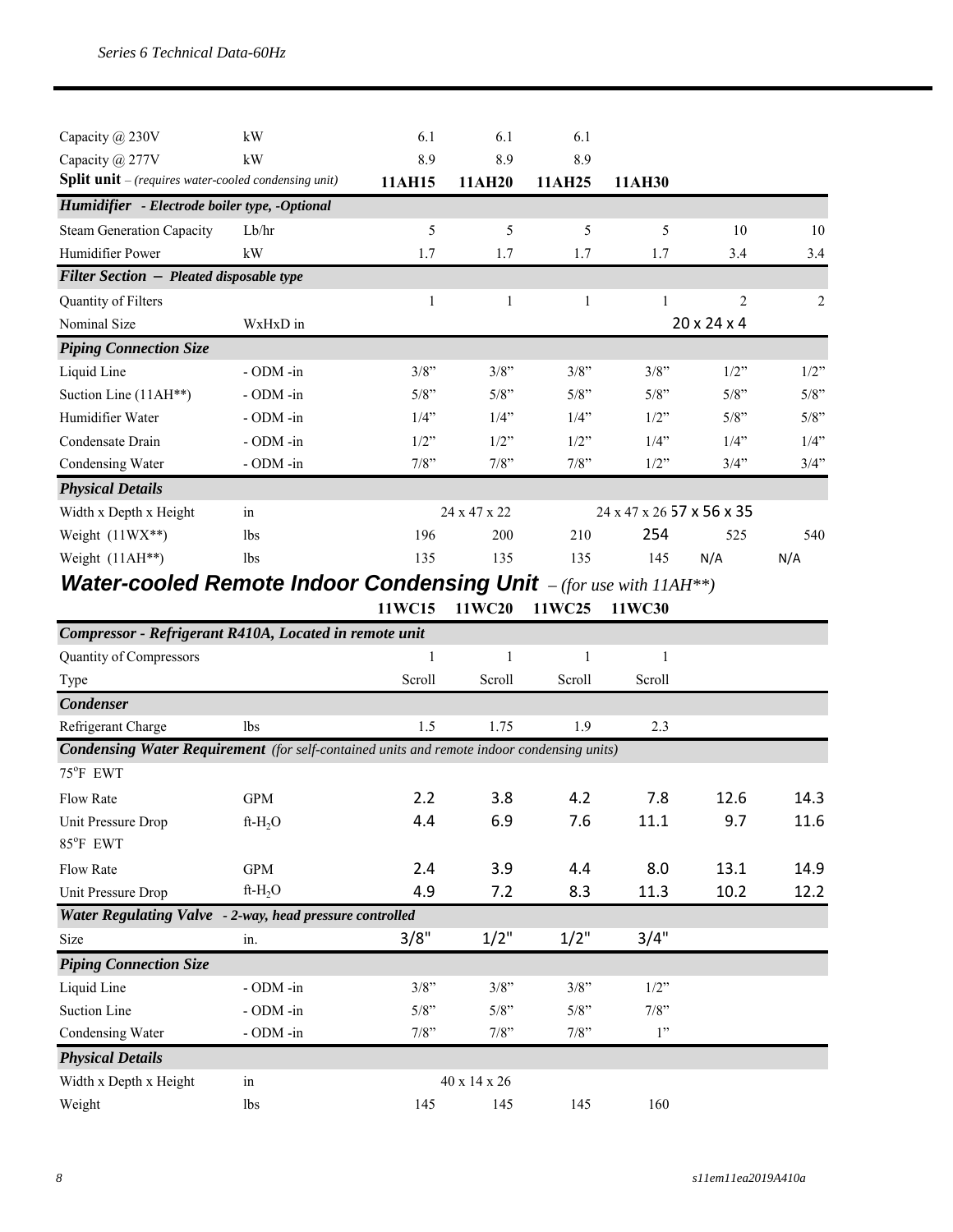| kW                                                            | 6.1     | 6.1            | 6.1          |                         |         |                           |
|---------------------------------------------------------------|---------|----------------|--------------|-------------------------|---------|---------------------------|
| kW                                                            | 8.9     | 8.9            | 8.9          |                         |         |                           |
| <b>Split unit</b> $-$ (requires water-cooled condensing unit) | 11AH15  | 11AH20         | 11AH25       | 11AH30                  |         |                           |
| Humidifier - Electrode boiler type, -Optional                 |         |                |              |                         |         |                           |
| Lb/hr                                                         | 5       | $\overline{5}$ | 5            | $\overline{5}$          | 10      | 10                        |
| kW                                                            | 1.7     | 1.7            | 1.7          | 1.7                     | 3.4     | 3.4                       |
| <b>Filter Section - Pleated disposable type</b>               |         |                |              |                         |         |                           |
|                                                               | 1       | 1              | 1            | 1                       | 2       | 2                         |
| WxHxD in                                                      |         |                |              | $20 \times 24 \times 4$ |         |                           |
|                                                               |         |                |              |                         |         |                           |
| - ODM -in                                                     | $3/8$ " | 3/8"           | 3/8"         | 3/8"                    | $1/2$ " | $1/2$ "                   |
| $-$ ODM $-$ in                                                | 5/8"    | 5/8"           | $5/8$ "      | $5/8$ "                 | $5/8$ " | $5/8$ "                   |
| $-$ ODM $-$ in                                                | $1/4$ " | 1/4"           | $1/4$ "      | $1/2$ "                 | $5/8$ " | $5/8$ "                   |
| $-$ ODM $-$ in                                                | $1/2$ " | $1/2$ "        | $1/2$ "      | $1/4$ "                 | 1/4"    | 1/4"                      |
| - ODM -in                                                     | 7/8"    | 7/8"           | 7/8"         | 1/2"                    | 3/4"    | 3/4"                      |
|                                                               |         |                |              |                         |         |                           |
| in                                                            |         |                |              |                         |         |                           |
| 1 <sub>bs</sub>                                               | 196     | 200            | 210          | 254                     | 525     | 540                       |
| 1bs                                                           | 135     | 135            | 135          | 145                     | N/A     | N/A                       |
|                                                               |         |                | 24 x 47 x 22 |                         |         | 24 x 47 x 26 57 x 56 x 35 |

#### *Water-cooled Remote Indoor Condensing Unit – (for use with 11AH\*\*)*

**11WC15 11WC20 11WC25 11WC30**

| Compressor - Refrigerant R410A, Located in remote unit                                            |                |         |              |         |         |      |      |
|---------------------------------------------------------------------------------------------------|----------------|---------|--------------|---------|---------|------|------|
| Quantity of Compressors                                                                           |                |         | 1            | 1       |         |      |      |
| Type                                                                                              |                | Scroll  | Scroll       | Scroll  | Scroll  |      |      |
| <b>Condenser</b>                                                                                  |                |         |              |         |         |      |      |
| Refrigerant Charge                                                                                | 1bs            | 1.5     | 1.75         | 1.9     | 2.3     |      |      |
| <b>Condensing Water Requirement</b> (for self-contained units and remote indoor condensing units) |                |         |              |         |         |      |      |
| 75°F EWT                                                                                          |                |         |              |         |         |      |      |
| <b>Flow Rate</b>                                                                                  | <b>GPM</b>     | 2.2     | 3.8          | 4.2     | 7.8     | 12.6 | 14.3 |
| Unit Pressure Drop                                                                                | $ft-H_2O$      | 4.4     | 6.9          | 7.6     | 11.1    | 9.7  | 11.6 |
| 85°F EWT                                                                                          |                |         |              |         |         |      |      |
| <b>Flow Rate</b>                                                                                  | <b>GPM</b>     | 2.4     | 3.9          | 4.4     | 8.0     | 13.1 | 14.9 |
| Unit Pressure Drop                                                                                | ft- $H_2O$     | 4.9     | 7.2          | 8.3     | 11.3    | 10.2 | 12.2 |
| Water Regulating Valve - 2-way, head pressure controlled                                          |                |         |              |         |         |      |      |
| Size                                                                                              | in.            | 3/8"    | 1/2"         | $1/2$ " | 3/4"    |      |      |
| <b>Piping Connection Size</b>                                                                     |                |         |              |         |         |      |      |
| Liquid Line                                                                                       | $-$ ODM $-$ in | $3/8$ " | 3/8"         | 3/8"    | 1/2"    |      |      |
| Suction Line                                                                                      | $-$ ODM $-$ in | $5/8$ " | $5/8$ "      | $5/8$ " | $7/8$ " |      |      |
| Condensing Water                                                                                  | - ODM -in      | $7/8$ " | 7/8"         | 7/8"    | 1"      |      |      |
| <b>Physical Details</b>                                                                           |                |         |              |         |         |      |      |
| Width x Depth x Height                                                                            | in             |         | 40 x 14 x 26 |         |         |      |      |
| Weight                                                                                            | <b>lbs</b>     | 145     | 145          | 145     | 160     |      |      |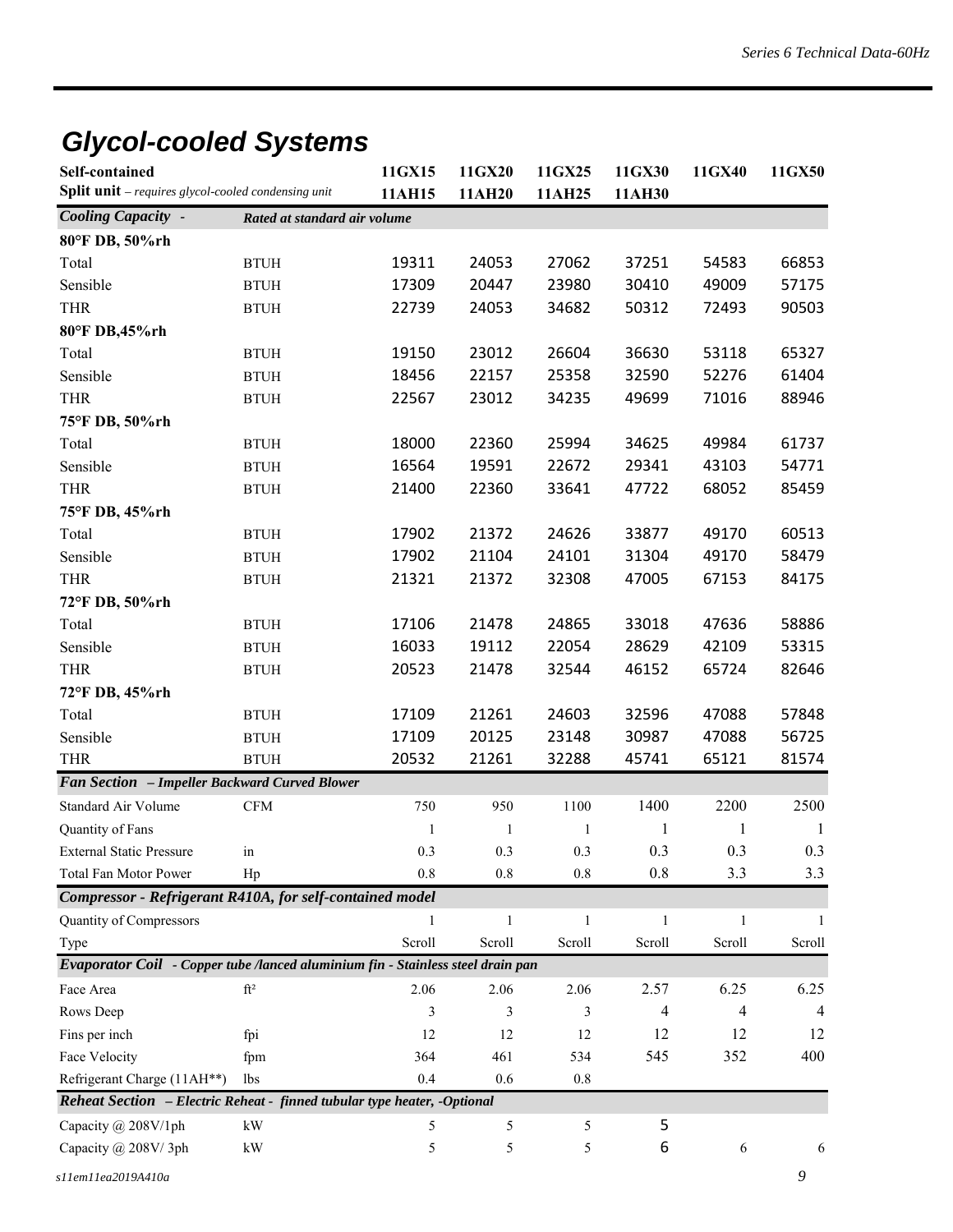# *Glycol-cooled Systems*

| <b>Self-contained</b>                                                           |                              | 11GX15       | 11GX20       | 11GX25       | 11GX30         | 11GX40         | 11GX50 |
|---------------------------------------------------------------------------------|------------------------------|--------------|--------------|--------------|----------------|----------------|--------|
| Split unit - requires glycol-cooled condensing unit                             |                              | 11AH15       | 11AH20       | 11AH25       | 11AH30         |                |        |
| <b>Cooling Capacity -</b>                                                       | Rated at standard air volume |              |              |              |                |                |        |
| 80°F DB, 50%rh                                                                  |                              |              |              |              |                |                |        |
| Total                                                                           | <b>BTUH</b>                  | 19311        | 24053        | 27062        | 37251          | 54583          | 66853  |
| Sensible                                                                        | <b>BTUH</b>                  | 17309        | 20447        | 23980        | 30410          | 49009          | 57175  |
| <b>THR</b>                                                                      | <b>BTUH</b>                  | 22739        | 24053        | 34682        | 50312          | 72493          | 90503  |
| 80°F DB,45%rh                                                                   |                              |              |              |              |                |                |        |
| Total                                                                           | <b>BTUH</b>                  | 19150        | 23012        | 26604        | 36630          | 53118          | 65327  |
| Sensible                                                                        | <b>BTUH</b>                  | 18456        | 22157        | 25358        | 32590          | 52276          | 61404  |
| <b>THR</b>                                                                      | <b>BTUH</b>                  | 22567        | 23012        | 34235        | 49699          | 71016          | 88946  |
| 75°F DB, 50%rh                                                                  |                              |              |              |              |                |                |        |
| Total                                                                           | <b>BTUH</b>                  | 18000        | 22360        | 25994        | 34625          | 49984          | 61737  |
| Sensible                                                                        | <b>BTUH</b>                  | 16564        | 19591        | 22672        | 29341          | 43103          | 54771  |
| <b>THR</b>                                                                      | <b>BTUH</b>                  | 21400        | 22360        | 33641        | 47722          | 68052          | 85459  |
| 75°F DB, 45%rh                                                                  |                              |              |              |              |                |                |        |
| Total                                                                           | <b>BTUH</b>                  | 17902        | 21372        | 24626        | 33877          | 49170          | 60513  |
| Sensible                                                                        | <b>BTUH</b>                  | 17902        | 21104        | 24101        | 31304          | 49170          | 58479  |
| <b>THR</b>                                                                      | <b>BTUH</b>                  | 21321        | 21372        | 32308        | 47005          | 67153          | 84175  |
| 72°F DB, 50%rh                                                                  |                              |              |              |              |                |                |        |
| Total                                                                           | <b>BTUH</b>                  | 17106        | 21478        | 24865        | 33018          | 47636          | 58886  |
| Sensible                                                                        | <b>BTUH</b>                  | 16033        | 19112        | 22054        | 28629          | 42109          | 53315  |
| <b>THR</b>                                                                      | <b>BTUH</b>                  | 20523        | 21478        | 32544        | 46152          | 65724          | 82646  |
| 72°F DB, 45%rh                                                                  |                              |              |              |              |                |                |        |
| Total                                                                           | <b>BTUH</b>                  | 17109        | 21261        | 24603        | 32596          | 47088          | 57848  |
| Sensible                                                                        | <b>BTUH</b>                  | 17109        | 20125        | 23148        | 30987          | 47088          | 56725  |
| <b>THR</b>                                                                      | <b>BTUH</b>                  | 20532        | 21261        | 32288        | 45741          | 65121          | 81574  |
| Fan Section - Impeller Backward Curved Blower                                   |                              |              |              |              |                |                |        |
| Standard Air Volume                                                             | <b>CFM</b>                   | 750          | 950          | 1100         | 1400           | 2200           | 2500   |
| Quantity of Fans                                                                |                              | $\mathbf{1}$ | $\mathbf{1}$ | 1            | 1              | 1              | -1     |
| <b>External Static Pressure</b>                                                 | in                           | 0.3          | 0.3          | 0.3          | 0.3            | 0.3            | 0.3    |
| <b>Total Fan Motor Power</b>                                                    | Hp                           | 0.8          | 0.8          | 0.8          | 0.8            | 3.3            | 3.3    |
| Compressor - Refrigerant R410A, for self-contained model                        |                              |              |              |              |                |                |        |
| Quantity of Compressors                                                         |                              | $\mathbf{1}$ | $\mathbf{1}$ | $\mathbf{1}$ | $\mathbf{1}$   | $\mathbf{1}$   | 1      |
| Type                                                                            |                              | Scroll       | Scroll       | Scroll       | Scroll         | Scroll         | Scroll |
| Evaporator Coil - Copper tube /lanced aluminium fin - Stainless steel drain pan |                              |              |              |              |                |                |        |
| Face Area                                                                       | $\mathrm{ft}^2$              | 2.06         | 2.06         | 2.06         | 2.57           | 6.25           | 6.25   |
| Rows Deep                                                                       |                              | 3            | 3            | 3            | $\overline{4}$ | $\overline{4}$ | 4      |
| Fins per inch                                                                   | fpi                          | 12           | 12           | 12           | 12             | 12             | 12     |
| Face Velocity                                                                   | fpm                          | 364          | 461          | 534          | 545            | 352            | 400    |
| Refrigerant Charge (11AH**)                                                     | lbs                          | 0.4          | 0.6          | 0.8          |                |                |        |
| Reheat Section - Electric Reheat - finned tubular type heater, -Optional        |                              |              |              |              |                |                |        |
| Capacity @ 208V/1ph                                                             | kW                           | 5            | 5            | 5            | 5              |                |        |
| Capacity @ 208V/3ph                                                             | $\mathbf{k}\mathbf{W}$       | 5            | 5            | 5            | 6              | 6              | 6      |
|                                                                                 |                              |              |              |              |                |                |        |
| s11em11ea2019A410a                                                              |                              |              |              |              |                |                | 9      |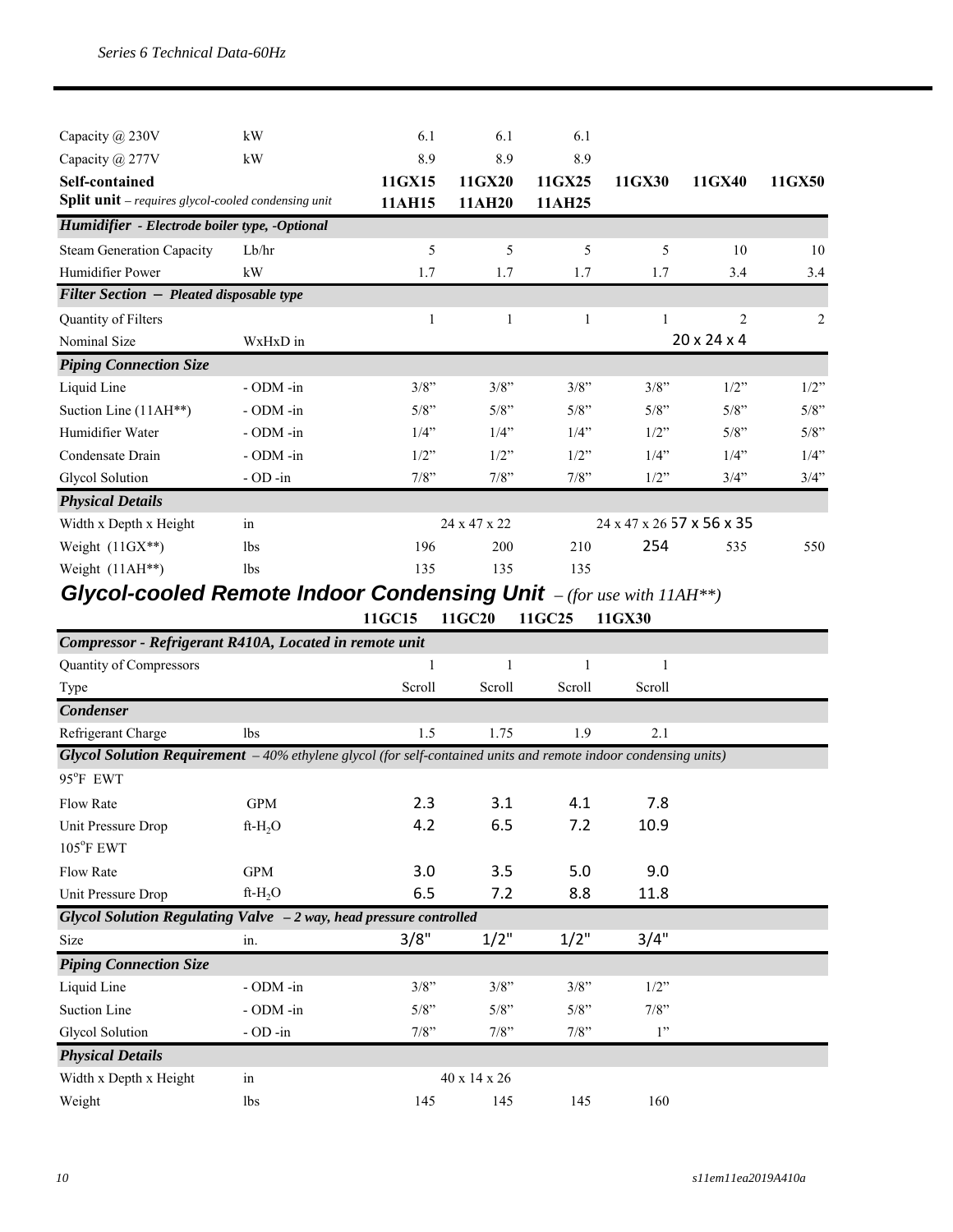| Capacity @ 230V                                                             | kW              | 6.1     | 6.1          | 6.1          |                                                     |                |                |
|-----------------------------------------------------------------------------|-----------------|---------|--------------|--------------|-----------------------------------------------------|----------------|----------------|
|                                                                             | kW              | 8.9     | 8.9          | 8.9          |                                                     |                |                |
| Capacity @ 277V                                                             |                 |         |              |              |                                                     |                |                |
| Self-contained                                                              |                 | 11GX15  | 11GX20       | 11GX25       | 11GX30                                              | 11GX40         | 11GX50         |
| Split unit - requires glycol-cooled condensing unit                         |                 | 11AH15  | 11AH20       | 11AH25       |                                                     |                |                |
| Humidifier - Electrode boiler type, -Optional                               |                 |         |              |              |                                                     |                |                |
| <b>Steam Generation Capacity</b>                                            | Lb/hr           | 5       | 5            | 5            | 5                                                   | 10             | 10             |
| Humidifier Power                                                            | kW              | 1.7     | 1.7          | 1.7          | 1.7                                                 | 3.4            | 3.4            |
| <b>Filter Section - Pleated disposable type</b>                             |                 |         |              |              |                                                     |                |                |
| Quantity of Filters                                                         |                 | 1       | 1            | $\mathbf{1}$ |                                                     | $\overline{2}$ | $\overline{2}$ |
| Nominal Size                                                                | WxHxD in        |         |              |              | $20 \times 24 \times 4$                             |                |                |
| <b>Piping Connection Size</b>                                               |                 |         |              |              |                                                     |                |                |
| Liquid Line                                                                 | - ODM -in       | $3/8$ " | $3/8$ "      | $3/8$ "      | $3/8$ "                                             | $1/2$ "        | 1/2"           |
| Suction Line (11AH**)                                                       | - ODM -in       | $5/8$ " | $5/8$ "      | 5/8"         | $5/8$ "                                             | 5/8"           | 5/8"           |
| Humidifier Water                                                            | - ODM -in       | $1/4$ " | $1/4$ "      | 1/4"         | $1/2$ "                                             | 5/8"           | 5/8"           |
| Condensate Drain                                                            | - ODM -in       | $1/2$ " | $1/2$ "      | $1/2$ "      | $1/4$ "                                             | 1/4"           | $1/4$ "        |
| Glycol Solution                                                             | $-$ OD $-$ in   | 7/8"    | 7/8"         | 7/8"         | $1/2$ "                                             | 3/4"           | 3/4"           |
| <b>Physical Details</b>                                                     |                 |         |              |              |                                                     |                |                |
| Width x Depth x Height                                                      | in              |         | 24 x 47 x 22 |              | $24 \times 47 \times 26$ 57 $\times$ 56 $\times$ 35 |                |                |
| Weight $(11GX**)$                                                           | 1 <sub>bs</sub> | 196     | 200          | 210          | 254                                                 | 535            | 550            |
| Weight (11AH**)                                                             | 1 <sub>bs</sub> | 135     | 135          | 135          |                                                     |                |                |
| <b>Glycol-cooled Remote Indoor Condensing Unit</b> $-(for use with 11AH**)$ |                 |         |              |              |                                                     |                |                |
|                                                                             |                 | 11GC15  | 11GC20       | 11GC25       | 11GX30                                              |                |                |
|                                                                             |                 |         |              |              |                                                     |                |                |

| Compressor - Refrigerant R410A, Located in remote unit                                                                  |                 |              |              |              |         |  |
|-------------------------------------------------------------------------------------------------------------------------|-----------------|--------------|--------------|--------------|---------|--|
| Quantity of Compressors                                                                                                 |                 | $\mathbf{1}$ | 1            | $\mathbf{1}$ | 1       |  |
| Type                                                                                                                    |                 | Scroll       | Scroll       | Scroll       | Scroll  |  |
| <b>Condenser</b>                                                                                                        |                 |              |              |              |         |  |
| Refrigerant Charge                                                                                                      | 1bs             | 1.5          | 1.75         | 1.9          | 2.1     |  |
| <b>Glycol Solution Requirement</b> $-40%$ ethylene glycol (for self-contained units and remote indoor condensing units) |                 |              |              |              |         |  |
| 95°F EWT                                                                                                                |                 |              |              |              |         |  |
| <b>Flow Rate</b>                                                                                                        | <b>GPM</b>      | 2.3          | 3.1          | 4.1          | 7.8     |  |
| Unit Pressure Drop                                                                                                      | $ft-H_2O$       | 4.2          | 6.5          | 7.2          | 10.9    |  |
| $105^{\circ}$ F EWT                                                                                                     |                 |              |              |              |         |  |
| <b>Flow Rate</b>                                                                                                        | <b>GPM</b>      | 3.0          | 3.5          | 5.0          | 9.0     |  |
| Unit Pressure Drop                                                                                                      | $ft-H_2O$       | 6.5          | 7.2          | 8.8          | 11.8    |  |
| Glycol Solution Regulating Valve - 2 way, head pressure controlled                                                      |                 |              |              |              |         |  |
| Size                                                                                                                    | in.             | 3/8"         | $1/2$ "      | $1/2$ "      | 3/4"    |  |
| <b>Piping Connection Size</b>                                                                                           |                 |              |              |              |         |  |
| Liquid Line                                                                                                             | $-$ ODM $-$ in  | 3/8"         | 3/8"         | 3/8"         | $1/2$ " |  |
| Suction Line                                                                                                            | - ODM -in       | $5/8$ "      | 5/8"         | 5/8"         | $7/8$ " |  |
| Glycol Solution                                                                                                         | $-$ OD $-$ in   | 7/8"         | 7/8"         | 7/8"         | 1"      |  |
| <b>Physical Details</b>                                                                                                 |                 |              |              |              |         |  |
| Width x Depth x Height                                                                                                  | in              |              | 40 x 14 x 26 |              |         |  |
| Weight                                                                                                                  | 1 <sub>bs</sub> | 145          | 145          | 145          | 160     |  |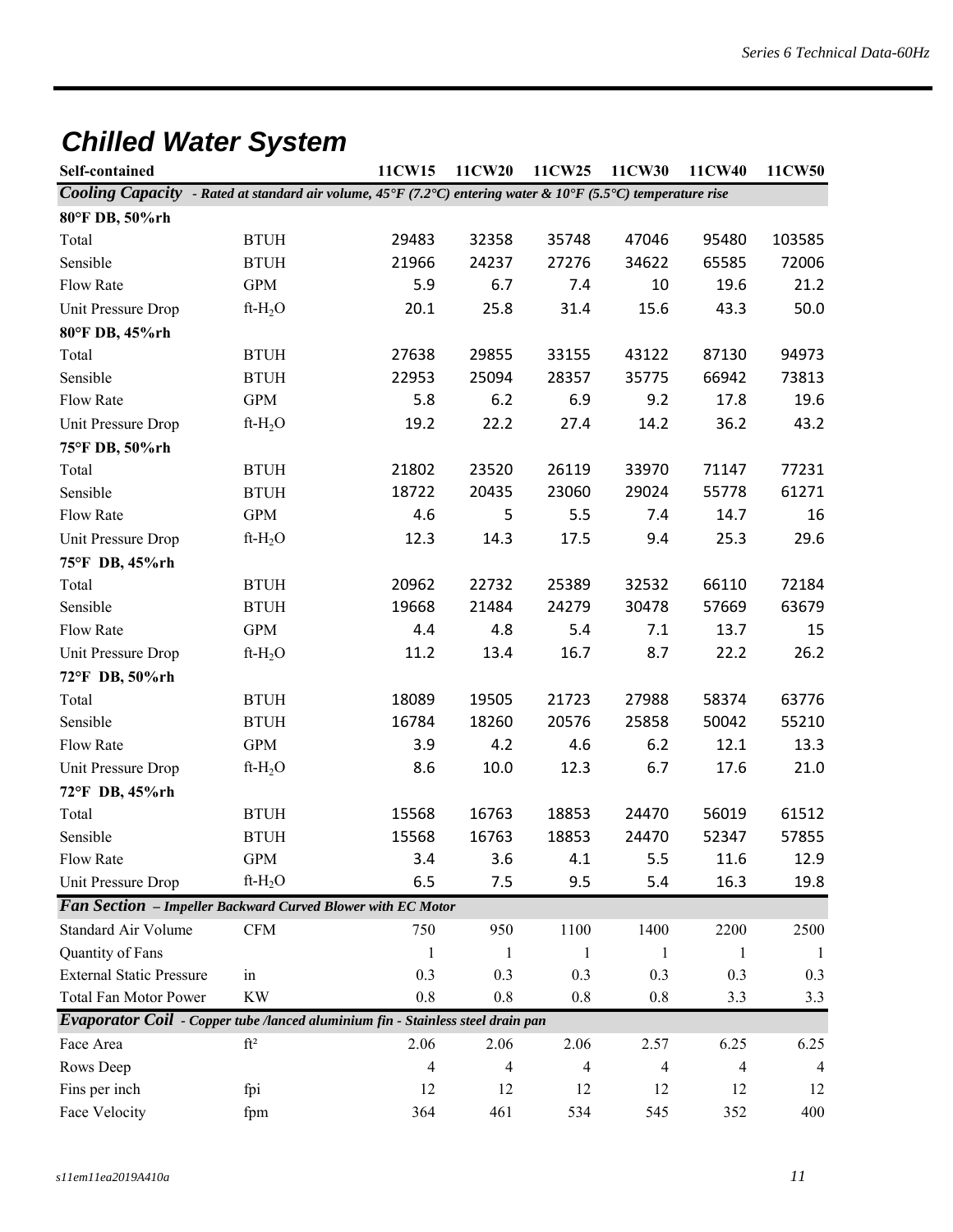# *Chilled Water System*

| Self-contained                  |                                                                                                              | 11CW15         | 11CW20  | 11CW25         | 11CW30         | 11CW40 | 11CW50         |
|---------------------------------|--------------------------------------------------------------------------------------------------------------|----------------|---------|----------------|----------------|--------|----------------|
|                                 | Cooling Capacity - Rated at standard air volume, 45°F (7.2°C) entering water & 10°F (5.5°C) temperature rise |                |         |                |                |        |                |
| 80°F DB, 50%rh                  |                                                                                                              |                |         |                |                |        |                |
| Total                           | <b>BTUH</b>                                                                                                  | 29483          | 32358   | 35748          | 47046          | 95480  | 103585         |
| Sensible                        | <b>BTUH</b>                                                                                                  | 21966          | 24237   | 27276          | 34622          | 65585  | 72006          |
| Flow Rate                       | <b>GPM</b>                                                                                                   | 5.9            | 6.7     | 7.4            | 10             | 19.6   | 21.2           |
| Unit Pressure Drop              | $ft-H2O$                                                                                                     | 20.1           | 25.8    | 31.4           | 15.6           | 43.3   | 50.0           |
| 80°F DB, 45%rh                  |                                                                                                              |                |         |                |                |        |                |
| Total                           | <b>BTUH</b>                                                                                                  | 27638          | 29855   | 33155          | 43122          | 87130  | 94973          |
| Sensible                        | <b>BTUH</b>                                                                                                  | 22953          | 25094   | 28357          | 35775          | 66942  | 73813          |
| Flow Rate                       | <b>GPM</b>                                                                                                   | 5.8            | 6.2     | 6.9            | 9.2            | 17.8   | 19.6           |
| Unit Pressure Drop              | $ft-H_2O$                                                                                                    | 19.2           | 22.2    | 27.4           | 14.2           | 36.2   | 43.2           |
| 75°F DB, 50%rh                  |                                                                                                              |                |         |                |                |        |                |
| Total                           | <b>BTUH</b>                                                                                                  | 21802          | 23520   | 26119          | 33970          | 71147  | 77231          |
| Sensible                        | <b>BTUH</b>                                                                                                  | 18722          | 20435   | 23060          | 29024          | 55778  | 61271          |
| Flow Rate                       | <b>GPM</b>                                                                                                   | 4.6            | 5       | 5.5            | 7.4            | 14.7   | 16             |
| Unit Pressure Drop              | $ft-H_2O$                                                                                                    | 12.3           | 14.3    | 17.5           | 9.4            | 25.3   | 29.6           |
| 75°F DB, 45%rh                  |                                                                                                              |                |         |                |                |        |                |
| Total                           | <b>BTUH</b>                                                                                                  | 20962          | 22732   | 25389          | 32532          | 66110  | 72184          |
| Sensible                        | <b>BTUH</b>                                                                                                  | 19668          | 21484   | 24279          | 30478          | 57669  | 63679          |
| Flow Rate                       | <b>GPM</b>                                                                                                   | 4.4            | 4.8     | 5.4            | 7.1            | 13.7   | 15             |
| Unit Pressure Drop              | $ft-H2O$                                                                                                     | 11.2           | 13.4    | 16.7           | 8.7            | 22.2   | 26.2           |
| 72°F DB, 50%rh                  |                                                                                                              |                |         |                |                |        |                |
| Total                           | <b>BTUH</b>                                                                                                  | 18089          | 19505   | 21723          | 27988          | 58374  | 63776          |
| Sensible                        | <b>BTUH</b>                                                                                                  | 16784          | 18260   | 20576          | 25858          | 50042  | 55210          |
| Flow Rate                       | <b>GPM</b>                                                                                                   | 3.9            | 4.2     | 4.6            | 6.2            | 12.1   | 13.3           |
| Unit Pressure Drop              | ft- $H_2O$                                                                                                   | 8.6            | 10.0    | 12.3           | 6.7            | 17.6   | 21.0           |
| 72°F DB, 45%rh                  |                                                                                                              |                |         |                |                |        |                |
| Total                           | <b>BTUH</b>                                                                                                  | 15568          | 16763   | 18853          | 24470          | 56019  | 61512          |
| Sensible                        | <b>BTUH</b>                                                                                                  | 15568          | 16763   | 18853          | 24470          | 52347  | 57855          |
| Flow Rate                       | GPM                                                                                                          | 3.4            | 3.6     | 4.1            | 5.5            | 11.6   | 12.9           |
| Unit Pressure Drop              | ft- $H_2O$                                                                                                   | 6.5            | 7.5     | 9.5            | 5.4            | 16.3   | 19.8           |
|                                 | Fan Section - Impeller Backward Curved Blower with EC Motor                                                  |                |         |                |                |        |                |
| <b>Standard Air Volume</b>      | <b>CFM</b>                                                                                                   | 750            | 950     | 1100           | 1400           | 2200   | 2500           |
| Quantity of Fans                |                                                                                                              | 1              | 1       | 1              | 1              | 1      | -1             |
| <b>External Static Pressure</b> | in                                                                                                           | 0.3            | 0.3     | 0.3            | 0.3            | 0.3    | 0.3            |
| <b>Total Fan Motor Power</b>    | <b>KW</b>                                                                                                    | 0.8            | $0.8\,$ | 0.8            | 0.8            | 3.3    | 3.3            |
|                                 | Evaporator Coil - Copper tube /lanced aluminium fin - Stainless steel drain pan                              |                |         |                |                |        |                |
| Face Area                       | $\mathrm{ft}^2$                                                                                              | 2.06           | 2.06    | 2.06           | 2.57           | 6.25   | 6.25           |
| Rows Deep                       |                                                                                                              | $\overline{4}$ | 4       | $\overline{4}$ | $\overline{4}$ | 4      | $\overline{4}$ |
| Fins per inch                   | fpi                                                                                                          | 12             | 12      | 12             | 12             | 12     | 12             |
| Face Velocity                   | fpm                                                                                                          | 364            | 461     | 534            | 545            | 352    | 400            |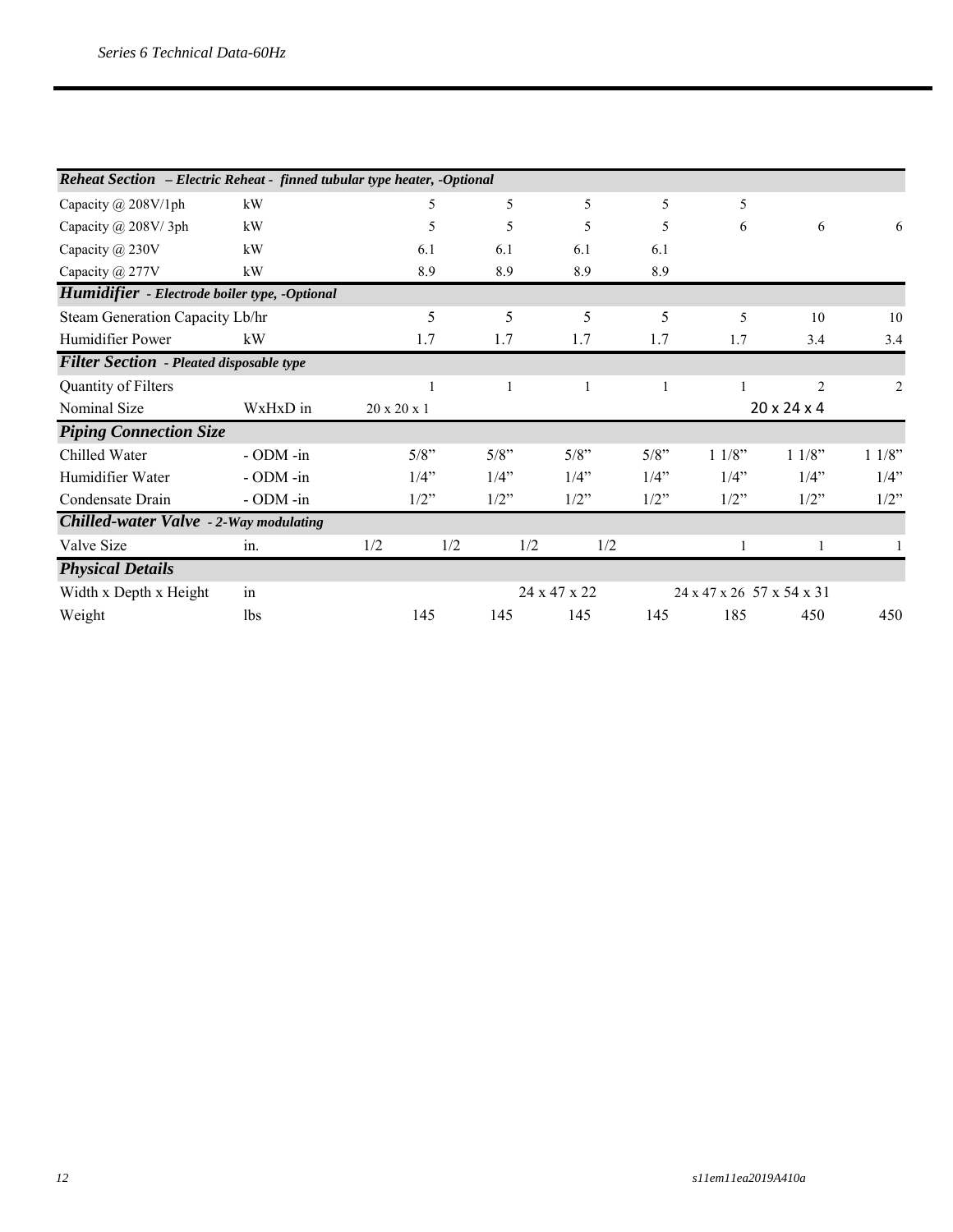| Reheat Section - Electric Reheat - finned tubular type heater, -Optional |                |                         |         |              |         |                           |                         |                |
|--------------------------------------------------------------------------|----------------|-------------------------|---------|--------------|---------|---------------------------|-------------------------|----------------|
| Capacity $\omega$ 208V/1ph                                               | kW             | 5                       | 5       | 5            | 5       | 5                         |                         |                |
| Capacity @ 208V/3ph                                                      | kW             | 5                       | 5       | 5            | 5       | 6                         | 6                       | 6              |
| Capacity @ 230V                                                          | kW             | 6.1                     | 6.1     | 6.1          | 6.1     |                           |                         |                |
| Capacity @ 277V                                                          | kW             | 8.9                     | 8.9     | 8.9          | 8.9     |                           |                         |                |
| Humidifier - Electrode boiler type, -Optional                            |                |                         |         |              |         |                           |                         |                |
| Steam Generation Capacity Lb/hr                                          |                | 5                       | 5       | 5            | 5       | 5                         | 10                      | 10             |
| Humidifier Power                                                         | kW             | 1.7                     | 1.7     | 1.7          | 1.7     | 1.7                       | 3.4                     | 3.4            |
| <b>Filter Section</b> - Pleated disposable type                          |                |                         |         |              |         |                           |                         |                |
| Quantity of Filters                                                      |                |                         |         | 1            |         |                           | $\overline{2}$          | $\overline{2}$ |
| Nominal Size                                                             | WxHxD in       | $20 \times 20 \times 1$ |         |              |         |                           | $20 \times 24 \times 4$ |                |
| <b>Piping Connection Size</b>                                            |                |                         |         |              |         |                           |                         |                |
| Chilled Water                                                            | - ODM -in      | 5/8"                    | $5/8$ " | 5/8"         | 5/8"    | 11/8"                     | 11/8"                   | 11/8"          |
| Humidifier Water                                                         | $-$ ODM $-$ in | 1/4"                    | 1/4"    | 1/4"         | 1/4"    | $1/4$ "                   | $1/4$ "                 | 1/4"           |
| Condensate Drain                                                         | $-$ ODM $-$ in | $1/2$ "                 | $1/2$ " | $1/2$ "      | $1/2$ " | $1/2$ "                   | $1/2$ "                 | $1/2$ "        |
| Chilled-water Valve - 2-Way modulating                                   |                |                         |         |              |         |                           |                         |                |
| Valve Size                                                               | in.            | 1/2<br>1/2              |         | 1/2          | 1/2     | 1                         | 1                       |                |
| <b>Physical Details</b>                                                  |                |                         |         |              |         |                           |                         |                |
| Width x Depth x Height                                                   | in             |                         |         | 24 x 47 x 22 |         | 24 x 47 x 26 57 x 54 x 31 |                         |                |
| Weight                                                                   | <b>lbs</b>     | 145                     | 145     | 145          | 145     | 185                       | 450                     | 450            |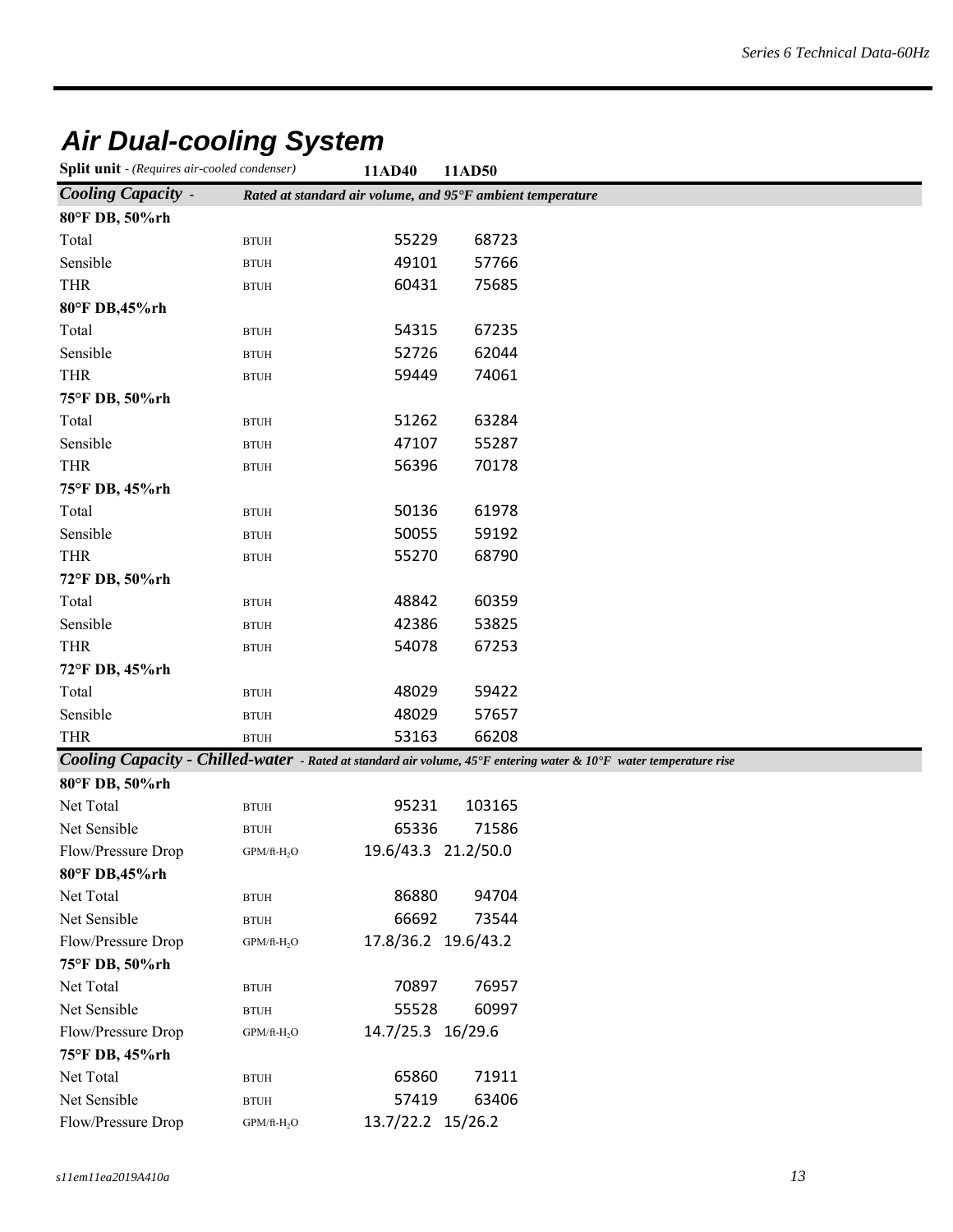# *Air Dual-cooling System*

| <b>Split unit</b> - (Requires air-cooled condenser) | 11AD40 | 11AD50 |
|-----------------------------------------------------|--------|--------|
|-----------------------------------------------------|--------|--------|

|                           |                         |                                                            | 11/11/JV |                                                                                                                    |
|---------------------------|-------------------------|------------------------------------------------------------|----------|--------------------------------------------------------------------------------------------------------------------|
| <b>Cooling Capacity -</b> |                         | Rated at standard air volume, and 95°F ambient temperature |          |                                                                                                                    |
| 80°F DB, 50%rh            |                         |                                                            |          |                                                                                                                    |
| Total                     | $\operatorname{BTUH}$   | 55229                                                      | 68723    |                                                                                                                    |
| Sensible                  | <b>BTUH</b>             | 49101                                                      | 57766    |                                                                                                                    |
| <b>THR</b>                | <b>BTUH</b>             | 60431                                                      | 75685    |                                                                                                                    |
| 80°F DB,45%rh             |                         |                                                            |          |                                                                                                                    |
| Total                     | <b>BTUH</b>             | 54315                                                      | 67235    |                                                                                                                    |
| Sensible                  | <b>BTUH</b>             | 52726                                                      | 62044    |                                                                                                                    |
| <b>THR</b>                | <b>BTUH</b>             | 59449                                                      | 74061    |                                                                                                                    |
| 75°F DB, 50%rh            |                         |                                                            |          |                                                                                                                    |
| Total                     | <b>BTUH</b>             | 51262                                                      | 63284    |                                                                                                                    |
| Sensible                  | <b>BTUH</b>             | 47107                                                      | 55287    |                                                                                                                    |
| <b>THR</b>                | <b>BTUH</b>             | 56396                                                      | 70178    |                                                                                                                    |
| 75°F DB, 45%rh            |                         |                                                            |          |                                                                                                                    |
| Total                     | $\operatorname{BTUH}$   | 50136                                                      | 61978    |                                                                                                                    |
| Sensible                  | <b>BTUH</b>             | 50055                                                      | 59192    |                                                                                                                    |
| <b>THR</b>                | <b>BTUH</b>             | 55270                                                      | 68790    |                                                                                                                    |
| 72°F DB, 50%rh            |                         |                                                            |          |                                                                                                                    |
| Total                     | <b>BTUH</b>             | 48842                                                      | 60359    |                                                                                                                    |
| Sensible                  | <b>BTUH</b>             | 42386                                                      | 53825    |                                                                                                                    |
| <b>THR</b>                | <b>BTUH</b>             | 54078                                                      | 67253    |                                                                                                                    |
| 72°F DB, 45%rh            |                         |                                                            |          |                                                                                                                    |
| Total                     | <b>BTUH</b>             | 48029                                                      | 59422    |                                                                                                                    |
| Sensible                  | <b>BTUH</b>             | 48029                                                      | 57657    |                                                                                                                    |
| THR                       | <b>BTUH</b>             | 53163                                                      | 66208    |                                                                                                                    |
|                           |                         |                                                            |          | Cooling Capacity - Chilled-water - Rated at standard air volume, 45°F entering water & 10°F water temperature rise |
| 80°F DB, 50%rh            |                         |                                                            |          |                                                                                                                    |
| Net Total                 | <b>BTUH</b>             | 95231                                                      | 103165   |                                                                                                                    |
| Net Sensible              | <b>BTUH</b>             | 65336                                                      | 71586    |                                                                                                                    |
| Flow/Pressure Drop        | GPM/ft-H <sub>2</sub> O | 19.6/43.3 21.2/50.0                                        |          |                                                                                                                    |
| 80°F DB,45%rh             |                         |                                                            |          |                                                                                                                    |
| Net Total                 | $\operatorname{BTUH}$   | 86880                                                      | 94704    |                                                                                                                    |
| Net Sensible              | <b>BTUH</b>             | 66692                                                      | 73544    |                                                                                                                    |
| Flow/Pressure Drop        | GPM/ft-H <sub>2</sub> O | 17.8/36.2 19.6/43.2                                        |          |                                                                                                                    |
|                           |                         |                                                            |          |                                                                                                                    |

| 75°F DB, 50%rh     |                         |                   |       |
|--------------------|-------------------------|-------------------|-------|
| Net Total          | <b>BTUH</b>             | 70897             | 76957 |
| Net Sensible       | <b>BTUH</b>             | 55528             | 60997 |
| Flow/Pressure Drop | GPM/ft-H <sub>2</sub> O | 14.7/25.3 16/29.6 |       |
| 75°F DB, 45%rh     |                         |                   |       |
| Net Total          | <b>BTUH</b>             | 65860             | 71911 |
| Net Sensible       | <b>BTUH</b>             | 57419             | 63406 |
| Flow/Pressure Drop | GPM/ft-H <sub>2</sub> O | 13.7/22.2 15/26.2 |       |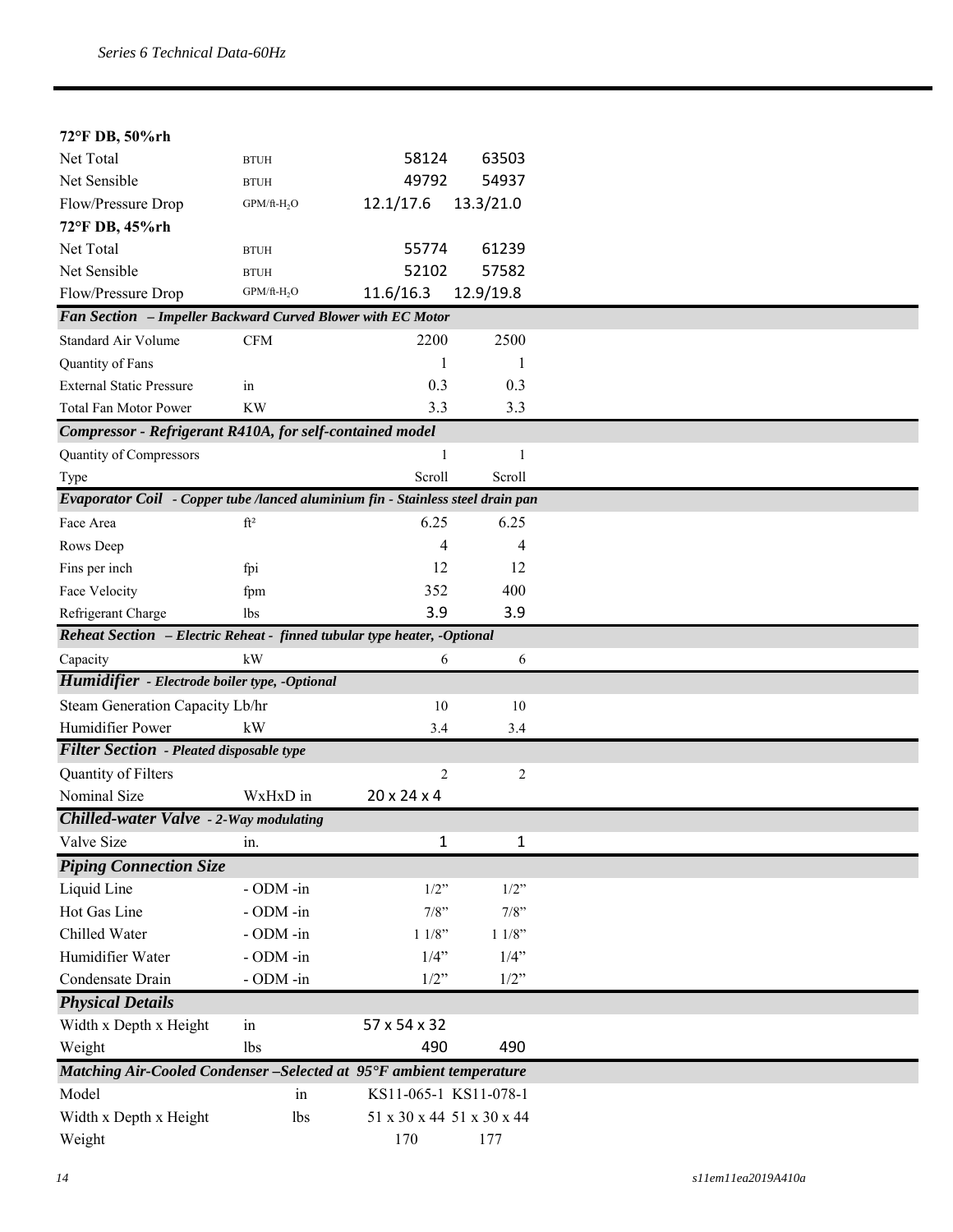| 72°F DB, 50%rh                                                                  |                         |                           |                |
|---------------------------------------------------------------------------------|-------------------------|---------------------------|----------------|
| Net Total                                                                       | <b>BTUH</b>             | 58124                     | 63503          |
| Net Sensible                                                                    | <b>BTUH</b>             | 49792                     | 54937          |
| Flow/Pressure Drop                                                              | $GPM/ft-H_2O$           | 12.1/17.6                 | 13.3/21.0      |
| 72°F DB, 45%rh                                                                  |                         |                           |                |
| Net Total                                                                       | <b>BTUH</b>             | 55774                     | 61239          |
| Net Sensible                                                                    | <b>BTUH</b>             | 52102                     | 57582          |
| Flow/Pressure Drop                                                              | GPM/ft-H <sub>2</sub> O | 11.6/16.3                 | 12.9/19.8      |
| Fan Section - Impeller Backward Curved Blower with EC Motor                     |                         |                           |                |
| Standard Air Volume                                                             | CFM                     | 2200                      | 2500           |
| Quantity of Fans                                                                |                         | 1                         | 1              |
| <b>External Static Pressure</b>                                                 | in                      | 0.3                       | 0.3            |
| Total Fan Motor Power                                                           | <b>KW</b>               | 3.3                       | 3.3            |
| Compressor - Refrigerant R410A, for self-contained model                        |                         |                           |                |
| Quantity of Compressors                                                         |                         | 1                         | $\mathbf{1}$   |
| Type                                                                            |                         | Scroll                    | Scroll         |
| Evaporator Coil - Copper tube /lanced aluminium fin - Stainless steel drain pan |                         |                           |                |
| Face Area                                                                       | $ft^2$                  | 6.25                      | 6.25           |
| Rows Deep                                                                       |                         | 4                         | 4              |
| Fins per inch                                                                   | fpi                     | 12                        | 12             |
| Face Velocity                                                                   | fpm                     | 352                       | 400            |
| Refrigerant Charge                                                              | <b>lbs</b>              | 3.9                       | 3.9            |
| Reheat Section - Electric Reheat - finned tubular type heater, -Optional        |                         |                           |                |
| Capacity                                                                        | kW                      | 6                         | 6              |
| Humidifier - Electrode boiler type, -Optional                                   |                         |                           |                |
| Steam Generation Capacity Lb/hr                                                 |                         | 10                        | 10             |
| Humidifier Power                                                                | kW                      | 3.4                       | 3.4            |
| <b>Filter Section</b> - Pleated disposable type                                 |                         |                           |                |
| Quantity of Filters                                                             |                         | 2                         | $\overline{c}$ |
| Nominal Size                                                                    | WxHxD in                | 20 x 24 x 4               |                |
| <b>Chilled-water Valve - 2-Way modulating</b>                                   |                         |                           |                |
| Valve Size                                                                      | in.                     | $\mathbf{1}$              | $\mathbf{1}$   |
| <b>Piping Connection Size</b>                                                   |                         |                           |                |
| Liquid Line                                                                     | - ODM -in               | $1/2$ "                   | $1/2$ "        |
| Hot Gas Line                                                                    | - ODM -in               | 7/8"                      | 7/8"           |
| Chilled Water                                                                   | - ODM -in               | 11/8"                     | 11/8"          |
| Humidifier Water                                                                | - ODM -in               | $1/4$ "                   | $1/4$ "        |
| Condensate Drain                                                                | - ODM -in               | $1/2$ "                   | $1/2$ "        |
| <b>Physical Details</b>                                                         |                         |                           |                |
| Width x Depth x Height                                                          | in                      | 57 x 54 x 32              |                |
| Weight                                                                          | <b>lbs</b>              | 490                       | 490            |
| Matching Air-Cooled Condenser - Selected at 95°F ambient temperature            |                         |                           |                |
| Model                                                                           | in                      | KS11-065-1 KS11-078-1     |                |
| Width x Depth x Height                                                          | lbs                     | 51 x 30 x 44 51 x 30 x 44 |                |
| Weight                                                                          |                         | 170                       | 177            |
|                                                                                 |                         |                           |                |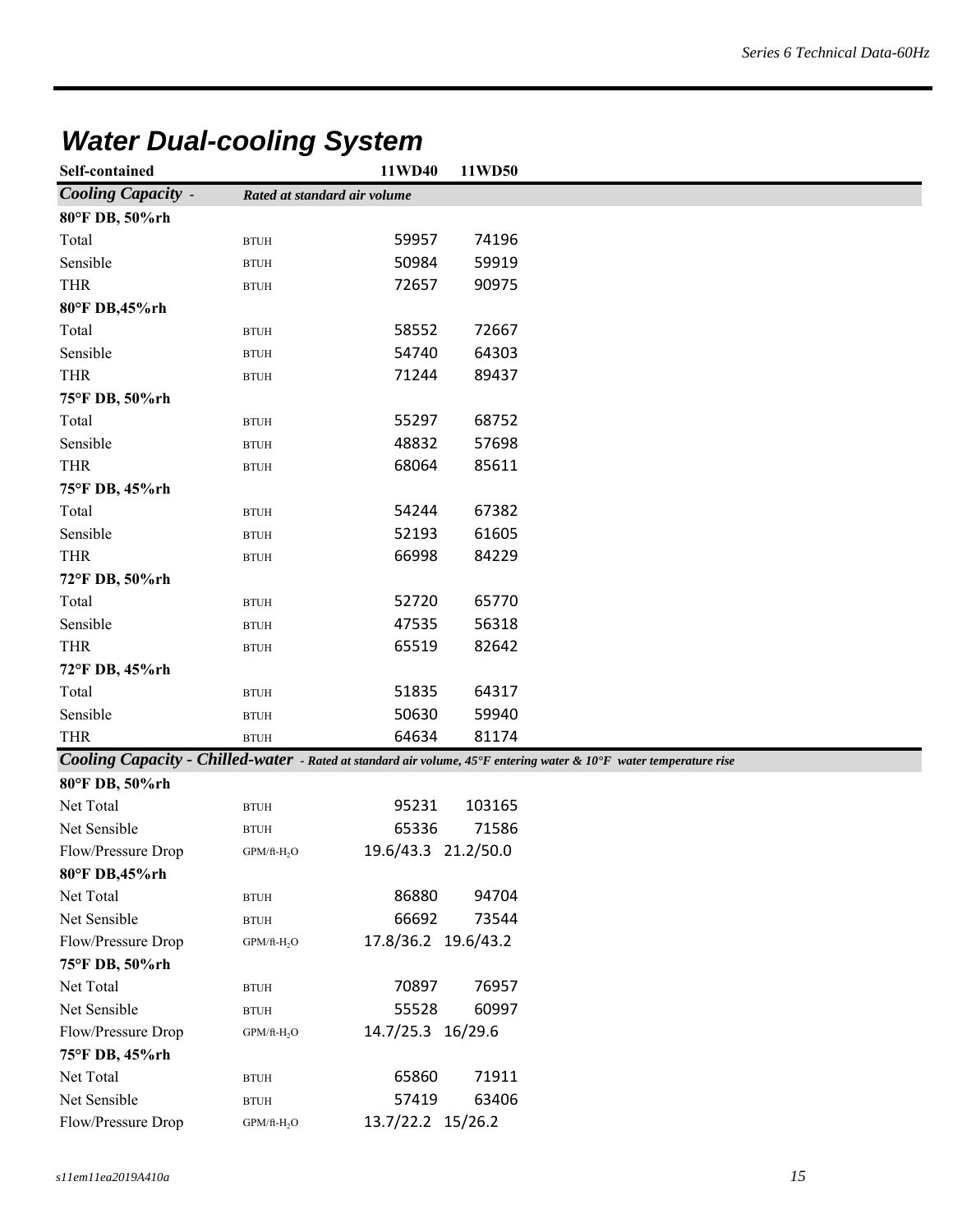| Self-contained            |                              | 11WD40              | 11WD50 |                                                                                                                    |
|---------------------------|------------------------------|---------------------|--------|--------------------------------------------------------------------------------------------------------------------|
| <b>Cooling Capacity -</b> | Rated at standard air volume |                     |        |                                                                                                                    |
| 80°F DB, 50%rh            |                              |                     |        |                                                                                                                    |
| Total                     | <b>BTUH</b>                  | 59957               | 74196  |                                                                                                                    |
| Sensible                  | <b>BTUH</b>                  | 50984               | 59919  |                                                                                                                    |
| <b>THR</b>                | <b>BTUH</b>                  | 72657               | 90975  |                                                                                                                    |
| 80°F DB,45%rh             |                              |                     |        |                                                                                                                    |
| Total                     | <b>BTUH</b>                  | 58552               | 72667  |                                                                                                                    |
| Sensible                  | <b>BTUH</b>                  | 54740               | 64303  |                                                                                                                    |
| <b>THR</b>                | <b>BTUH</b>                  | 71244               | 89437  |                                                                                                                    |
| 75°F DB, 50%rh            |                              |                     |        |                                                                                                                    |
| Total                     | <b>BTUH</b>                  | 55297               | 68752  |                                                                                                                    |
| Sensible                  | <b>BTUH</b>                  | 48832               | 57698  |                                                                                                                    |
| <b>THR</b>                | <b>BTUH</b>                  | 68064               | 85611  |                                                                                                                    |
| 75°F DB, 45%rh            |                              |                     |        |                                                                                                                    |
| Total                     | <b>BTUH</b>                  | 54244               | 67382  |                                                                                                                    |
| Sensible                  | <b>BTUH</b>                  | 52193               | 61605  |                                                                                                                    |
| <b>THR</b>                | <b>BTUH</b>                  | 66998               | 84229  |                                                                                                                    |
| 72°F DB, 50%rh            |                              |                     |        |                                                                                                                    |
| Total                     | <b>BTUH</b>                  | 52720               | 65770  |                                                                                                                    |
| Sensible                  | <b>BTUH</b>                  | 47535               | 56318  |                                                                                                                    |
| <b>THR</b>                | $\operatorname{BTUH}$        | 65519               | 82642  |                                                                                                                    |
| 72°F DB, 45%rh            |                              |                     |        |                                                                                                                    |
| Total                     | <b>BTUH</b>                  | 51835               | 64317  |                                                                                                                    |
| Sensible                  | <b>BTUH</b>                  | 50630               | 59940  |                                                                                                                    |
| <b>THR</b>                | <b>BTUH</b>                  | 64634               | 81174  |                                                                                                                    |
|                           |                              |                     |        | Cooling Capacity - Chilled-water - Rated at standard air volume, 45°F entering water & 10°F water temperature rise |
| 80°F DB, 50%rh            |                              |                     |        |                                                                                                                    |
| Net Total                 | <b>BTUH</b>                  | 95231               | 103165 |                                                                                                                    |
| Net Sensible              | <b>BTUH</b>                  | 65336               | 71586  |                                                                                                                    |
| Flow/Pressure Drop        | $GPM/ft-H_2O$                | 19.6/43.3 21.2/50.0 |        |                                                                                                                    |
| 80°F DB,45%rh             |                              |                     |        |                                                                                                                    |
| Net Total                 | <b>BTUH</b>                  | 86880               | 94704  |                                                                                                                    |
| Net Sensible              | $\operatorname{BTUH}$        | 66692               | 73544  |                                                                                                                    |
| Flow/Pressure Drop        | $GPM/ft-H_2O$                | 17.8/36.2 19.6/43.2 |        |                                                                                                                    |
| 75°F DB, 50%rh            |                              |                     |        |                                                                                                                    |
| Net Total                 | $\operatorname{BTUH}$        | 70897               | 76957  |                                                                                                                    |
| Net Sensible              | $\operatorname{BTUH}$        | 55528               | 60997  |                                                                                                                    |

# *Water Dual-cooling System*

| Net Sensible       | <b>BTUH</b>             | 65336               | 71586 |
|--------------------|-------------------------|---------------------|-------|
| Flow/Pressure Drop | GPM/ft-H <sub>2</sub> O | 19.6/43.3 21.2/50.0 |       |
| 80°F DB,45%rh      |                         |                     |       |
| Net Total          | <b>BTUH</b>             | 86880               | 94704 |
| Net Sensible       | <b>BTUH</b>             | 66692               | 73544 |
| Flow/Pressure Drop | $GPM/ft-H2O$            | 17.8/36.2 19.6/43.2 |       |
| 75°F DB, 50%rh     |                         |                     |       |
| Net Total          | <b>BTUH</b>             | 70897               | 76957 |
| Net Sensible       | <b>BTUH</b>             | 55528               | 60997 |
| Flow/Pressure Drop | GPM/ft-H <sub>2</sub> O | 14.7/25.3 16/29.6   |       |
| 75°F DB, 45%rh     |                         |                     |       |
| Net Total          | <b>BTUH</b>             | 65860               | 71911 |
| Net Sensible       | <b>BTUH</b>             | 57419               | 63406 |
| Flow/Pressure Drop | GPM/ft-H <sub>2</sub> O | 13.7/22.2 15/26.2   |       |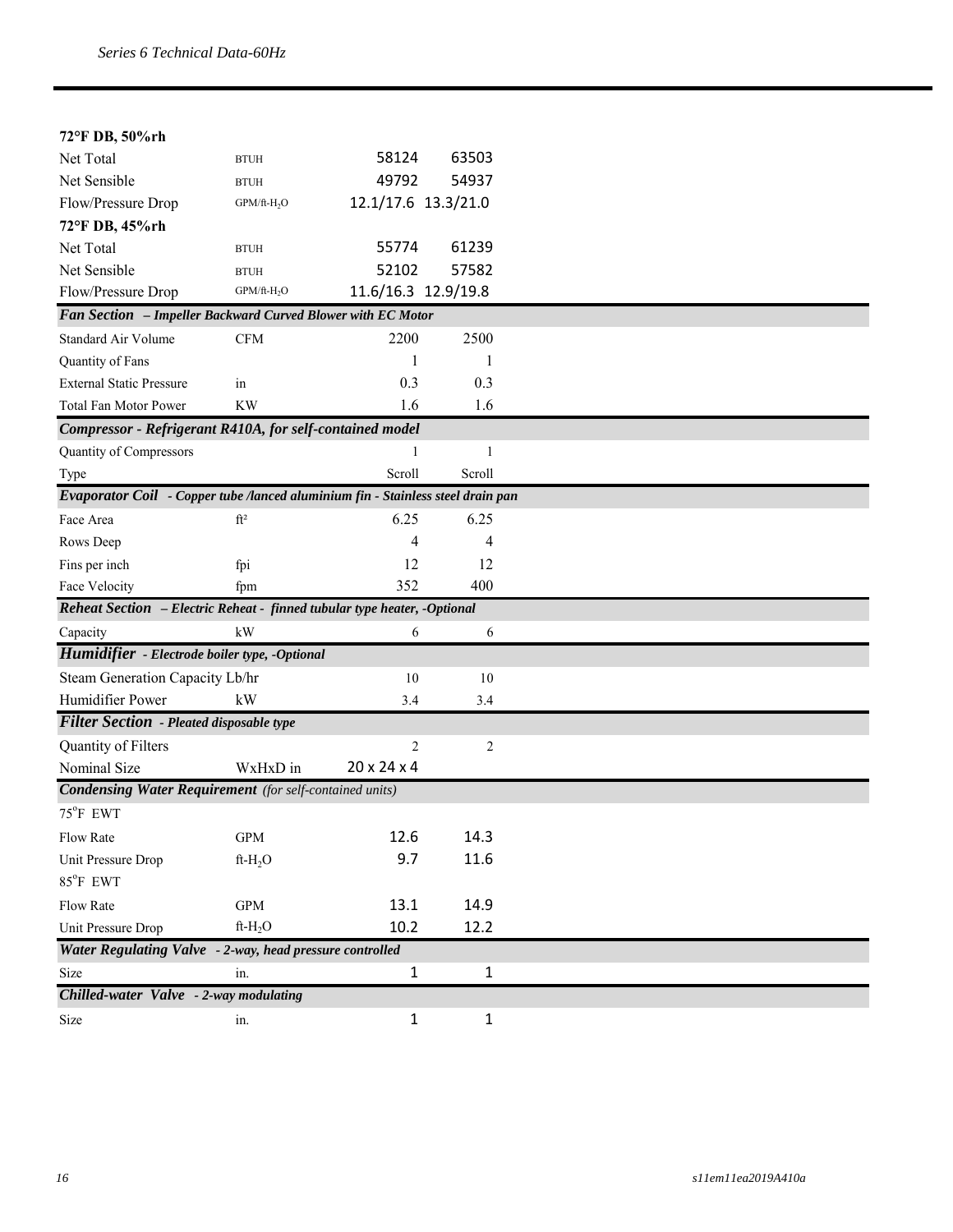| 72°F DB, 50%rh                                                                  |                             |                     |              |
|---------------------------------------------------------------------------------|-----------------------------|---------------------|--------------|
| Net Total                                                                       |                             | 58124               | 63503        |
|                                                                                 | <b>BTUH</b>                 |                     |              |
| Net Sensible<br>Flow/Pressure Drop                                              | <b>BTUH</b>                 | 49792               | 54937        |
|                                                                                 | $GPM/ft-H2O$                | 12.1/17.6 13.3/21.0 |              |
| 72°F DB, 45%rh<br>Net Total                                                     |                             | 55774               | 61239        |
| Net Sensible                                                                    | <b>BTUH</b>                 | 52102               | 57582        |
|                                                                                 | <b>BTUH</b><br>$GPM/ft-H2O$ | 11.6/16.3 12.9/19.8 |              |
| Flow/Pressure Drop                                                              |                             |                     |              |
| Fan Section - Impeller Backward Curved Blower with EC Motor                     |                             |                     |              |
| <b>Standard Air Volume</b>                                                      | <b>CFM</b>                  | 2200                | 2500         |
| Quantity of Fans                                                                |                             |                     | 1            |
| <b>External Static Pressure</b>                                                 | in                          | 0.3                 | 0.3          |
| Total Fan Motor Power                                                           | KW                          | 1.6                 | 1.6          |
| Compressor - Refrigerant R410A, for self-contained model                        |                             |                     |              |
| Quantity of Compressors                                                         |                             | 1                   | 1            |
| Type                                                                            |                             | Scroll              | Scroll       |
| Evaporator Coil - Copper tube /lanced aluminium fin - Stainless steel drain pan |                             |                     |              |
| Face Area                                                                       | ft <sup>2</sup>             | 6.25                | 6.25         |
| Rows Deep                                                                       |                             | 4                   | 4            |
| Fins per inch                                                                   | fpi                         | 12                  | 12           |
| Face Velocity                                                                   | fpm                         | 352                 | 400          |
| Reheat Section - Electric Reheat - finned tubular type heater, -Optional        |                             |                     |              |
| Capacity                                                                        | kW                          | 6                   | 6            |
| Humidifier - Electrode boiler type, -Optional                                   |                             |                     |              |
| Steam Generation Capacity Lb/hr                                                 |                             | 10                  | 10           |
| Humidifier Power                                                                | kW                          | 3.4                 | 3.4          |
| <b>Filter Section</b> - Pleated disposable type                                 |                             |                     |              |
| Quantity of Filters                                                             |                             | 2                   | 2            |
| Nominal Size                                                                    | WxHxD in                    | 20 x 24 x 4         |              |
| <b>Condensing Water Requirement</b> (for self-contained units)                  |                             |                     |              |
| 75°F EWT                                                                        |                             |                     |              |
| Flow Rate                                                                       | $\mbox{GPM}$                | 12.6                | 14.3         |
| Unit Pressure Drop                                                              | ft- $H_2O$                  | 9.7                 | 11.6         |
| 85°F EWT                                                                        |                             |                     |              |
| Flow Rate                                                                       | $\mbox{GPM}$                | 13.1                | 14.9         |
| Unit Pressure Drop                                                              | $ft-H_2O$                   | 10.2                | 12.2         |
|                                                                                 |                             |                     |              |
| Water Regulating Valve - 2-way, head pressure controlled                        |                             |                     |              |
| Size                                                                            | in.                         | $\mathbf{1}$        | $\mathbf{1}$ |
| Chilled-water Valve - 2-way modulating                                          |                             |                     |              |
| Size                                                                            | in.                         | $\mathbf{1}$        | 1            |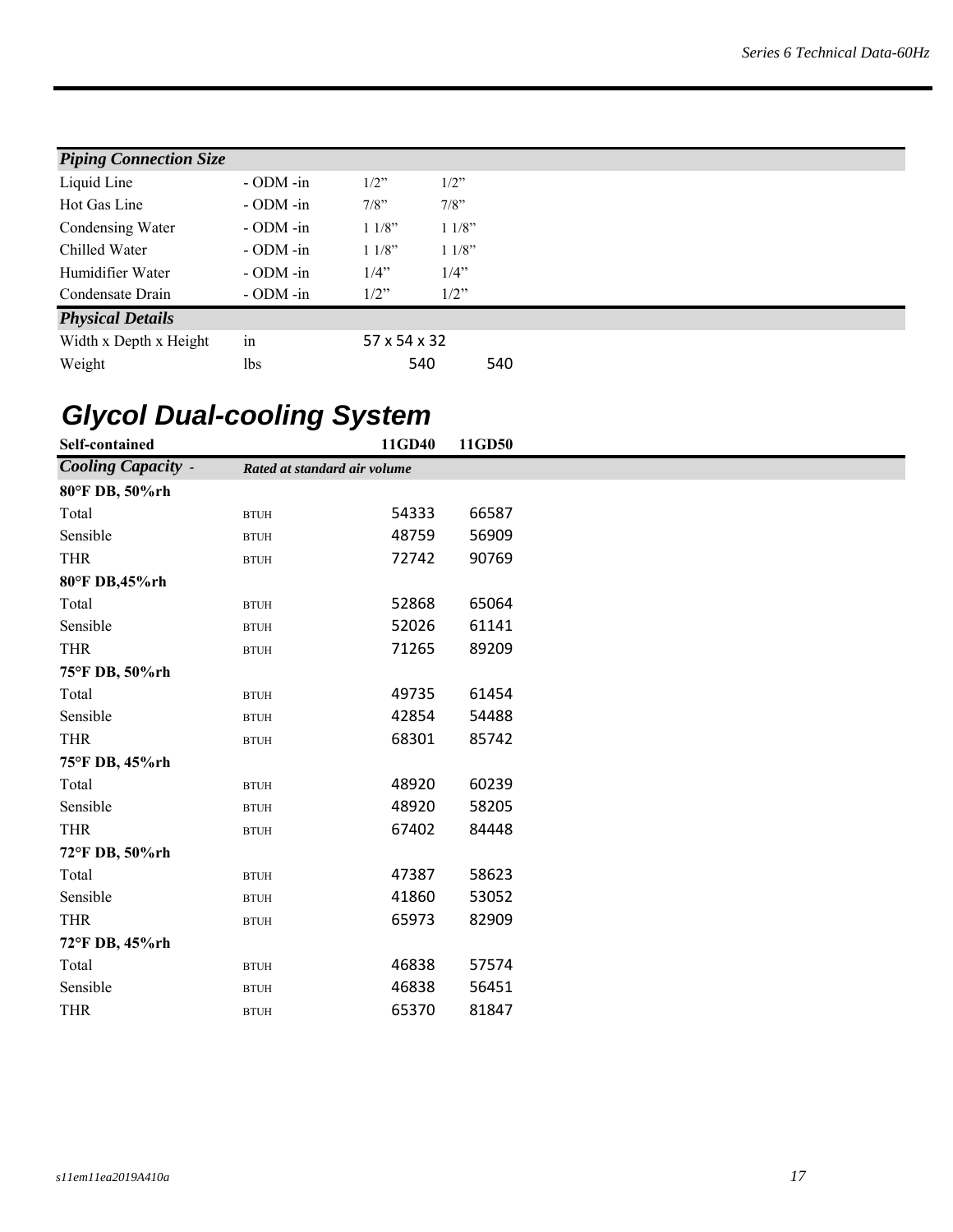| <b>Piping Connection Size</b> |                |              |         |     |
|-------------------------------|----------------|--------------|---------|-----|
| Liquid Line                   | $-$ ODM $-$ in | $1/2$ "      | $1/2$ " |     |
| Hot Gas Line                  | $-$ ODM $-$ in | $7/8$ "      | $7/8$ " |     |
| Condensing Water              | $-$ ODM $-$ in | 11/8"        | 11/8"   |     |
| Chilled Water                 | $-$ ODM $-$ in | 11/8"        | 11/8"   |     |
| Humidifier Water              | $-$ ODM $-$ in | 1/4"         | 1/4"    |     |
| Condensate Drain              | $-$ ODM $-$ in | $1/2$ "      | $1/2$ " |     |
| <b>Physical Details</b>       |                |              |         |     |
| Width x Depth x Height        | in             | 57 x 54 x 32 |         |     |
| Weight                        | lbs            |              | 540     | 540 |

# *Glycol Dual-cooling System*

| <b>Cooling Capacity -</b><br>Rated at standard air volume<br>54333<br>66587<br>Total<br><b>BTUH</b><br>Sensible<br>48759<br>56909<br><b>BTUH</b><br><b>THR</b><br>72742<br>90769<br><b>BTUH</b><br>80°F DB,45%rh<br>52868<br>65064<br>Total<br><b>BTUH</b><br>52026<br>61141<br>Sensible<br><b>BTUH</b><br><b>THR</b><br>71265<br>89209<br><b>BTUH</b><br>75°F DB, 50%rh<br>61454<br>Total<br>49735<br><b>BTUH</b><br>Sensible<br>54488<br>42854<br><b>BTUH</b><br>68301<br>85742<br><b>THR</b><br><b>BTUH</b><br>75°F DB, 45%rh<br>48920<br>60239<br>Total<br><b>BTUH</b><br>48920<br>Sensible<br>58205<br><b>BTUH</b><br><b>THR</b><br>67402<br>84448<br><b>BTUH</b><br>72°F DB, 50%rh<br>47387<br>58623<br>Total<br><b>BTUH</b><br>Sensible<br>41860<br>53052<br><b>BTUH</b><br><b>THR</b><br>65973<br>82909<br><b>BTUH</b><br>72°F DB, 45%rh<br>46838<br>57574<br>Total<br><b>BTUH</b><br>Sensible<br>46838<br>56451<br><b>BTUH</b><br><b>THR</b><br>65370<br>81847<br><b>BTUH</b> | Self-contained | 11GD40 | 11GD50 |  |  |  |  |  |
|----------------------------------------------------------------------------------------------------------------------------------------------------------------------------------------------------------------------------------------------------------------------------------------------------------------------------------------------------------------------------------------------------------------------------------------------------------------------------------------------------------------------------------------------------------------------------------------------------------------------------------------------------------------------------------------------------------------------------------------------------------------------------------------------------------------------------------------------------------------------------------------------------------------------------------------------------------------------------------------|----------------|--------|--------|--|--|--|--|--|
|                                                                                                                                                                                                                                                                                                                                                                                                                                                                                                                                                                                                                                                                                                                                                                                                                                                                                                                                                                                        |                |        |        |  |  |  |  |  |
|                                                                                                                                                                                                                                                                                                                                                                                                                                                                                                                                                                                                                                                                                                                                                                                                                                                                                                                                                                                        | 80°F DB, 50%rh |        |        |  |  |  |  |  |
|                                                                                                                                                                                                                                                                                                                                                                                                                                                                                                                                                                                                                                                                                                                                                                                                                                                                                                                                                                                        |                |        |        |  |  |  |  |  |
|                                                                                                                                                                                                                                                                                                                                                                                                                                                                                                                                                                                                                                                                                                                                                                                                                                                                                                                                                                                        |                |        |        |  |  |  |  |  |
|                                                                                                                                                                                                                                                                                                                                                                                                                                                                                                                                                                                                                                                                                                                                                                                                                                                                                                                                                                                        |                |        |        |  |  |  |  |  |
|                                                                                                                                                                                                                                                                                                                                                                                                                                                                                                                                                                                                                                                                                                                                                                                                                                                                                                                                                                                        |                |        |        |  |  |  |  |  |
|                                                                                                                                                                                                                                                                                                                                                                                                                                                                                                                                                                                                                                                                                                                                                                                                                                                                                                                                                                                        |                |        |        |  |  |  |  |  |
|                                                                                                                                                                                                                                                                                                                                                                                                                                                                                                                                                                                                                                                                                                                                                                                                                                                                                                                                                                                        |                |        |        |  |  |  |  |  |
|                                                                                                                                                                                                                                                                                                                                                                                                                                                                                                                                                                                                                                                                                                                                                                                                                                                                                                                                                                                        |                |        |        |  |  |  |  |  |
|                                                                                                                                                                                                                                                                                                                                                                                                                                                                                                                                                                                                                                                                                                                                                                                                                                                                                                                                                                                        |                |        |        |  |  |  |  |  |
|                                                                                                                                                                                                                                                                                                                                                                                                                                                                                                                                                                                                                                                                                                                                                                                                                                                                                                                                                                                        |                |        |        |  |  |  |  |  |
|                                                                                                                                                                                                                                                                                                                                                                                                                                                                                                                                                                                                                                                                                                                                                                                                                                                                                                                                                                                        |                |        |        |  |  |  |  |  |
|                                                                                                                                                                                                                                                                                                                                                                                                                                                                                                                                                                                                                                                                                                                                                                                                                                                                                                                                                                                        |                |        |        |  |  |  |  |  |
|                                                                                                                                                                                                                                                                                                                                                                                                                                                                                                                                                                                                                                                                                                                                                                                                                                                                                                                                                                                        |                |        |        |  |  |  |  |  |
|                                                                                                                                                                                                                                                                                                                                                                                                                                                                                                                                                                                                                                                                                                                                                                                                                                                                                                                                                                                        |                |        |        |  |  |  |  |  |
|                                                                                                                                                                                                                                                                                                                                                                                                                                                                                                                                                                                                                                                                                                                                                                                                                                                                                                                                                                                        |                |        |        |  |  |  |  |  |
|                                                                                                                                                                                                                                                                                                                                                                                                                                                                                                                                                                                                                                                                                                                                                                                                                                                                                                                                                                                        |                |        |        |  |  |  |  |  |
|                                                                                                                                                                                                                                                                                                                                                                                                                                                                                                                                                                                                                                                                                                                                                                                                                                                                                                                                                                                        |                |        |        |  |  |  |  |  |
|                                                                                                                                                                                                                                                                                                                                                                                                                                                                                                                                                                                                                                                                                                                                                                                                                                                                                                                                                                                        |                |        |        |  |  |  |  |  |
|                                                                                                                                                                                                                                                                                                                                                                                                                                                                                                                                                                                                                                                                                                                                                                                                                                                                                                                                                                                        |                |        |        |  |  |  |  |  |
|                                                                                                                                                                                                                                                                                                                                                                                                                                                                                                                                                                                                                                                                                                                                                                                                                                                                                                                                                                                        |                |        |        |  |  |  |  |  |
|                                                                                                                                                                                                                                                                                                                                                                                                                                                                                                                                                                                                                                                                                                                                                                                                                                                                                                                                                                                        |                |        |        |  |  |  |  |  |
|                                                                                                                                                                                                                                                                                                                                                                                                                                                                                                                                                                                                                                                                                                                                                                                                                                                                                                                                                                                        |                |        |        |  |  |  |  |  |
|                                                                                                                                                                                                                                                                                                                                                                                                                                                                                                                                                                                                                                                                                                                                                                                                                                                                                                                                                                                        |                |        |        |  |  |  |  |  |
|                                                                                                                                                                                                                                                                                                                                                                                                                                                                                                                                                                                                                                                                                                                                                                                                                                                                                                                                                                                        |                |        |        |  |  |  |  |  |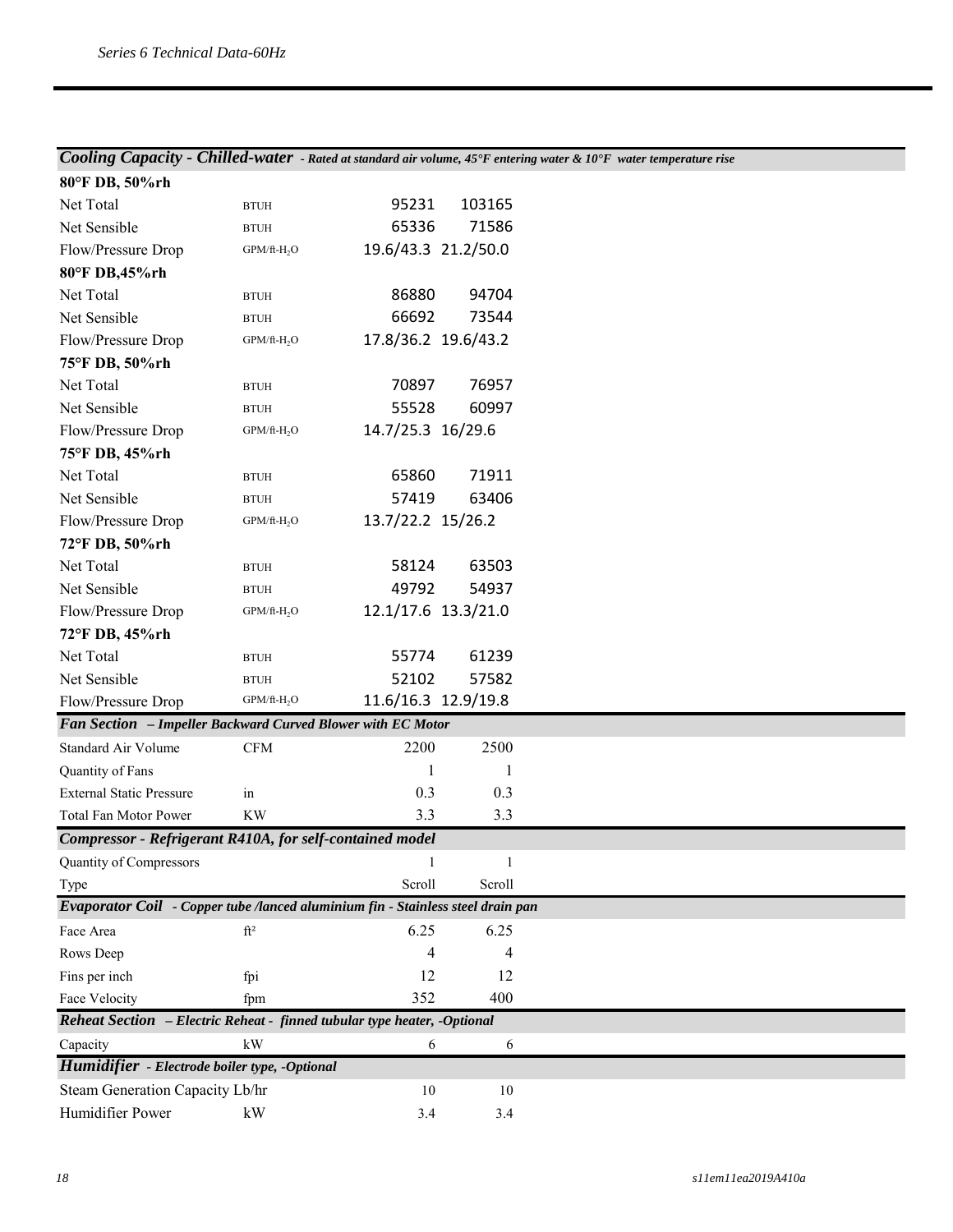#### *Cooling Capacity - Chilled-water - Rated at standard air volume, 45°F entering water & 10°F water temperature rise*

| 80°F DB, 50%rh                                                                  |                         |                     |        |
|---------------------------------------------------------------------------------|-------------------------|---------------------|--------|
| Net Total                                                                       | <b>BTUH</b>             | 95231               | 103165 |
| Net Sensible                                                                    | <b>BTUH</b>             | 65336               | 71586  |
| Flow/Pressure Drop                                                              | GPM/ft-H <sub>2</sub> O | 19.6/43.3 21.2/50.0 |        |
| 80°F DB,45%rh                                                                   |                         |                     |        |
| Net Total                                                                       | <b>BTUH</b>             | 86880               | 94704  |
| Net Sensible                                                                    | <b>BTUH</b>             | 66692               | 73544  |
| Flow/Pressure Drop                                                              | $GPM/ft-H2O$            | 17.8/36.2 19.6/43.2 |        |
| 75°F DB, 50%rh                                                                  |                         |                     |        |
| Net Total                                                                       | <b>BTUH</b>             | 70897               | 76957  |
| Net Sensible                                                                    | <b>BTUH</b>             | 55528               | 60997  |
| Flow/Pressure Drop                                                              | $GPM/ft-H2O$            | 14.7/25.3 16/29.6   |        |
| 75°F DB, 45%rh                                                                  |                         |                     |        |
| Net Total                                                                       | <b>BTUH</b>             | 65860               | 71911  |
| Net Sensible                                                                    | <b>BTUH</b>             | 57419               | 63406  |
| Flow/Pressure Drop                                                              | $GPM/ft-H2O$            | 13.7/22.2 15/26.2   |        |
| 72°F DB, 50%rh                                                                  |                         |                     |        |
| Net Total                                                                       | <b>BTUH</b>             | 58124               | 63503  |
| Net Sensible                                                                    | <b>BTUH</b>             | 49792               | 54937  |
| Flow/Pressure Drop                                                              | $GPM/ft-H2O$            | 12.1/17.6 13.3/21.0 |        |
| 72°F DB, 45%rh                                                                  |                         |                     |        |
| Net Total                                                                       | <b>BTUH</b>             | 55774               | 61239  |
| Net Sensible                                                                    | <b>BTUH</b>             | 52102               | 57582  |
| Flow/Pressure Drop                                                              | $GPM/ft-H2O$            | 11.6/16.3 12.9/19.8 |        |
| Fan Section - Impeller Backward Curved Blower with EC Motor                     |                         |                     |        |
| <b>Standard Air Volume</b>                                                      | $\mathbf{CFM}$          | 2200                | 2500   |
| Quantity of Fans                                                                |                         | 1                   | 1      |
| <b>External Static Pressure</b>                                                 | in                      | 0.3                 | 0.3    |
| Total Fan Motor Power                                                           | <b>KW</b>               | 3.3                 | 3.3    |
| Compressor - Refrigerant R410A, for self-contained model                        |                         |                     |        |
| Quantity of Compressors                                                         |                         | $\mathbf{1}$        | 1      |
| Type                                                                            |                         | Scroll              | Scroll |
| Evaporator Coil - Copper tube /lanced aluminium fin - Stainless steel drain pan |                         |                     |        |
| Face Area                                                                       | ft <sup>2</sup>         | 6.25                | 6.25   |
| Rows Deep                                                                       |                         | 4                   | 4      |
| Fins per inch                                                                   | fpi                     | 12                  | 12     |
| Face Velocity                                                                   | fpm                     | 352                 | 400    |
| Reheat Section - Electric Reheat - finned tubular type heater, -Optional        |                         |                     |        |
| Capacity                                                                        | $\mathbf{k}\mathbf{W}$  | 6                   | 6      |
| Humidifier - Electrode boiler type, -Optional                                   |                         |                     |        |
| Steam Generation Capacity Lb/hr                                                 |                         | 10                  | 10     |
| Humidifier Power                                                                | kW                      | 3.4                 | 3.4    |
|                                                                                 |                         |                     |        |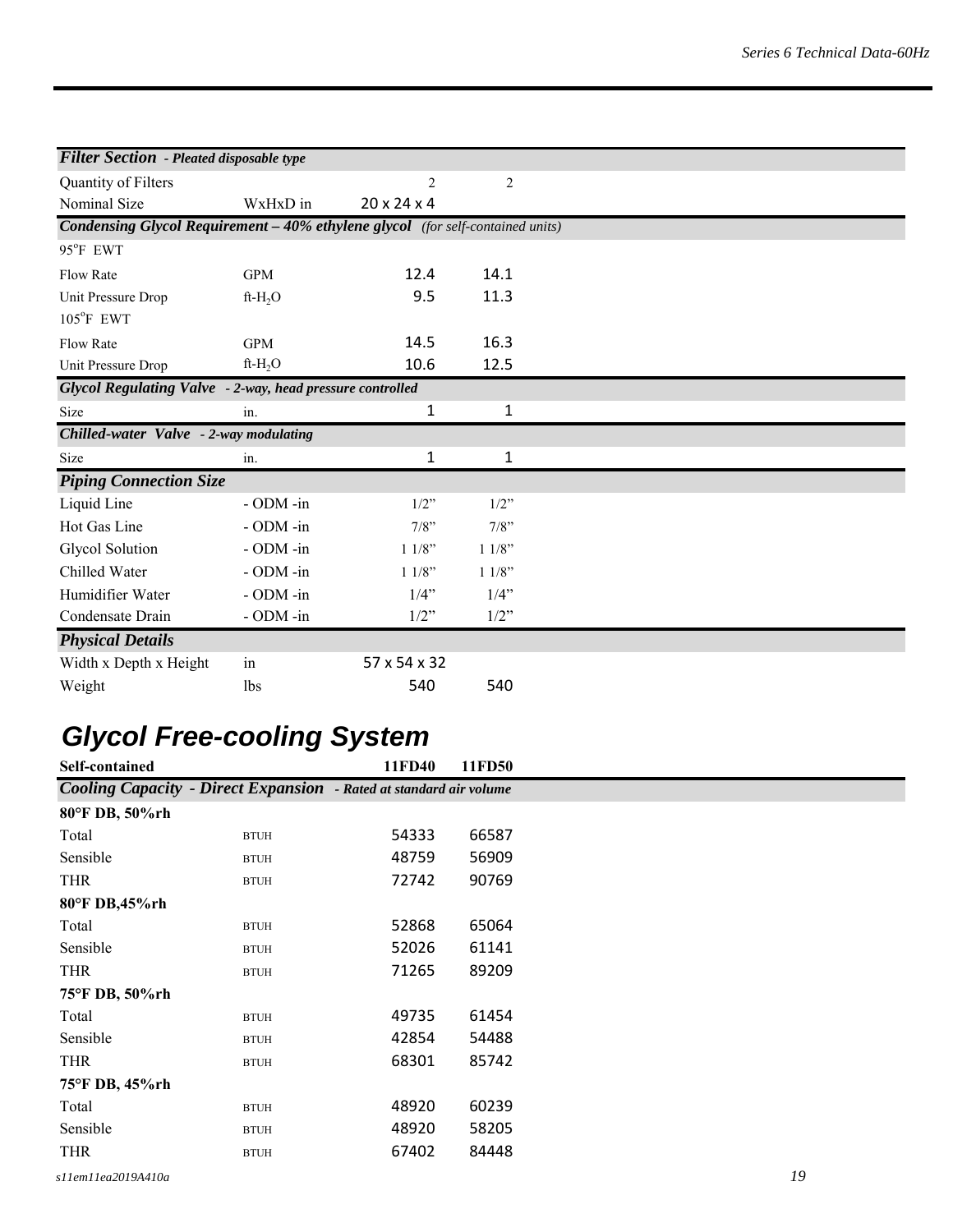| <b>Filter Section - Pleated disposable type</b>                                |                |                         |              |  |  |  |
|--------------------------------------------------------------------------------|----------------|-------------------------|--------------|--|--|--|
|                                                                                |                |                         |              |  |  |  |
| Quantity of Filters                                                            |                | $\overline{2}$          | 2            |  |  |  |
| Nominal Size                                                                   | WxHxD in       | $20 \times 24 \times 4$ |              |  |  |  |
| Condensing Glycol Requirement - 40% ethylene glycol (for self-contained units) |                |                         |              |  |  |  |
| 95°F EWT                                                                       |                |                         |              |  |  |  |
| <b>Flow Rate</b>                                                               | <b>GPM</b>     | 12.4                    | 14.1         |  |  |  |
| Unit Pressure Drop                                                             | $ft-H2O$       | 9.5                     | 11.3         |  |  |  |
| 105°F EWT                                                                      |                |                         |              |  |  |  |
| <b>Flow Rate</b>                                                               | <b>GPM</b>     | 14.5                    | 16.3         |  |  |  |
| Unit Pressure Drop                                                             | $ft-H_2O$      | 10.6                    | 12.5         |  |  |  |
| <b>Glycol Regulating Valve</b> - 2-way, head pressure controlled               |                |                         |              |  |  |  |
| Size                                                                           | in.            | $\mathbf 1$             | $\mathbf{1}$ |  |  |  |
| Chilled-water Valve - 2-way modulating                                         |                |                         |              |  |  |  |
| Size                                                                           | in.            | 1                       | $\mathbf{1}$ |  |  |  |
| <b>Piping Connection Size</b>                                                  |                |                         |              |  |  |  |
| Liquid Line                                                                    | - ODM -in      | $1/2$ "                 | $1/2$ "      |  |  |  |
| Hot Gas Line                                                                   | - ODM -in      | 7/8"                    | $7/8$ "      |  |  |  |
| Glycol Solution                                                                | - ODM -in      | 11/8"                   | 11/8"        |  |  |  |
| Chilled Water                                                                  | $-$ ODM $-$ in | 11/8"                   | 11/8"        |  |  |  |
| Humidifier Water                                                               | $-$ ODM $-$ in | $1/4$ "                 | $1/4$ "      |  |  |  |
| Condensate Drain                                                               | - ODM -in      | $1/2$ "                 | $1/2$ "      |  |  |  |
| <b>Physical Details</b>                                                        |                |                         |              |  |  |  |
| Width x Depth x Height                                                         | in             | 57 x 54 x 32            |              |  |  |  |
| Weight                                                                         | lbs            | 540                     | 540          |  |  |  |

# *Glycol Free-cooling System*

| Self-contained     |                                                                           | 11FD40 | 11FD50 |    |
|--------------------|---------------------------------------------------------------------------|--------|--------|----|
|                    | <b>Cooling Capacity - Direct Expansion</b> - Rated at standard air volume |        |        |    |
| 80°F DB, 50%rh     |                                                                           |        |        |    |
| Total              | <b>BTUH</b>                                                               | 54333  | 66587  |    |
| Sensible           | <b>BTUH</b>                                                               | 48759  | 56909  |    |
| <b>THR</b>         | <b>BTUH</b>                                                               | 72742  | 90769  |    |
| 80°F DB,45%rh      |                                                                           |        |        |    |
| Total              | <b>BTUH</b>                                                               | 52868  | 65064  |    |
| Sensible           | <b>BTUH</b>                                                               | 52026  | 61141  |    |
| <b>THR</b>         | <b>BTUH</b>                                                               | 71265  | 89209  |    |
| 75°F DB, 50%rh     |                                                                           |        |        |    |
| Total              | <b>BTUH</b>                                                               | 49735  | 61454  |    |
| Sensible           | <b>BTUH</b>                                                               | 42854  | 54488  |    |
| <b>THR</b>         | <b>BTUH</b>                                                               | 68301  | 85742  |    |
| 75°F DB, 45%rh     |                                                                           |        |        |    |
| Total              | <b>BTUH</b>                                                               | 48920  | 60239  |    |
| Sensible           | <b>BTUH</b>                                                               | 48920  | 58205  |    |
| <b>THR</b>         | <b>BTUH</b>                                                               | 67402  | 84448  |    |
| s11em11ea2019A410a |                                                                           |        |        | 19 |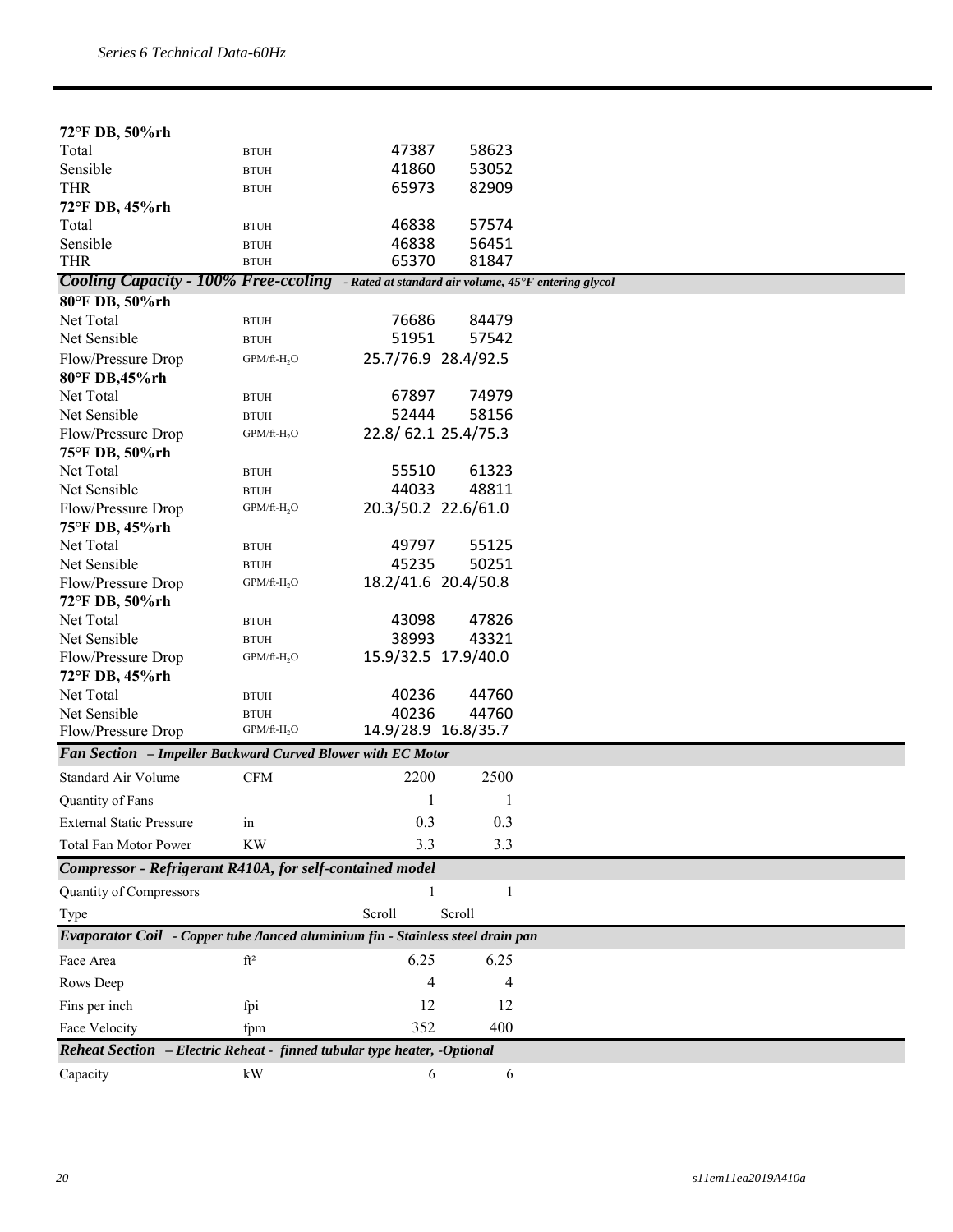| 72°F DB, 50%rh                                                                                   |                         |                     |        |  |
|--------------------------------------------------------------------------------------------------|-------------------------|---------------------|--------|--|
| Total                                                                                            | <b>BTUH</b>             | 47387               | 58623  |  |
| Sensible                                                                                         | <b>BTUH</b>             | 41860               | 53052  |  |
| <b>THR</b>                                                                                       | <b>BTUH</b>             | 65973               | 82909  |  |
| 72°F DB, 45%rh                                                                                   |                         |                     |        |  |
| Total                                                                                            | <b>BTUH</b>             | 46838               | 57574  |  |
| Sensible                                                                                         | <b>BTUH</b>             | 46838               | 56451  |  |
| <b>THR</b>                                                                                       | <b>BTUH</b>             | 65370               | 81847  |  |
| <b>Cooling Capacity - 100% Free-ccoling</b> - Rated at standard air volume, 45°F entering glycol |                         |                     |        |  |
| 80°F DB, 50%rh                                                                                   |                         |                     |        |  |
| Net Total                                                                                        | <b>BTUH</b>             | 76686               | 84479  |  |
| Net Sensible                                                                                     | <b>BTUH</b>             | 51951               | 57542  |  |
| Flow/Pressure Drop                                                                               | $GPM/ft-H2O$            | 25.7/76.9 28.4/92.5 |        |  |
| 80°F DB,45%rh                                                                                    |                         |                     |        |  |
| Net Total                                                                                        | <b>BTUH</b>             | 67897               | 74979  |  |
| Net Sensible                                                                                     | <b>BTUH</b>             | 52444               | 58156  |  |
| Flow/Pressure Drop                                                                               | GPM/ft-H <sub>2</sub> O | 22.8/62.1 25.4/75.3 |        |  |
| 75°F DB, 50%rh                                                                                   |                         |                     |        |  |
| Net Total                                                                                        | <b>BTUH</b>             | 55510               | 61323  |  |
| Net Sensible                                                                                     | <b>BTUH</b>             | 44033               | 48811  |  |
| Flow/Pressure Drop                                                                               | $GPM/ft-H2O$            | 20.3/50.2 22.6/61.0 |        |  |
| 75°F DB, 45%rh                                                                                   |                         |                     |        |  |
| Net Total                                                                                        | <b>BTUH</b>             | 49797               | 55125  |  |
| Net Sensible                                                                                     | <b>BTUH</b>             | 45235               | 50251  |  |
| Flow/Pressure Drop<br>72°F DB, 50%rh                                                             | $GPM/ft-H2O$            | 18.2/41.6 20.4/50.8 |        |  |
| Net Total                                                                                        | <b>BTUH</b>             | 43098               | 47826  |  |
| Net Sensible                                                                                     | <b>BTUH</b>             | 38993               | 43321  |  |
| Flow/Pressure Drop                                                                               | $GPM/ft-H2O$            | 15.9/32.5 17.9/40.0 |        |  |
| 72°F DB, 45%rh                                                                                   |                         |                     |        |  |
| Net Total                                                                                        | <b>BTUH</b>             | 40236               | 44760  |  |
| Net Sensible                                                                                     | <b>BTUH</b>             | 40236               | 44760  |  |
| Flow/Pressure Drop                                                                               | $GPM/ft-H2O$            | 14.9/28.9 16.8/35.7 |        |  |
| Fan Section - Impeller Backward Curved Blower with EC Motor                                      |                         |                     |        |  |
| Standard Air Volume                                                                              | <b>CFM</b>              | 2200                | 2500   |  |
| Quantity of Fans                                                                                 |                         | 1                   | 1      |  |
| <b>External Static Pressure</b>                                                                  | in                      | 0.3                 | 0.3    |  |
| <b>Total Fan Motor Power</b>                                                                     | <b>KW</b>               | 3.3                 | 3.3    |  |
| Compressor - Refrigerant R410A, for self-contained model                                         |                         |                     |        |  |
| Quantity of Compressors                                                                          |                         |                     | 1      |  |
| Type                                                                                             |                         | Scroll              | Scroll |  |
| Evaporator Coil - Copper tube /lanced aluminium fin - Stainless steel drain pan                  |                         |                     |        |  |
| Face Area                                                                                        | $ft^2$                  | 6.25                | 6.25   |  |
| Rows Deep                                                                                        |                         | 4                   | 4      |  |
| Fins per inch                                                                                    | fpi                     | 12                  | 12     |  |
| Face Velocity                                                                                    | fpm                     | 352                 | 400    |  |
| Reheat Section - Electric Reheat - finned tubular type heater, -Optional                         |                         |                     |        |  |
| Capacity                                                                                         | kW                      | 6                   | 6      |  |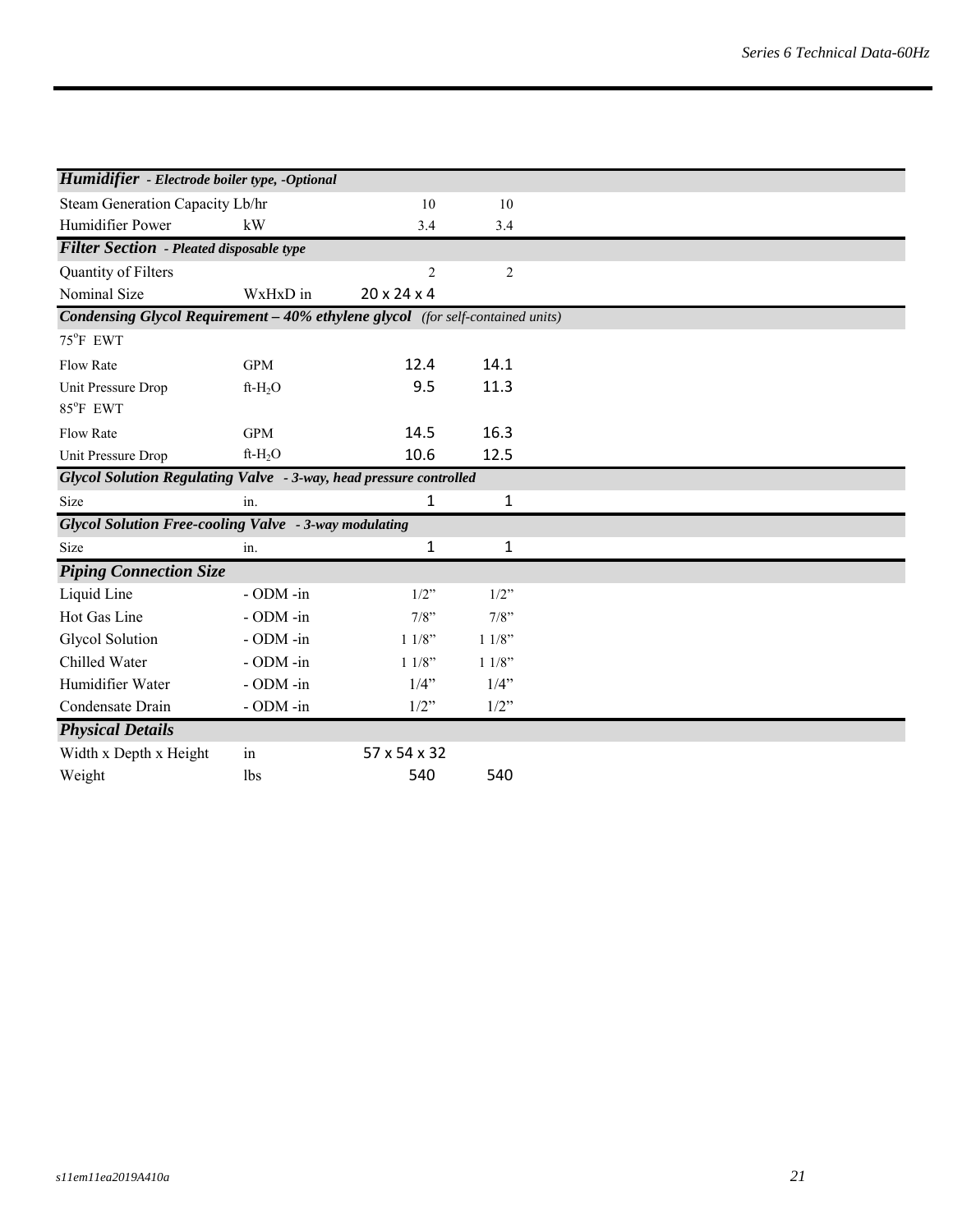| <b>Humidifier</b> - Electrode boiler type, -Optional                                  |                |                         |                |  |
|---------------------------------------------------------------------------------------|----------------|-------------------------|----------------|--|
| Steam Generation Capacity Lb/hr                                                       |                | 10                      | 10             |  |
| Humidifier Power                                                                      | kW             | 3.4                     | 3.4            |  |
| <b>Filter Section</b> - Pleated disposable type                                       |                |                         |                |  |
| Quantity of Filters                                                                   |                | $\overline{2}$          | $\overline{c}$ |  |
| Nominal Size                                                                          | WxHxD in       | $20 \times 24 \times 4$ |                |  |
| <b>Condensing Glycol Requirement - 40% ethylene glycol</b> (for self-contained units) |                |                         |                |  |
| 75°F EWT                                                                              |                |                         |                |  |
| Flow Rate                                                                             | <b>GPM</b>     | 12.4                    | 14.1           |  |
| Unit Pressure Drop                                                                    | $ft-H2O$       | 9.5                     | 11.3           |  |
| 85°F EWT                                                                              |                |                         |                |  |
| <b>Flow Rate</b>                                                                      | <b>GPM</b>     | 14.5                    | 16.3           |  |
| Unit Pressure Drop                                                                    | $ft-H_2O$      | 10.6                    | 12.5           |  |
| Glycol Solution Regulating Valve - 3-way, head pressure controlled                    |                |                         |                |  |
| Size                                                                                  | in.            | 1                       | 1              |  |
| Glycol Solution Free-cooling Valve - 3-way modulating                                 |                |                         |                |  |
| Size                                                                                  | in.            | 1                       | 1              |  |
| <b>Piping Connection Size</b>                                                         |                |                         |                |  |
| Liquid Line                                                                           | $-$ ODM $-$ in | $1/2$ "                 | $1/2$ "        |  |
| Hot Gas Line                                                                          | - ODM -in      | 7/8"                    | $7/8$ "        |  |
| Glycol Solution                                                                       | - ODM -in      | 11/8"                   | 11/8"          |  |
| Chilled Water                                                                         | - ODM -in      | 11/8"                   | 11/8"          |  |
| Humidifier Water                                                                      | - ODM -in      | 1/4"                    | 1/4"           |  |
| Condensate Drain                                                                      | - ODM -in      | $1/2$ "                 | 1/2"           |  |
| <b>Physical Details</b>                                                               |                |                         |                |  |
| Width x Depth x Height                                                                | in             | 57 x 54 x 32            |                |  |
| Weight                                                                                | <b>lbs</b>     | 540                     | 540            |  |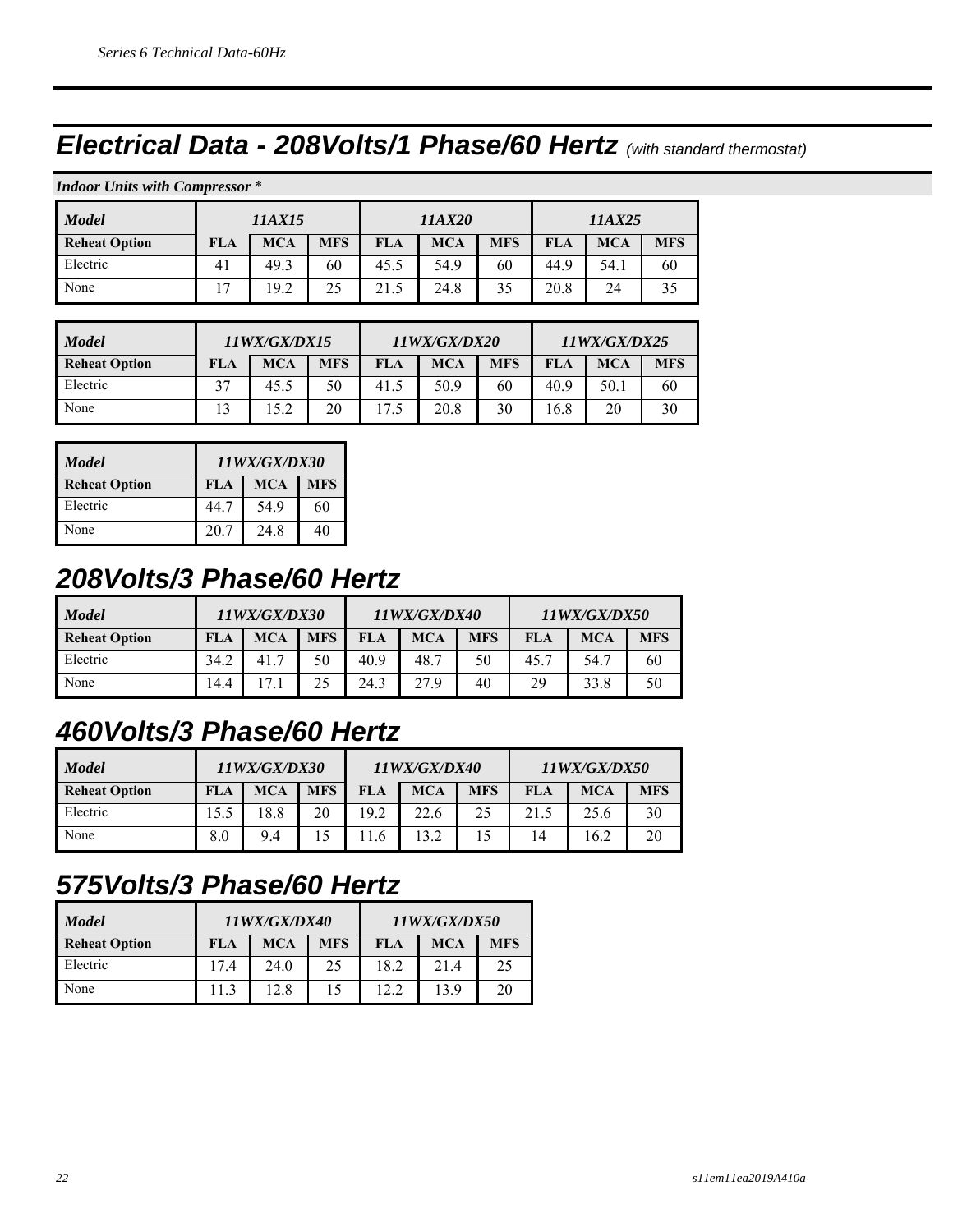### *Electrical Data - 208Volts/1 Phase/60 Hertz (with standard thermostat)*

|  |  |  | <b>Indoor Units with Compressor *</b> |  |
|--|--|--|---------------------------------------|--|
|--|--|--|---------------------------------------|--|

| <b>Model</b>         | 11AX15 |            |            |            | 11AX20     |            | 11AX25     |            |            |
|----------------------|--------|------------|------------|------------|------------|------------|------------|------------|------------|
| <b>Reheat Option</b> | FLA    | <b>MCA</b> | <b>MFS</b> | <b>FLA</b> | <b>MCA</b> | <b>MFS</b> | <b>FLA</b> | <b>MCA</b> | <b>MFS</b> |
| Electric             | 41     | 49.3       | 60         | 45.5       | 54.9       | 60         | 44.9       | 54.1       | 60         |
| None                 | 17     | 19.2       | 25         | 21.5       | 24.8       | 35         | 20.8       | 24         | 35         |

| <b>Model</b>         | 11WX/GX/DX15 |            |            |            | 11WX/GX/DX20 |            | 11WX/GX/DX25 |            |            |
|----------------------|--------------|------------|------------|------------|--------------|------------|--------------|------------|------------|
| <b>Reheat Option</b> | FLA          | <b>MCA</b> | <b>MFS</b> | <b>FLA</b> | <b>MCA</b>   | <b>MFS</b> | <b>FLA</b>   | <b>MCA</b> | <b>MFS</b> |
| Electric             |              | 45.5       | 50         | 41.5       | 50.9         | 60         | 40.9         | 50.1       | 60         |
| None                 |              | 15.2       | 20         |            | 20.8         | 30         | 16.8         | 20         | 30         |

| <b>Model</b>         | 11WX/GX/DX30 |            |            |  |  |  |  |
|----------------------|--------------|------------|------------|--|--|--|--|
| <b>Reheat Option</b> | FLA          | <b>MCA</b> | <b>MFS</b> |  |  |  |  |
| Electric             | 44.7         | 54.9       | 60         |  |  |  |  |
| None                 | 20.7         | 24.8       | 40         |  |  |  |  |

#### *208Volts/3 Phase/60 Hertz*

| <b>Model</b>         | 11WX/GX/DX30 |            |            | <i>11WX/GX/DX40</i> |            |            | <i><b>11WX/GX/DX50</b></i> |            |            |
|----------------------|--------------|------------|------------|---------------------|------------|------------|----------------------------|------------|------------|
| <b>Reheat Option</b> | FLA          | <b>MCA</b> | <b>MFS</b> | FLA                 | <b>MCA</b> | <b>MFS</b> | FLA                        | <b>MCA</b> | <b>MFS</b> |
| Electric             | 34.2         |            | 50         | 40.9                | 48.7       | 50         | 45.7                       | 54.7       | 60         |
| None                 | 14.4         |            |            | 24.3                | 27.9       | 40         | 29                         | 33.8       | 50         |

#### *460Volts/3 Phase/60 Hertz*

| <b>Model</b>         |      | <i><b>11WX/GX/DX30</b></i> |            | 11WX/GX/DX40 |            |            | 11WX/GX/DX50 |            |            |  |
|----------------------|------|----------------------------|------------|--------------|------------|------------|--------------|------------|------------|--|
| <b>Reheat Option</b> | FLA  | <b>MCA</b>                 | <b>MFS</b> | <b>FLA</b>   | <b>MCA</b> | <b>MFS</b> | FLA          | <b>MCA</b> | <b>MFS</b> |  |
| Electric             | 15.5 | 8.8                        | 20         | 19.2         | 22.6       | 25         | 21.5         | 25.6       | 30         |  |
| None                 | 8.0  | 9.4                        |            |              | 13.2       |            | 14           | 6.2        | 20         |  |

#### *575Volts/3 Phase/60 Hertz*

| <b>Model</b>         | 11WX/GX/DX40<br>11WX/GX/DX50 |            |            |      |            |            |
|----------------------|------------------------------|------------|------------|------|------------|------------|
| <b>Reheat Option</b> | FLA                          | <b>MCA</b> | <b>MFS</b> | FLA  | <b>MCA</b> | <b>MFS</b> |
| Electric             | 17.4                         | 24.0       | 25         | 18.2 | 21.4       | 25         |
| None                 | 11.3                         | 12.8       |            | 12.2 | 13.9       | 20         |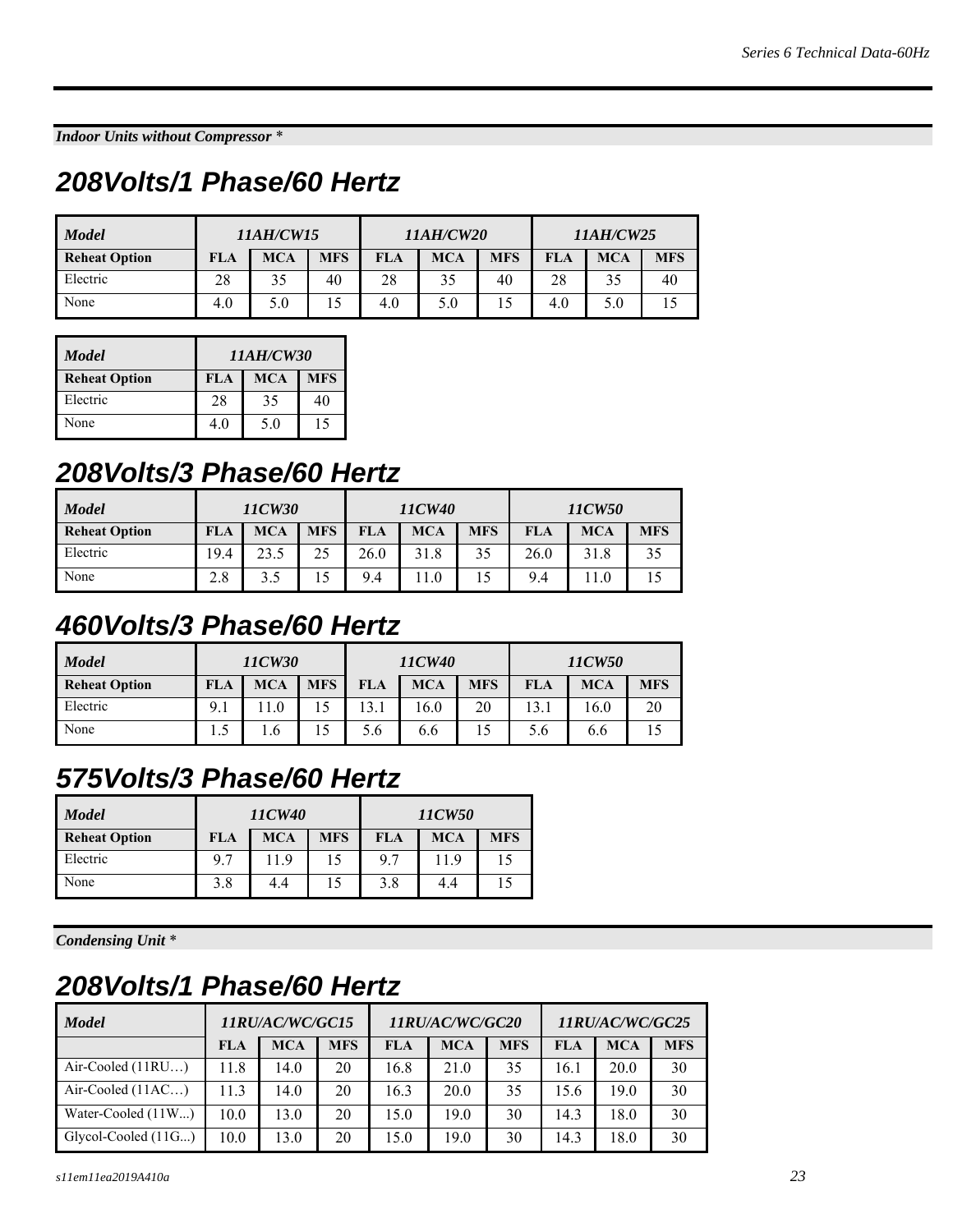*Indoor Units without Compressor* \*

#### *208Volts/1 Phase/60 Hertz*

| <b>Model</b>         | <b>11AH/CW15</b> |            |            | <i><b>11AH/CW20</b></i> |            |            |            |            |            |  | 11AH/CW25 |  |
|----------------------|------------------|------------|------------|-------------------------|------------|------------|------------|------------|------------|--|-----------|--|
| <b>Reheat Option</b> | FLA              | <b>MCA</b> | <b>MFS</b> | <b>FLA</b>              | <b>MCA</b> | <b>MFS</b> | <b>FLA</b> | <b>MCA</b> | <b>MFS</b> |  |           |  |
| Electric             | 28               | 35         | 40         | 28                      | 35         | 40         | 28         |            | 40         |  |           |  |
| None                 | 4.0              | 5.0        |            | 4.0                     | 5.0        | 15         | 4.0        | 5.0        |            |  |           |  |

| <b>Model</b>         | 11AH/CW30                       |     |    |  |  |  |  |  |
|----------------------|---------------------------------|-----|----|--|--|--|--|--|
| <b>Reheat Option</b> | <b>MCA</b><br><b>MFS</b><br>FLA |     |    |  |  |  |  |  |
| Electric             | 28                              | 35  | 40 |  |  |  |  |  |
| None                 | 4.0                             | 5.0 | 15 |  |  |  |  |  |

#### *208Volts/3 Phase/60 Hertz*

| <b>Model</b>         | 11CW40<br>11CW30 |            |            |            |            |            | 11CW50 |            |            |
|----------------------|------------------|------------|------------|------------|------------|------------|--------|------------|------------|
| <b>Reheat Option</b> | FLA              | <b>MCA</b> | <b>MFS</b> | <b>FLA</b> | <b>MCA</b> | <b>MFS</b> | FLA    | <b>MCA</b> | <b>MFS</b> |
| Electric             | 9.4              | 23.5       |            | 26.0       | 31.8       |            | 26.0   | 31.8       | 35         |
| None                 | 2.8              | 3.5        |            | 9.4        | 11.0       |            | 9.4    |            |            |

### *460Volts/3 Phase/60 Hertz*

| <b>Model</b>         | 11CW30 |            |            |            | 11CW40     |            | 11CW50 |            |            |  |
|----------------------|--------|------------|------------|------------|------------|------------|--------|------------|------------|--|
| <b>Reheat Option</b> | FLA    | <b>MCA</b> | <b>MFS</b> | <b>FLA</b> | <b>MCA</b> | <b>MFS</b> | FLA    | <b>MCA</b> | <b>MFS</b> |  |
| Electric             | 9.1    | .1.0       |            | 13.1       | 16.0       | 20         | 13.1   | 16.0       | 20         |  |
| None                 |        | . . 6      |            | 5.6        | 6.6        |            | 5.6    | 6.6        |            |  |

#### *575Volts/3 Phase/60 Hertz*

| <b>Model</b>         |     | 11CW40     |            |            | 11CW50     |            |
|----------------------|-----|------------|------------|------------|------------|------------|
| <b>Reheat Option</b> | FLA | <b>MCA</b> | <b>MFS</b> | <b>FLA</b> | <b>MCA</b> | <b>MFS</b> |
| Electric             | 9.7 | 11.9       | 15         | 9.7        | 11.9       | 15         |
| None                 | 3.8 | 4.4        | 15         | 3.8        | 4.4        |            |

*Condensing Unit* \*

#### *208Volts/1 Phase/60 Hertz*

| <b>Model</b>        | 11RU/AC/WC/GC15 |            |            | <i><b>11RU/AC/WC/GC20</b></i> |            |            | 11RU/AC/WC/GC25 |            |            |
|---------------------|-----------------|------------|------------|-------------------------------|------------|------------|-----------------|------------|------------|
|                     | <b>FLA</b>      | <b>MCA</b> | <b>MFS</b> | <b>FLA</b>                    | <b>MCA</b> | <b>MFS</b> | <b>FLA</b>      | <b>MCA</b> | <b>MFS</b> |
| Air-Cooled $(11RU)$ | 11.8            | 14.0       | 20         | 16.8                          | 21.0       | 35         | 16.1            | 20.0       | 30         |
| Air-Cooled $(11AC)$ | 11.3            | 14.0       | 20         | 16.3                          | 20.0       | 35         | 15.6            | 19.0       | 30         |
| Water-Cooled (11W)  | 10.0            | 13.0       | 20         | 15.0                          | 19.0       | 30         | 14.3            | 18.0       | 30         |
| Glycol-Cooled (11G) | 10.0            | 13.0       | 20         | 15.0                          | 19.0       | 30         | 14.3            | 18.0       | 30         |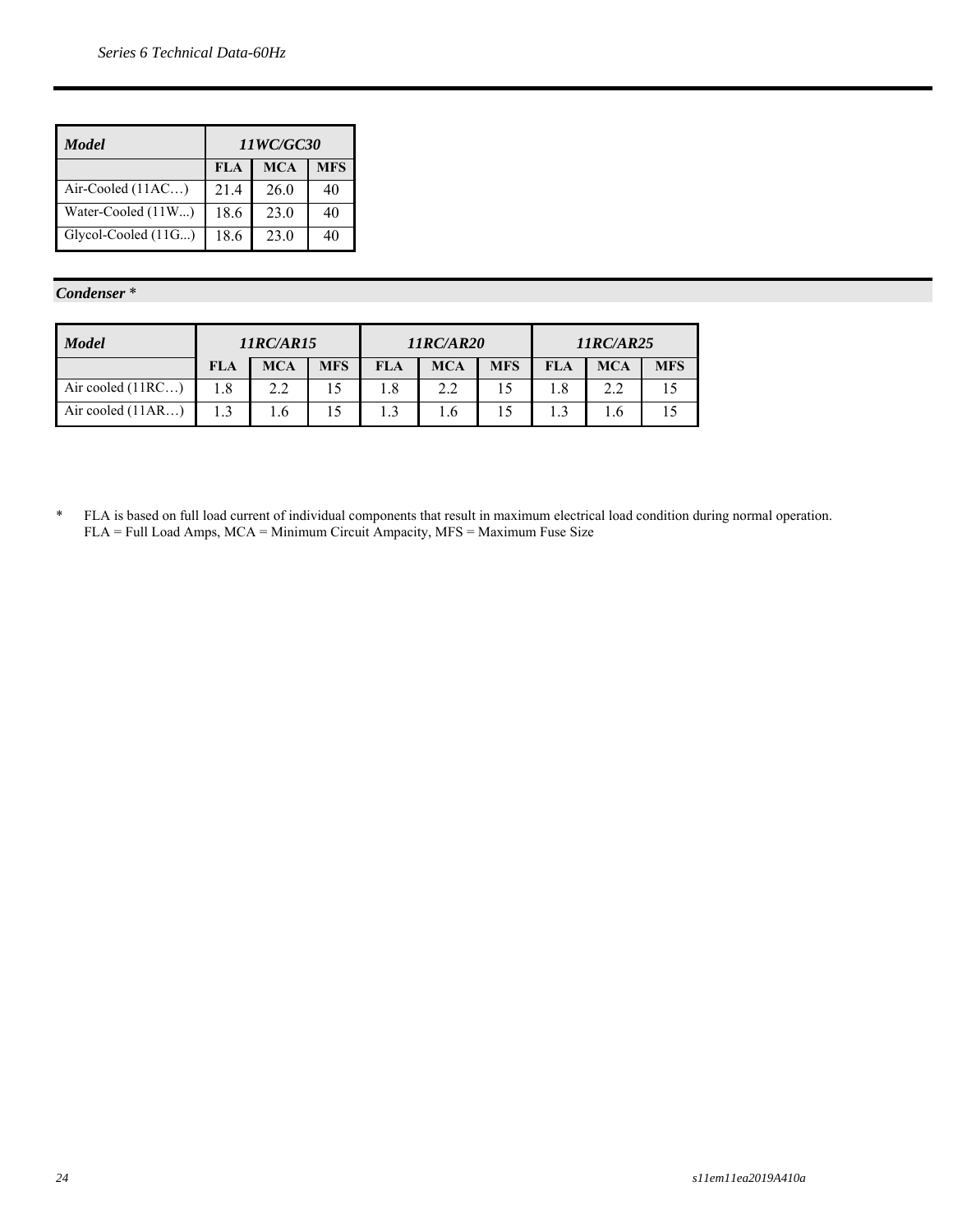| Model               | 11WC/GC30  |            |            |  |  |  |  |  |  |
|---------------------|------------|------------|------------|--|--|--|--|--|--|
|                     | <b>FLA</b> | <b>MCA</b> | <b>MFS</b> |  |  |  |  |  |  |
| Air-Cooled $(11AC)$ | 21.4       | 26.0       | 40         |  |  |  |  |  |  |
| Water-Cooled (11W)  | 18.6       | 23.0       | 40         |  |  |  |  |  |  |
| Glycol-Cooled (11G) | 18.6       | 23.0       | 40         |  |  |  |  |  |  |

#### *Condenser* \*

| <b>Model</b>        | <b>11RC/AR15</b> |            |            |            | <b>11RC/AR20</b> |            | 11RC/AR25  |            |            |  |
|---------------------|------------------|------------|------------|------------|------------------|------------|------------|------------|------------|--|
|                     | <b>FLA</b>       | <b>MCA</b> | <b>MFS</b> | <b>FLA</b> | <b>MCA</b>       | <b>MFS</b> | <b>FLA</b> | <b>MCA</b> | <b>MFS</b> |  |
| Air cooled (11RC)   | 1.8              | 2.2        |            | 1.8        | 2.2              |            |            |            |            |  |
| Air cooled $(11AR)$ |                  |            |            |            | 1.6              |            |            | .6         |            |  |

\* FLA is based on full load current of individual components that result in maximum electrical load condition during normal operation. FLA = Full Load Amps, MCA = Minimum Circuit Ampacity, MFS = Maximum Fuse Size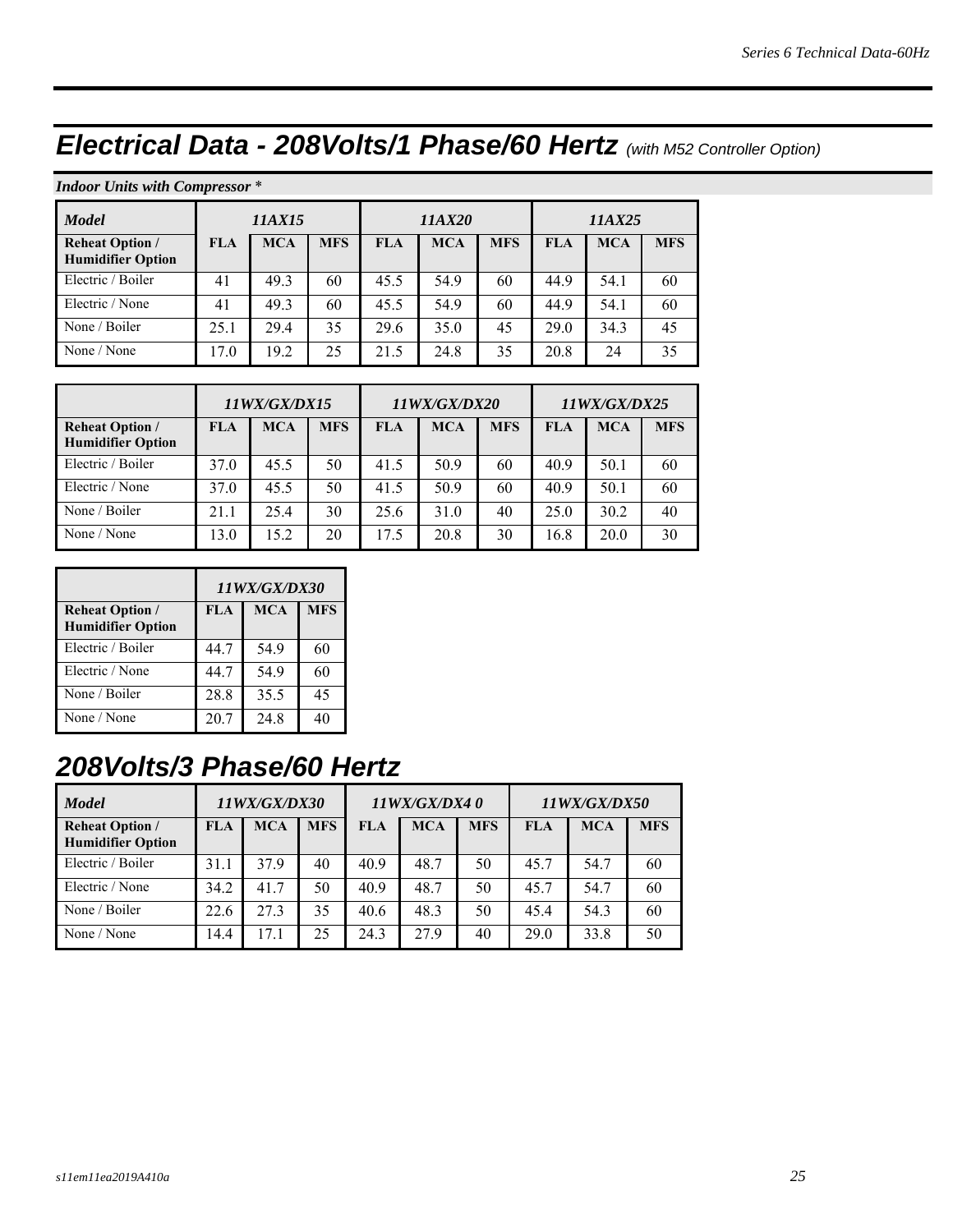# *Electrical Data - 208Volts/1 Phase/60 Hertz (with M52 Controller Option)*

#### *Indoor Units with Compressor* \*

| <b>Model</b>                                       | 11AX15     |            |            |            | 11AX20     |            | <i>11AX25</i> |            |            |
|----------------------------------------------------|------------|------------|------------|------------|------------|------------|---------------|------------|------------|
| <b>Reheat Option /</b><br><b>Humidifier Option</b> | <b>FLA</b> | <b>MCA</b> | <b>MFS</b> | <b>FLA</b> | <b>MCA</b> | <b>MFS</b> | <b>FLA</b>    | <b>MCA</b> | <b>MFS</b> |
| Electric / Boiler                                  | 41         | 49.3       | 60         | 45.5       | 54.9       | 60         | 44.9          | 54.1       | 60         |
| Electric / None                                    | 41         | 49.3       | 60         | 45.5       | 54.9       | 60         | 44.9          | 54.1       | 60         |
| None / Boiler                                      | 25.1       | 29.4       | 35         | 29.6       | 35.0       | 45         | 29.0          | 34.3       | 45         |
| None / None                                        | 17.0       | 19.2       | 25         | 21.5       | 24.8       | 35         | 20.8          | 24         | 35         |

|                                                    | 11WX/GX/DX15 |            |            |      | 11WX/GX/DX20 |            | 11WX/GX/DX25 |            |            |
|----------------------------------------------------|--------------|------------|------------|------|--------------|------------|--------------|------------|------------|
| <b>Reheat Option /</b><br><b>Humidifier Option</b> | <b>FLA</b>   | <b>MCA</b> | <b>MFS</b> | FLA  | <b>MCA</b>   | <b>MFS</b> | <b>FLA</b>   | <b>MCA</b> | <b>MFS</b> |
| Electric / Boiler                                  | 37.0         | 45.5       | 50         | 41.5 | 50.9         | 60         | 40.9         | 50.1       | 60         |
| Electric / None                                    | 37.0         | 45.5       | 50         | 41.5 | 50.9         | 60         | 40.9         | 50.1       | 60         |
| None / Boiler                                      | 21.1         | 25.4       | 30         | 25.6 | 31.0         | 40         | 25.0         | 30.2       | 40         |
| None / None                                        | 13.0         | 15.2       | 20         | 17.5 | 20.8         | 30         | 16.8         | 20.0       | 30         |

|                                                    | 11WX/GX/DX30 |            |            |  |  |  |  |  |
|----------------------------------------------------|--------------|------------|------------|--|--|--|--|--|
| <b>Reheat Option /</b><br><b>Humidifier Option</b> | FLA          | <b>MCA</b> | <b>MFS</b> |  |  |  |  |  |
| Electric / Boiler                                  | 44.7         | 54.9       | 60         |  |  |  |  |  |
| Electric / None                                    | 44.7         | 54.9       | 60         |  |  |  |  |  |
| None / Boiler                                      | 28.8         | 35.5       | 45         |  |  |  |  |  |
| None / None                                        | 20.7         | 24.8       | 40         |  |  |  |  |  |

### *208Volts/3 Phase/60 Hertz*

| <b>Model</b>                                       | 11WX/GX/DX30 |            |            |            | 11WX/GX/DX40 |            |            | 11WX/GX/DX50 |            |  |
|----------------------------------------------------|--------------|------------|------------|------------|--------------|------------|------------|--------------|------------|--|
| <b>Reheat Option /</b><br><b>Humidifier Option</b> | <b>FLA</b>   | <b>MCA</b> | <b>MFS</b> | <b>FLA</b> | <b>MCA</b>   | <b>MFS</b> | <b>FLA</b> | <b>MCA</b>   | <b>MFS</b> |  |
| Electric / Boiler                                  | 31.1         | 37.9       | 40         | 40.9       | 48.7         | 50         | 45.7       | 54.7         | 60         |  |
| Electric / None                                    | 34.2         | 41.7       | 50         | 40.9       | 48.7         | 50         | 45.7       | 54.7         | 60         |  |
| None / Boiler                                      | 22.6         | 27.3       | 35         | 40.6       | 48.3         | 50         | 45.4       | 54.3         | 60         |  |
| None / None                                        | 14.4         | 17.1       | 25         | 24.3       | 27.9         | 40         | 29.0       | 33.8         | 50         |  |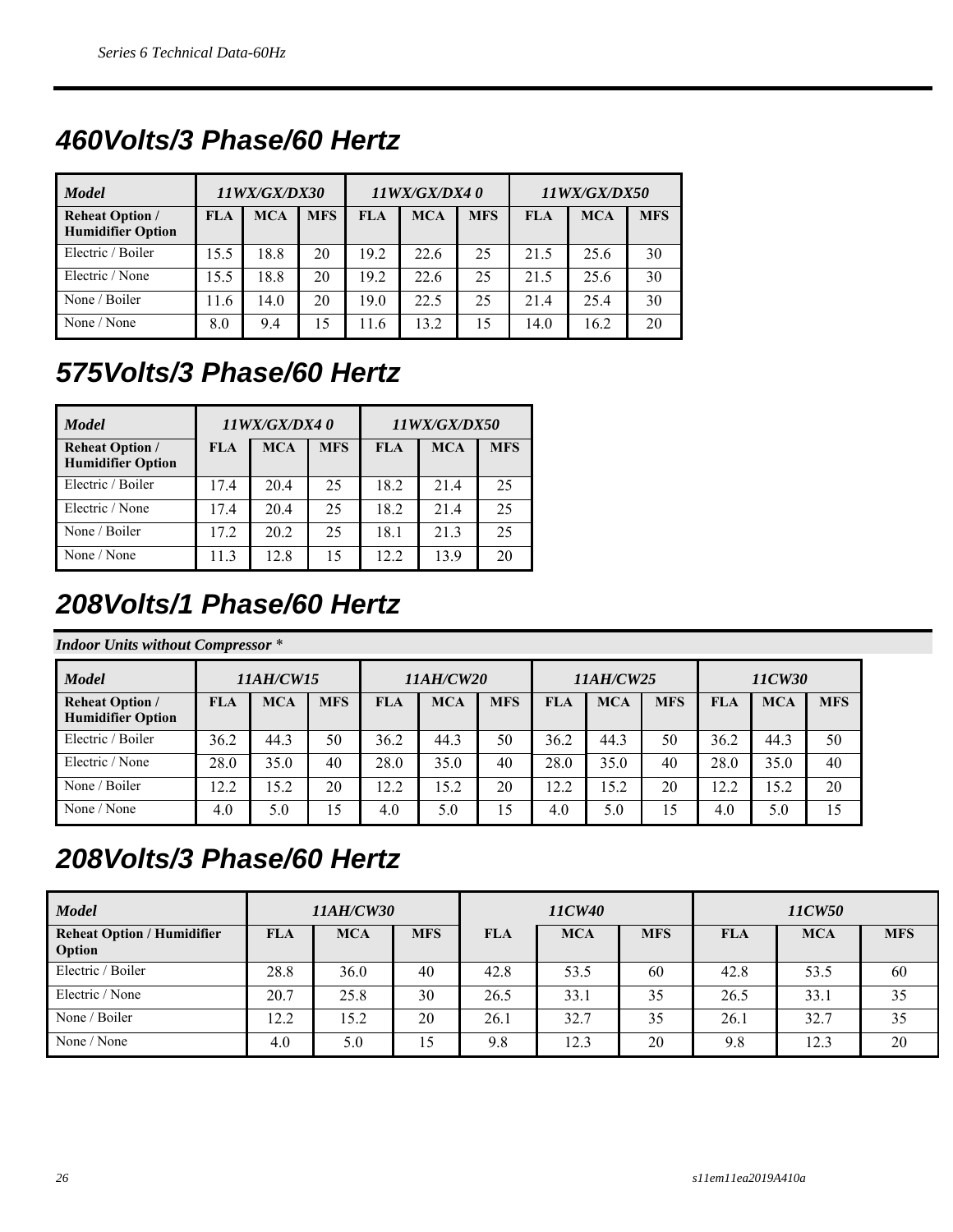### *460Volts/3 Phase/60 Hertz*

| <b>Model</b>                                       | 11WX/GX/DX30 |            |            |            | 11WX/GX/DX40 |            | 11WX/GX/DX50 |            |            |
|----------------------------------------------------|--------------|------------|------------|------------|--------------|------------|--------------|------------|------------|
| <b>Reheat Option /</b><br><b>Humidifier Option</b> | <b>FLA</b>   | <b>MCA</b> | <b>MFS</b> | <b>FLA</b> | <b>MCA</b>   | <b>MFS</b> | <b>FLA</b>   | <b>MCA</b> | <b>MFS</b> |
| Electric / Boiler                                  | 15.5         | 18.8       | 20         | 19.2       | 22.6         | 25         | 21.5         | 25.6       | 30         |
| Electric / None                                    | 15.5         | 18.8       | 20         | 19.2       | 22.6         | 25         | 21.5         | 25.6       | 30         |
| None / Boiler                                      | 11.6         | 14.0       | 20         | 19.0       | 22.5         | 25         | 21.4         | 25.4       | 30         |
| None / None                                        | 8.0          | 9.4        | 15         | 11.6       | 13.2         | 15         | 14.0         | 16.2       | 20         |

## *575Volts/3 Phase/60 Hertz*

| <b>Model</b>                                       |            | 11WX/GX/DX40 |            |       | 11WX/GX/DX50 |            |
|----------------------------------------------------|------------|--------------|------------|-------|--------------|------------|
| <b>Reheat Option /</b><br><b>Humidifier Option</b> | <b>FLA</b> | <b>MCA</b>   | <b>MFS</b> | FLA   | <b>MCA</b>   | <b>MFS</b> |
| Electric / Boiler                                  | 17.4       | 20.4         | 25         | 18.2  | 21.4         | 25         |
| Electric / None                                    | 17.4       | 20.4         | 25         | 18.2  | 21.4         | 25         |
| None / Boiler                                      | 17.2       | 20.2         | 25         | 18.1  | 21.3         | 25         |
| None / None                                        | 11.3       | 12.8         | 15         | 12.2. | 13.9         | 20         |

### *208Volts/1 Phase/60 Hertz*

#### *Indoor Units without Compressor* \*

| <b>Model</b>                                       |            | <i>11AH/CW15</i> |            | <i><b>11AH/CW20</b></i> |            |            | 11AH/CW25  |            |                 | 11CW30     |            |            |
|----------------------------------------------------|------------|------------------|------------|-------------------------|------------|------------|------------|------------|-----------------|------------|------------|------------|
| <b>Reheat Option /</b><br><b>Humidifier Option</b> | <b>FLA</b> | <b>MCA</b>       | <b>MFS</b> | <b>FLA</b>              | <b>MCA</b> | <b>MFS</b> | <b>FLA</b> | <b>MCA</b> | <b>MFS</b>      | <b>FLA</b> | <b>MCA</b> | <b>MFS</b> |
| Electric / Boiler                                  | 36.2       | 44.3             | 50         | 36.2                    | 44.3       | 50         | 36.2       | 44.3       | 50              | 36.2       | 44.3       | 50         |
| Electric / None                                    | 28.0       | 35.0             | 40         | 28.0                    | 35.0       | 40         | 28.0       | 35.0       | 40              | 28.0       | 35.0       | 40         |
| None / Boiler                                      | 12.2       | 15.2             | 20         | 12.2                    | 15.2       | 20         | 12.2       | 15.2       | 20              | 12.2       | 15.2       | 20         |
| None / None                                        | 4.0        | 5.0              | 15         | 4.0                     | 5.0        | 15         | 4.0        | 5.0        | $\overline{.5}$ | 4.0        | 5.0        | 15         |

#### *208Volts/3 Phase/60 Hertz*

| <b>Model</b>                                |            | <i><b>11AH/CW30</b></i> |            | 11CW40     |            |            |            | 11CW50     |            |  |
|---------------------------------------------|------------|-------------------------|------------|------------|------------|------------|------------|------------|------------|--|
| <b>Reheat Option / Humidifier</b><br>Option | <b>FLA</b> | <b>MCA</b>              | <b>MFS</b> | <b>FLA</b> | <b>MCA</b> | <b>MFS</b> | <b>FLA</b> | <b>MCA</b> | <b>MFS</b> |  |
| Electric / Boiler                           | 28.8       | 36.0                    | 40         | 42.8       | 53.5       | 60         | 42.8       | 53.5       | 60         |  |
| Electric / None                             | 20.7       | 25.8                    | 30         | 26.5       | 33.1       | 35         | 26.5       | 33.1       | 35         |  |
| None / Boiler                               | 12.2       | 15.2                    | 20         | 26.1       | 32.7       | 35         | 26.1       | 32.7       | 35         |  |
| None / None                                 | 4.0        | 5.0                     | 15         | 9.8        | 12.3       | 20         | 9.8        | 12.3       | 20         |  |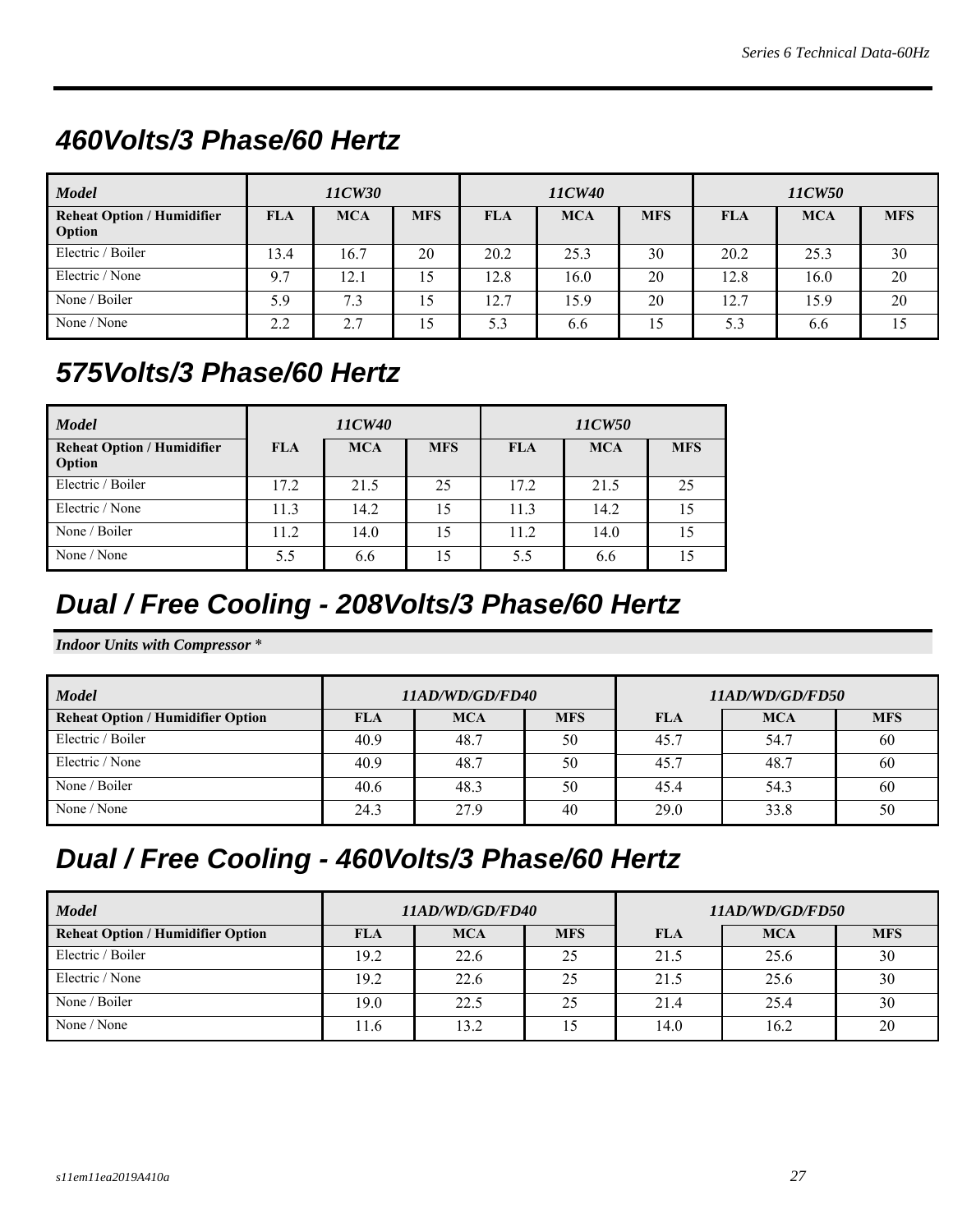### *460Volts/3 Phase/60 Hertz*

| <b>Model</b>                                |            | 11CW30     |                 | 11CW40     |            |            | 11CW50     |            |            |
|---------------------------------------------|------------|------------|-----------------|------------|------------|------------|------------|------------|------------|
| <b>Reheat Option / Humidifier</b><br>Option | <b>FLA</b> | <b>MCA</b> | <b>MFS</b>      | <b>FLA</b> | <b>MCA</b> | <b>MFS</b> | <b>FLA</b> | <b>MCA</b> | <b>MFS</b> |
| Electric / Boiler                           | 13.4       | 16.7       | 20              | 20.2       | 25.3       | 30         | 20.2       | 25.3       | 30         |
| Electric / None                             | 9.7        | 12.1       | 15              | 12.8       | 16.0       | 20         | 12.8       | 16.0       | 20         |
| None / Boiler                               | 5.9        | 7.3        | 15              | 12.7       | 15.9       | 20         | 12.7       | 15.9       | 20         |
| None / None                                 | 2.2        | 2.7        | 15 <sup>5</sup> | 5.3        | 6.6        | 15         | 5.3        | 6.6        | 15         |

### *575Volts/3 Phase/60 Hertz*

| <b>Model</b>                                |            | 11CW40     |            | 11CW50 |            |            |  |
|---------------------------------------------|------------|------------|------------|--------|------------|------------|--|
| <b>Reheat Option / Humidifier</b><br>Option | <b>FLA</b> | <b>MCA</b> | <b>MFS</b> | FLA    | <b>MCA</b> | <b>MFS</b> |  |
| Electric / Boiler                           | 17.2       | 21.5       | 25         | 17.2   | 21.5       | 25         |  |
| Electric / None                             | 11.3       | 14.2       | 15         | 11.3   | 14.2       | 15         |  |
| None / Boiler                               | 11.2       | 14.0       | 15         | 11.2   | 14.0       | 15         |  |
| None / None                                 | 5.5        | 6.6        | 15         | 5.5    | 6.6        | 15         |  |

### *Dual / Free Cooling - 208Volts/3 Phase/60 Hertz*

*Indoor Units with Compressor* \*

| <b>Model</b>                             |            | 11AD/WD/GD/FD40 |            | 11AD/WD/GD/FD50 |            |            |  |  |
|------------------------------------------|------------|-----------------|------------|-----------------|------------|------------|--|--|
| <b>Reheat Option / Humidifier Option</b> | <b>FLA</b> | <b>MCA</b>      | <b>MFS</b> | <b>FLA</b>      | <b>MCA</b> | <b>MFS</b> |  |  |
| Electric / Boiler                        | 40.9       | 48.7            | 50         | 45.7            | 54.7       | 60         |  |  |
| Electric / None                          | 40.9       | 48.7            | 50         | 45.7            | 48.7       | 60         |  |  |
| None / Boiler                            | 40.6       | 48.3            | 50         | 45.4            | 54.3       | 60         |  |  |
| None / None                              | 24.3       | 27.9            | 40         | 29.0            | 33.8       | 50         |  |  |

#### *Dual / Free Cooling - 460Volts/3 Phase/60 Hertz*

| <b>Model</b>                             |            | 11AD/WD/GD/FD40 |            | 11AD/WD/GD/FD50 |            |            |  |
|------------------------------------------|------------|-----------------|------------|-----------------|------------|------------|--|
| <b>Reheat Option / Humidifier Option</b> | <b>FLA</b> | <b>MCA</b>      | <b>MFS</b> | <b>FLA</b>      | <b>MCA</b> | <b>MFS</b> |  |
| Electric / Boiler                        | 19.2       | 22.6            | 25         | 21.5            | 25.6       | 30         |  |
| Electric / None                          | 19.2       | 22.6            | 25         | 21.5            | 25.6       | 30         |  |
| None / Boiler                            | 19.0       | 22.5            | 25         | 21.4            | 25.4       | 30         |  |
| None / None                              | 11.6       | 13.2            |            | 14.0            | 16.2       | 20         |  |